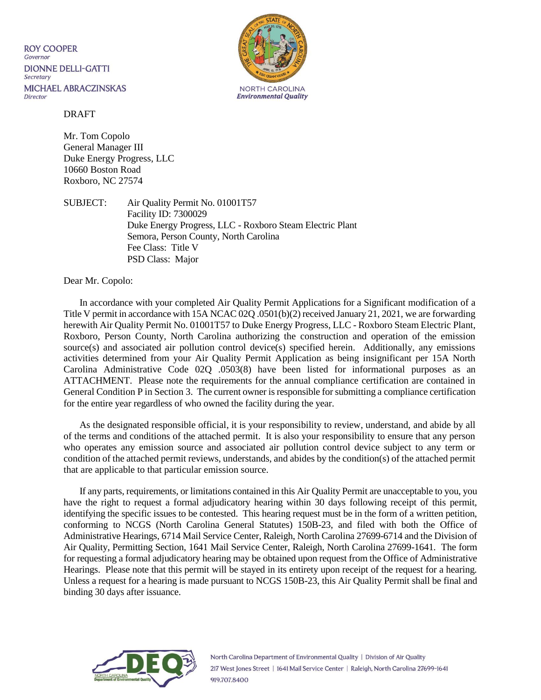**ROY COOPER** Governor **DIONNE DELLI-GATTI** Secretary **MICHAEL ABRACZINSKAS** Director



#### DRAFT

Mr. Tom Copolo General Manager III Duke Energy Progress, LLC 10660 Boston Road Roxboro, NC 27574

SUBJECT: Air Quality Permit No. 01001T57 Facility ID: 7300029 Duke Energy Progress, LLC - Roxboro Steam Electric Plant Semora, Person County, North Carolina Fee Class: Title V PSD Class: Major

Dear Mr. Copolo:

In accordance with your completed Air Quality Permit Applications for a Significant modification of a Title V permit in accordance with 15A NCAC 02Q .0501(b)(2) received January 21, 2021, we are forwarding herewith Air Quality Permit No. 01001T57 to Duke Energy Progress, LLC - Roxboro Steam Electric Plant, Roxboro, Person County, North Carolina authorizing the construction and operation of the emission source(s) and associated air pollution control device(s) specified herein. Additionally, any emissions activities determined from your Air Quality Permit Application as being insignificant per 15A North Carolina Administrative Code 02Q .0503(8) have been listed for informational purposes as an ATTACHMENT. Please note the requirements for the annual compliance certification are contained in General Condition P in Section 3. The current owner is responsible for submitting a compliance certification for the entire year regardless of who owned the facility during the year.

As the designated responsible official, it is your responsibility to review, understand, and abide by all of the terms and conditions of the attached permit. It is also your responsibility to ensure that any person who operates any emission source and associated air pollution control device subject to any term or condition of the attached permit reviews, understands, and abides by the condition(s) of the attached permit that are applicable to that particular emission source.

If any parts, requirements, or limitations contained in this Air Quality Permit are unacceptable to you, you have the right to request a formal adjudicatory hearing within 30 days following receipt of this permit, identifying the specific issues to be contested. This hearing request must be in the form of a written petition, conforming to NCGS (North Carolina General Statutes) 150B-23, and filed with both the Office of Administrative Hearings, 6714 Mail Service Center, Raleigh, North Carolina 27699-6714 and the Division of Air Quality, Permitting Section, 1641 Mail Service Center, Raleigh, North Carolina 27699-1641. The form for requesting a formal adjudicatory hearing may be obtained upon request from the Office of Administrative Hearings. Please note that this permit will be stayed in its entirety upon receipt of the request for a hearing. Unless a request for a hearing is made pursuant to NCGS 150B-23, this Air Quality Permit shall be final and binding 30 days after issuance.

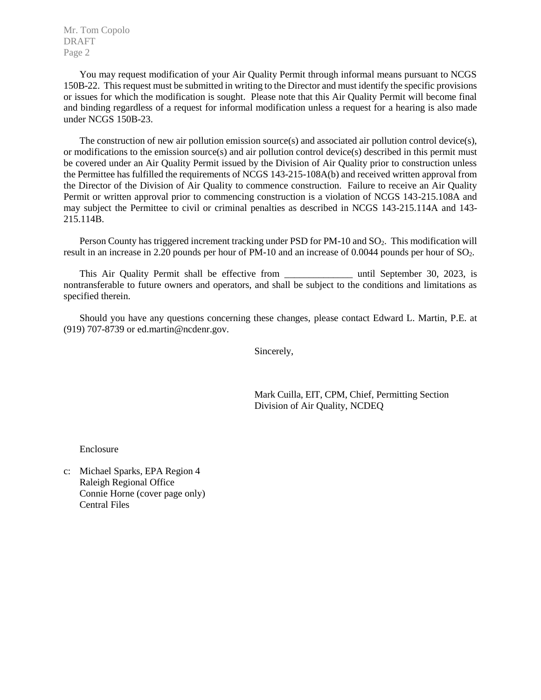Mr. Tom Copolo DRAFT Page 2

You may request modification of your Air Quality Permit through informal means pursuant to NCGS 150B-22. This request must be submitted in writing to the Director and must identify the specific provisions or issues for which the modification is sought. Please note that this Air Quality Permit will become final and binding regardless of a request for informal modification unless a request for a hearing is also made under NCGS 150B-23.

The construction of new air pollution emission source(s) and associated air pollution control device(s), or modifications to the emission source(s) and air pollution control device(s) described in this permit must be covered under an Air Quality Permit issued by the Division of Air Quality prior to construction unless the Permittee has fulfilled the requirements of NCGS 143-215-108A(b) and received written approval from the Director of the Division of Air Quality to commence construction. Failure to receive an Air Quality Permit or written approval prior to commencing construction is a violation of NCGS 143-215.108A and may subject the Permittee to civil or criminal penalties as described in NCGS 143-215.114A and 143- 215.114B.

Person County has triggered increment tracking under PSD for PM-10 and SO<sub>2</sub>. This modification will result in an increase in 2.20 pounds per hour of PM-10 and an increase of 0.0044 pounds per hour of SO2.

This Air Quality Permit shall be effective from the until September 30, 2023, is nontransferable to future owners and operators, and shall be subject to the conditions and limitations as specified therein.

Should you have any questions concerning these changes, please contact Edward L. Martin, P.E. at (919) 707-8739 or ed.martin@ncdenr.gov.

Sincerely,

Mark Cuilla, EIT, CPM, Chief, Permitting Section Division of Air Quality, NCDEQ

Enclosure

c: Michael Sparks, EPA Region 4 Raleigh Regional Office Connie Horne (cover page only) Central Files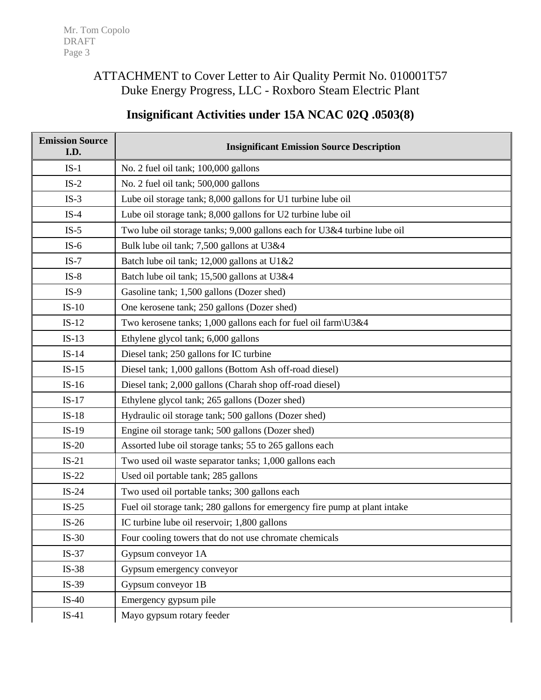# ATTACHMENT to Cover Letter to Air Quality Permit No. 010001T57 Duke Energy Progress, LLC - Roxboro Steam Electric Plant

# **Insignificant Activities under 15A NCAC 02Q .0503(8)**

| <b>Emission Source</b><br>I.D. | <b>Insignificant Emission Source Description</b>                           |
|--------------------------------|----------------------------------------------------------------------------|
| $IS-1$                         | No. 2 fuel oil tank; 100,000 gallons                                       |
| $IS-2$                         | No. 2 fuel oil tank; 500,000 gallons                                       |
| $IS-3$                         | Lube oil storage tank; 8,000 gallons for U1 turbine lube oil               |
| $IS-4$                         | Lube oil storage tank; 8,000 gallons for U2 turbine lube oil               |
| $IS-5$                         | Two lube oil storage tanks; 9,000 gallons each for U3&4 turbine lube oil   |
| $IS-6$                         | Bulk lube oil tank; 7,500 gallons at U3&4                                  |
| $IS-7$                         | Batch lube oil tank; 12,000 gallons at U1&2                                |
| $IS-8$                         | Batch lube oil tank; 15,500 gallons at U3&4                                |
| $IS-9$                         | Gasoline tank; 1,500 gallons (Dozer shed)                                  |
| $IS-10$                        | One kerosene tank; 250 gallons (Dozer shed)                                |
| $IS-12$                        | Two kerosene tanks; 1,000 gallons each for fuel oil farm\U3&4              |
| $IS-13$                        | Ethylene glycol tank; 6,000 gallons                                        |
| $IS-14$                        | Diesel tank; 250 gallons for IC turbine                                    |
| $IS-15$                        | Diesel tank; 1,000 gallons (Bottom Ash off-road diesel)                    |
| $IS-16$                        | Diesel tank; 2,000 gallons (Charah shop off-road diesel)                   |
| $IS-17$                        | Ethylene glycol tank; 265 gallons (Dozer shed)                             |
| $IS-18$                        | Hydraulic oil storage tank; 500 gallons (Dozer shed)                       |
| $IS-19$                        | Engine oil storage tank; 500 gallons (Dozer shed)                          |
| $IS-20$                        | Assorted lube oil storage tanks; 55 to 265 gallons each                    |
| $IS-21$                        | Two used oil waste separator tanks; 1,000 gallons each                     |
| $IS-22$                        | Used oil portable tank; 285 gallons                                        |
| $IS-24$                        | Two used oil portable tanks; 300 gallons each                              |
| $IS-25$                        | Fuel oil storage tank; 280 gallons for emergency fire pump at plant intake |
| $IS-26$                        | IC turbine lube oil reservoir; 1,800 gallons                               |
| $IS-30$                        | Four cooling towers that do not use chromate chemicals                     |
| $IS-37$                        | Gypsum conveyor 1A                                                         |
| $IS-38$                        | Gypsum emergency conveyor                                                  |
| $IS-39$                        | Gypsum conveyor 1B                                                         |
| $IS-40$                        | Emergency gypsum pile                                                      |
| $IS-41$                        | Mayo gypsum rotary feeder                                                  |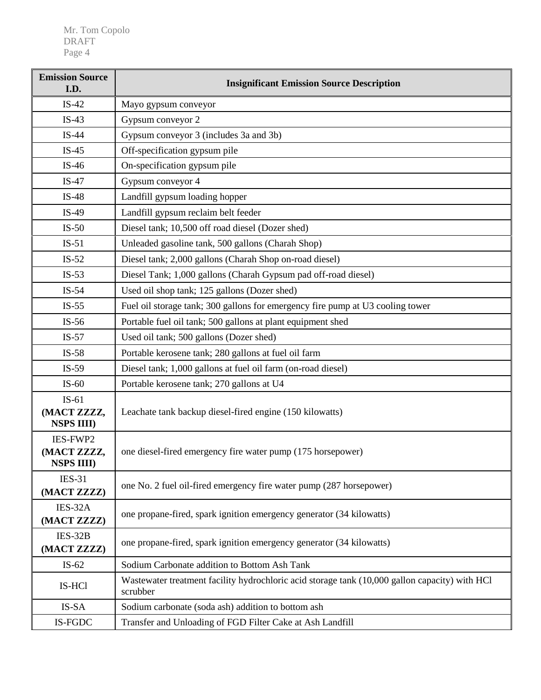| <b>Emission Source</b><br>I.D.                                  | <b>Insignificant Emission Source Description</b>                                                           |  |  |
|-----------------------------------------------------------------|------------------------------------------------------------------------------------------------------------|--|--|
| $IS-42$                                                         | Mayo gypsum conveyor                                                                                       |  |  |
| $IS-43$                                                         | Gypsum conveyor 2                                                                                          |  |  |
| $IS-44$                                                         | Gypsum conveyor 3 (includes 3a and 3b)                                                                     |  |  |
| $IS-45$                                                         | Off-specification gypsum pile                                                                              |  |  |
| $IS-46$                                                         | On-specification gypsum pile                                                                               |  |  |
| $IS-47$                                                         | Gypsum conveyor 4                                                                                          |  |  |
| $IS-48$                                                         | Landfill gypsum loading hopper                                                                             |  |  |
| $IS-49$                                                         | Landfill gypsum reclaim belt feeder                                                                        |  |  |
| $IS-50$                                                         | Diesel tank; 10,500 off road diesel (Dozer shed)                                                           |  |  |
| $IS-51$                                                         | Unleaded gasoline tank, 500 gallons (Charah Shop)                                                          |  |  |
| $IS-52$                                                         | Diesel tank; 2,000 gallons (Charah Shop on-road diesel)                                                    |  |  |
| $IS-53$                                                         | Diesel Tank; 1,000 gallons (Charah Gypsum pad off-road diesel)                                             |  |  |
| $IS-54$                                                         | Used oil shop tank; 125 gallons (Dozer shed)                                                               |  |  |
| $IS-55$                                                         | Fuel oil storage tank; 300 gallons for emergency fire pump at U3 cooling tower                             |  |  |
| $IS-56$                                                         | Portable fuel oil tank; 500 gallons at plant equipment shed                                                |  |  |
| $IS-57$                                                         | Used oil tank; 500 gallons (Dozer shed)                                                                    |  |  |
| Portable kerosene tank; 280 gallons at fuel oil farm<br>$IS-58$ |                                                                                                            |  |  |
| $IS-59$                                                         | Diesel tank; 1,000 gallons at fuel oil farm (on-road diesel)                                               |  |  |
| $IS-60$                                                         | Portable kerosene tank; 270 gallons at U4                                                                  |  |  |
| $IS-61$<br>(MACT ZZZZ,<br><b>NSPS IIII)</b>                     | Leachate tank backup diesel-fired engine (150 kilowatts)                                                   |  |  |
| IES-FWP2<br>(MACT ZZZZ,<br><b>NSPS IIII)</b>                    | one diesel-fired emergency fire water pump (175 horsepower)                                                |  |  |
| <b>IES-31</b><br>(MACT ZZZZ)                                    | one No. 2 fuel oil-fired emergency fire water pump (287 horsepower)                                        |  |  |
| IES-32A<br>(MACT ZZZZ)                                          | one propane-fired, spark ignition emergency generator (34 kilowatts)                                       |  |  |
| IES-32B<br>(MACT ZZZZ)                                          | one propane-fired, spark ignition emergency generator (34 kilowatts)                                       |  |  |
| $IS-62$                                                         | Sodium Carbonate addition to Bottom Ash Tank                                                               |  |  |
| IS-HCl                                                          | Wastewater treatment facility hydrochloric acid storage tank (10,000 gallon capacity) with HCl<br>scrubber |  |  |
| IS-SA                                                           | Sodium carbonate (soda ash) addition to bottom ash                                                         |  |  |
| IS-FGDC                                                         | Transfer and Unloading of FGD Filter Cake at Ash Landfill                                                  |  |  |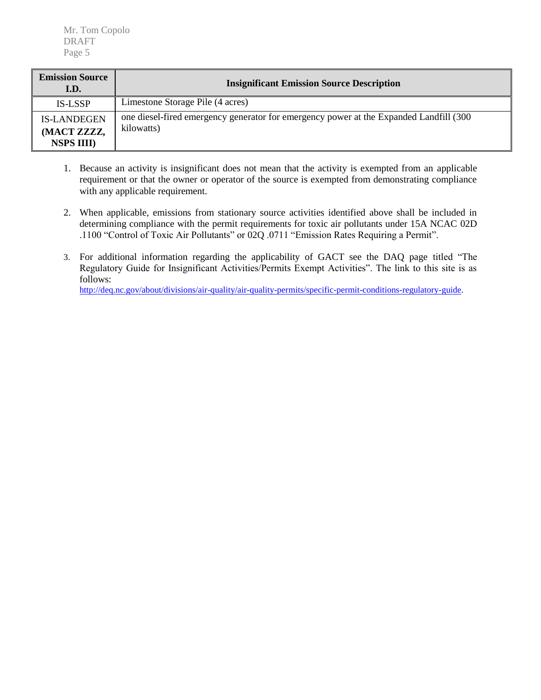Mr. Tom Copolo DRAFT Page 5

| <b>Emission Source</b><br>I.D.                          | <b>Insignificant Emission Source Description</b>                                                      |
|---------------------------------------------------------|-------------------------------------------------------------------------------------------------------|
| <b>IS-LSSP</b>                                          | Limestone Storage Pile (4 acres)                                                                      |
| <b>IS-LANDEGEN</b><br>(MACT ZZZZ,<br><b>NSPS IIII</b> ) | one diesel-fired emergency generator for emergency power at the Expanded Landfill (300)<br>kilowatts) |

- 1. Because an activity is insignificant does not mean that the activity is exempted from an applicable requirement or that the owner or operator of the source is exempted from demonstrating compliance with any applicable requirement.
- 2. When applicable, emissions from stationary source activities identified above shall be included in determining compliance with the permit requirements for toxic air pollutants under 15A NCAC 02D .1100 "Control of Toxic Air Pollutants" or 02Q .0711 "Emission Rates Requiring a Permit".
- 3. For additional information regarding the applicability of GACT see the DAQ page titled "The Regulatory Guide for Insignificant Activities/Permits Exempt Activities". The link to this site is as follows:

[http://deq.nc.gov/about/divisions/air-quality/air-quality-permits/specific-permit-conditions-regulatory-guide.](http://deq.nc.gov/about/divisions/air-quality/air-quality-permits/specific-permit-conditions-regulatory-guide)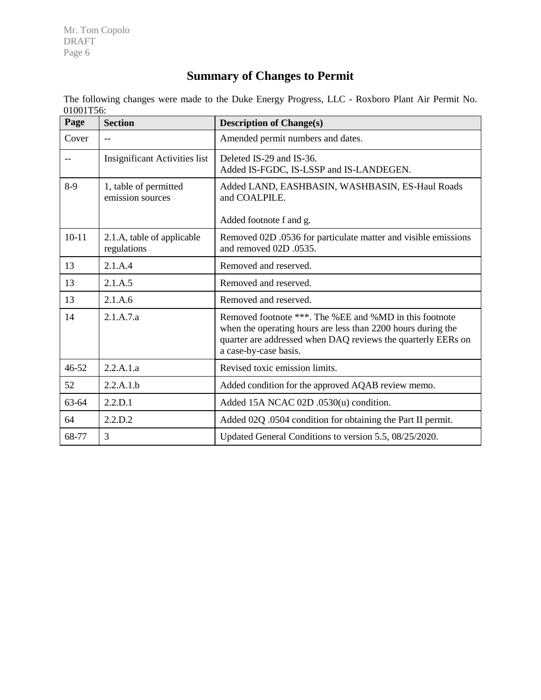Mr. Tom Copolo DRAFT Page 6

# **Summary of Changes to Permit**

The following changes were made to the Duke Energy Progress, LLC - Roxboro Plant Air Permit No. 01001T56:

| Page      | <b>Section</b>                            | <b>Description of Change(s)</b>                                                                                                                                                                                 |
|-----------|-------------------------------------------|-----------------------------------------------------------------------------------------------------------------------------------------------------------------------------------------------------------------|
| Cover     | $-$                                       | Amended permit numbers and dates.                                                                                                                                                                               |
|           | <b>Insignificant Activities list</b>      | Deleted IS-29 and IS-36.<br>Added IS-FGDC, IS-LSSP and IS-LANDEGEN.                                                                                                                                             |
| $8-9$     | 1, table of permitted<br>emission sources | Added LAND, EASHBASIN, WASHBASIN, ES-Haul Roads<br>and COALPILE.                                                                                                                                                |
|           |                                           | Added footnote f and g.                                                                                                                                                                                         |
| $10 - 11$ | 2.1.A, table of applicable<br>regulations | Removed 02D .0536 for particulate matter and visible emissions<br>and removed 02D .0535.                                                                                                                        |
| 13        | 2.1.A.4                                   | Removed and reserved.                                                                                                                                                                                           |
| 13        | 2.1.A.5                                   | Removed and reserved.                                                                                                                                                                                           |
| 13        | 2.1.A.6                                   | Removed and reserved.                                                                                                                                                                                           |
| 14        | 2.1.A.7.a                                 | Removed footnote ***. The %EE and %MD in this footnote<br>when the operating hours are less than 2200 hours during the<br>quarter are addressed when DAQ reviews the quarterly EERs on<br>a case-by-case basis. |
| 46-52     | 2.2.A.1.a                                 | Revised toxic emission limits.                                                                                                                                                                                  |
| 52        | 2.2.A.1.b                                 | Added condition for the approved AQAB review memo.                                                                                                                                                              |
| 63-64     | 2.2.D.1                                   | Added 15A NCAC 02D .0530(u) condition.                                                                                                                                                                          |
| 64        | 2.2.D.2                                   | Added 02Q .0504 condition for obtaining the Part II permit.                                                                                                                                                     |
| 68-77     | 3                                         | Updated General Conditions to version 5.5, 08/25/2020.                                                                                                                                                          |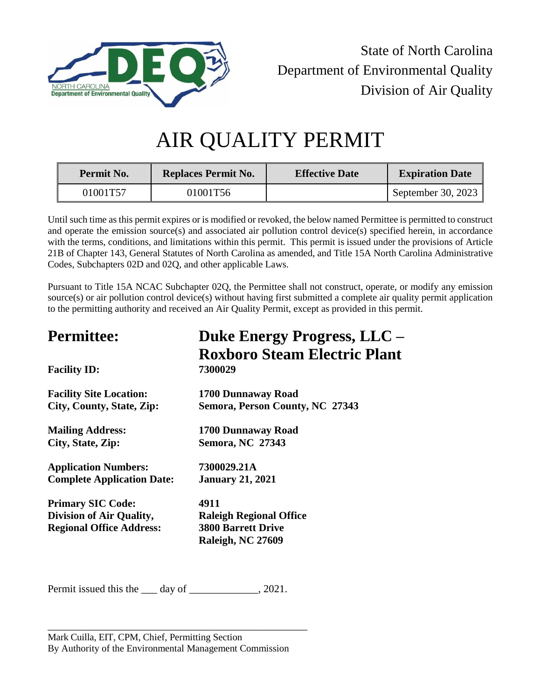

State of North Carolina Department of Environmental Quality Division of Air Quality

# AIR QUALITY PERMIT

| <b>Permit No.</b> | <b>Replaces Permit No.</b> | <b>Effective Date</b> | <b>Expiration Date</b> |
|-------------------|----------------------------|-----------------------|------------------------|
| 01001T57          | 01001T56                   |                       | September 30, 2023     |

Until such time as this permit expires or is modified or revoked, the below named Permittee is permitted to construct and operate the emission source(s) and associated air pollution control device(s) specified herein, in accordance with the terms, conditions, and limitations within this permit. This permit is issued under the provisions of Article 21B of Chapter 143, General Statutes of North Carolina as amended, and Title 15A North Carolina Administrative Codes, Subchapters 02D and 02Q, and other applicable Laws.

Pursuant to Title 15A NCAC Subchapter 02Q, the Permittee shall not construct, operate, or modify any emission source(s) or air pollution control device(s) without having first submitted a complete air quality permit application to the permitting authority and received an Air Quality Permit, except as provided in this permit.

| Duke Energy Progress, LLC -         |  |  |
|-------------------------------------|--|--|
| <b>Roxboro Steam Electric Plant</b> |  |  |
| 7300029                             |  |  |
| 1700 Dunnaway Road                  |  |  |
| Semora, Person County, NC 27343     |  |  |
| 1700 Dunnaway Road                  |  |  |
| <b>Semora, NC 27343</b>             |  |  |
| 7300029.21A                         |  |  |
| <b>January 21, 2021</b>             |  |  |
| 4911                                |  |  |
| <b>Raleigh Regional Office</b>      |  |  |
| <b>3800 Barrett Drive</b>           |  |  |
| Raleigh, NC 27609                   |  |  |
|                                     |  |  |

Permit issued this the \_\_\_ day of \_\_\_\_\_\_\_\_\_\_\_, 2021.

\_\_\_\_\_\_\_\_\_\_\_\_\_\_\_\_\_\_\_\_\_\_\_\_\_\_\_\_\_\_\_\_\_\_\_\_\_\_\_\_\_\_\_\_\_\_\_\_\_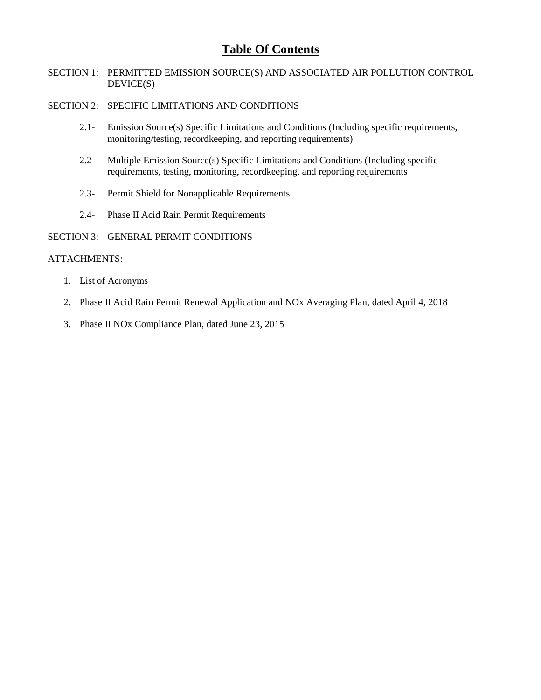# **Table Of Contents**

SECTION 1: PERMITTED EMISSION SOURCE(S) AND ASSOCIATED AIR POLLUTION CONTROL DEVICE(S)

#### SECTION 2: SPECIFIC LIMITATIONS AND CONDITIONS

- 2.1- Emission Source(s) Specific Limitations and Conditions (Including specific requirements, monitoring/testing, recordkeeping, and reporting requirements)
- 2.2- Multiple Emission Source(s) Specific Limitations and Conditions (Including specific requirements, testing, monitoring, recordkeeping, and reporting requirements
- 2.3- Permit Shield for Nonapplicable Requirements
- 2.4- Phase II Acid Rain Permit Requirements

#### SECTION 3: GENERAL PERMIT CONDITIONS

## ATTACHMENTS:

- 1. List of Acronyms
- 2. Phase II Acid Rain Permit Renewal Application and NOx Averaging Plan, dated April 4, 2018
- 3. Phase II NOx Compliance Plan, dated June 23, 2015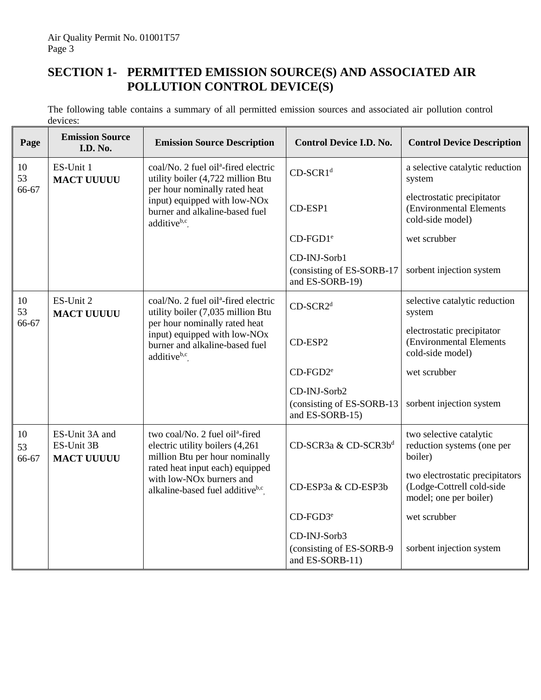# **SECTION 1- PERMITTED EMISSION SOURCE(S) AND ASSOCIATED AIR POLLUTION CONTROL DEVICE(S)**

<span id="page-8-4"></span><span id="page-8-3"></span><span id="page-8-2"></span><span id="page-8-1"></span><span id="page-8-0"></span>The following table contains a summary of all permitted emission sources and associated air pollution control devices:

| Page              | <b>Emission Source</b><br>I.D. No.                | <b>Emission Source Description</b>                                                                                                       | <b>Control Device I.D. No.</b>                               | <b>Control Device Description</b>                                                      |
|-------------------|---------------------------------------------------|------------------------------------------------------------------------------------------------------------------------------------------|--------------------------------------------------------------|----------------------------------------------------------------------------------------|
| 10<br>53          | ES-Unit 1<br><b>MACT UUUUU</b>                    | coal/No. 2 fuel oil <sup>a</sup> -fired electric<br>utility boiler (4,722 million Btu                                                    | CD-SCR1 <sup>d</sup>                                         | a selective catalytic reduction<br>system                                              |
| 66-67             |                                                   | per hour nominally rated heat<br>input) equipped with low-NO <sub>x</sub><br>burner and alkaline-based fuel<br>additive <sup>b,c</sup> . | CD-ESP1                                                      | electrostatic precipitator<br>(Environmental Elements<br>cold-side model)              |
|                   |                                                   |                                                                                                                                          | $CD$ -FGD1 <sup>e</sup>                                      | wet scrubber                                                                           |
|                   |                                                   |                                                                                                                                          | CD-INJ-Sorb1<br>(consisting of ES-SORB-17<br>and ES-SORB-19) | sorbent injection system                                                               |
| 10<br>53          | ES-Unit 2<br><b>MACT UUUUU</b>                    | coal/No. 2 fuel oil <sup>a</sup> -fired electric<br>utility boiler (7,035 million Btu                                                    | CD-SCR2 <sup>d</sup>                                         | selective catalytic reduction<br>system                                                |
| 66-67             |                                                   | per hour nominally rated heat<br>input) equipped with low-NOx<br>burner and alkaline-based fuel<br>additiveb,c                           | CD-ESP2                                                      | electrostatic precipitator<br>(Environmental Elements<br>cold-side model)              |
|                   |                                                   |                                                                                                                                          | $CD$ -FGD $2^e$                                              | wet scrubber                                                                           |
|                   |                                                   |                                                                                                                                          | CD-INJ-Sorb2<br>(consisting of ES-SORB-13<br>and ES-SORB-15) | sorbent injection system                                                               |
| 10<br>53<br>66-67 | ES-Unit 3A and<br>ES-Unit 3B<br><b>MACT UUUUU</b> | two coal/No. 2 fuel oil <sup>a</sup> -fired<br>electric utility boilers (4,261<br>million Btu per hour nominally                         | CD-SCR3a & CD-SCR3bd                                         | two selective catalytic<br>reduction systems (one per<br>boiler)                       |
|                   |                                                   | rated heat input each) equipped<br>with low-NO <sub>x</sub> burners and<br>alkaline-based fuel additive <sup>b,c</sup> .                 | CD-ESP3a & CD-ESP3b                                          | two electrostatic precipitators<br>(Lodge-Cottrell cold-side<br>model; one per boiler) |
|                   |                                                   |                                                                                                                                          | $CD$ -FGD3 <sup>e</sup>                                      | wet scrubber                                                                           |
|                   |                                                   |                                                                                                                                          | CD-INJ-Sorb3                                                 |                                                                                        |
|                   |                                                   |                                                                                                                                          | (consisting of ES-SORB-9<br>and ES-SORB-11)                  | sorbent injection system                                                               |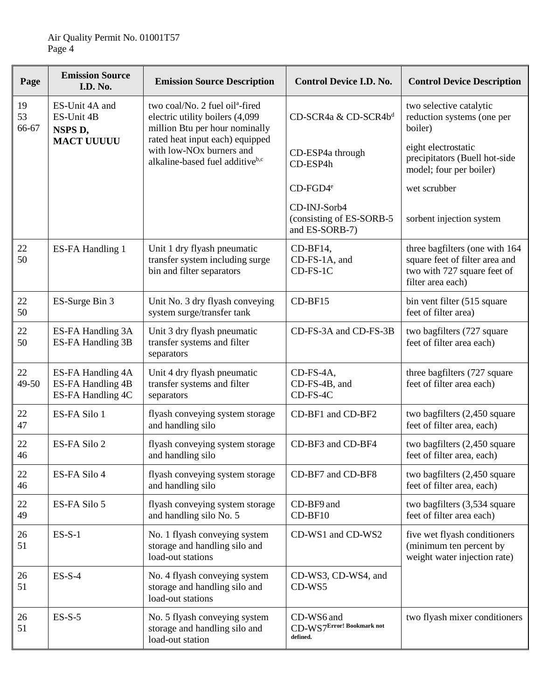| Page              | <b>Emission Source</b><br><b>I.D. No.</b>                   | <b>Emission Source Description</b>                                                                                                          | <b>Control Device I.D. No.</b>                              | <b>Control Device Description</b>                                                                                    |
|-------------------|-------------------------------------------------------------|---------------------------------------------------------------------------------------------------------------------------------------------|-------------------------------------------------------------|----------------------------------------------------------------------------------------------------------------------|
| 19<br>53<br>66-67 | ES-Unit 4A and<br>ES-Unit 4B<br>NSPS D,                     | two coal/No. 2 fuel oil <sup>a</sup> -fired<br>electric utility boilers (4,099<br>million Btu per hour nominally                            | CD-SCR4a & CD-SCR4b <sup>d</sup>                            | two selective catalytic<br>reduction systems (one per<br>boiler)                                                     |
|                   |                                                             | rated heat input each) equipped<br><b>MACT UUUUU</b><br>with low-NO <sub>x</sub> burners and<br>alkaline-based fuel additive <sup>b,c</sup> | CD-ESP4a through<br>CD-ESP4h                                | eight electrostatic<br>precipitators (Buell hot-side<br>model; four per boiler)                                      |
|                   |                                                             |                                                                                                                                             | $CD$ -FGD4 $e$                                              | wet scrubber                                                                                                         |
|                   |                                                             |                                                                                                                                             | CD-INJ-Sorb4<br>(consisting of ES-SORB-5)<br>and ES-SORB-7) | sorbent injection system                                                                                             |
| 22<br>50          | ES-FA Handling 1                                            | Unit 1 dry flyash pneumatic<br>transfer system including surge<br>bin and filter separators                                                 | CD-BF14,<br>CD-FS-1A, and<br>CD-FS-1C                       | three bagfilters (one with 164<br>square feet of filter area and<br>two with 727 square feet of<br>filter area each) |
| 22<br>50          | ES-Surge Bin 3                                              | Unit No. 3 dry flyash conveying<br>system surge/transfer tank                                                                               | $CD-BF15$                                                   | bin vent filter (515 square)<br>feet of filter area)                                                                 |
| 22<br>50          | ES-FA Handling 3A<br>ES-FA Handling 3B                      | Unit 3 dry flyash pneumatic<br>transfer systems and filter<br>separators                                                                    | CD-FS-3A and CD-FS-3B                                       | two bagfilters (727 square<br>feet of filter area each)                                                              |
| 22<br>49-50       | ES-FA Handling 4A<br>ES-FA Handling 4B<br>ES-FA Handling 4C | Unit 4 dry flyash pneumatic<br>transfer systems and filter<br>separators                                                                    | CD-FS-4A,<br>CD-FS-4B, and<br>CD-FS-4C                      | three bagfilters (727 square<br>feet of filter area each)                                                            |
| 22<br>47          | ES-FA Silo 1                                                | flyash conveying system storage<br>and handling silo                                                                                        | CD-BF1 and CD-BF2                                           | two bagfilters (2,450 square<br>feet of filter area, each)                                                           |
| 22<br>46          | ES-FA Silo 2                                                | flyash conveying system storage<br>and handling silo                                                                                        | CD-BF3 and CD-BF4                                           | two bagfilters (2,450 square<br>feet of filter area, each)                                                           |
| 22<br>46          | ES-FA Silo 4                                                | flyash conveying system storage<br>and handling silo                                                                                        | CD-BF7 and CD-BF8                                           | two bagfilters (2,450 square<br>feet of filter area, each)                                                           |
| 22<br>49          | ES-FA Silo 5                                                | flyash conveying system storage<br>and handling silo No. 5                                                                                  | CD-BF9 and<br>CD-BF10                                       | two bagfilters (3,534 square<br>feet of filter area each)                                                            |
| 26<br>51          | $ES-S-1$                                                    | No. 1 flyash conveying system<br>storage and handling silo and<br>load-out stations                                                         | CD-WS1 and CD-WS2                                           | five wet flyash conditioners<br>(minimum ten percent by<br>weight water injection rate)                              |
| 26<br>51          | $ES-S-4$                                                    | No. 4 flyash conveying system<br>storage and handling silo and<br>load-out stations                                                         | CD-WS3, CD-WS4, and<br>CD-WS5                               |                                                                                                                      |
| 26<br>51          | $ES-S-5$                                                    | No. 5 flyash conveying system<br>storage and handling silo and<br>load-out station                                                          | CD-WS6 and<br>CD-WS7Error! Bookmark not<br>defined.         | two flyash mixer conditioners                                                                                        |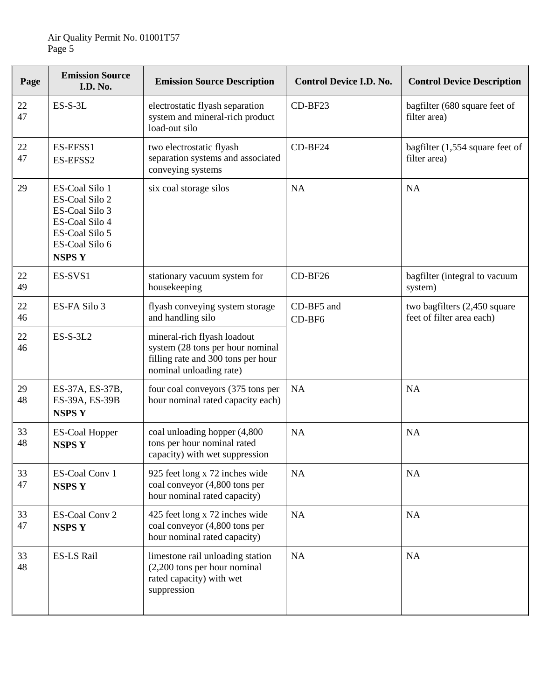| Page     | <b>Emission Source</b><br><b>I.D. No.</b>                                                                                | <b>Emission Source Description</b>                                                                                               | <b>Control Device I.D. No.</b> | <b>Control Device Description</b>                         |
|----------|--------------------------------------------------------------------------------------------------------------------------|----------------------------------------------------------------------------------------------------------------------------------|--------------------------------|-----------------------------------------------------------|
| 22<br>47 | $ES-S-3L$                                                                                                                | electrostatic flyash separation<br>system and mineral-rich product<br>load-out silo                                              | CD-BF23                        | bagfilter (680 square feet of<br>filter area)             |
| 22<br>47 | ES-EFSS1<br>ES-EFSS2                                                                                                     | two electrostatic flyash<br>separation systems and associated<br>conveying systems                                               | CD-BF24                        | bagfilter (1,554 square feet of<br>filter area)           |
| 29       | ES-Coal Silo 1<br>ES-Coal Silo 2<br>ES-Coal Silo 3<br>ES-Coal Silo 4<br>ES-Coal Silo 5<br>ES-Coal Silo 6<br><b>NSPSY</b> | six coal storage silos                                                                                                           | NA                             | <b>NA</b>                                                 |
| 22<br>49 | ES-SVS1                                                                                                                  | stationary vacuum system for<br>housekeeping                                                                                     | CD-BF26                        | bagfilter (integral to vacuum<br>system)                  |
| 22<br>46 | ES-FA Silo 3                                                                                                             | flyash conveying system storage<br>and handling silo                                                                             | CD-BF5 and<br>CD-BF6           | two bagfilters (2,450 square<br>feet of filter area each) |
| 22<br>46 | $ES-S-3L2$                                                                                                               | mineral-rich flyash loadout<br>system (28 tons per hour nominal<br>filling rate and 300 tons per hour<br>nominal unloading rate) |                                |                                                           |
| 29<br>48 | ES-37A, ES-37B,<br>ES-39A, ES-39B<br><b>NSPSY</b>                                                                        | four coal conveyors (375 tons per<br>hour nominal rated capacity each)                                                           | NA                             | <b>NA</b>                                                 |
| 33<br>48 | <b>ES-Coal Hopper</b><br><b>NSPSY</b>                                                                                    | coal unloading hopper (4,800<br>tons per hour nominal rated<br>capacity) with wet suppression                                    | NA                             | NA                                                        |
| 33<br>47 | ES-Coal Conv 1<br><b>NSPSY</b>                                                                                           | 925 feet long x 72 inches wide<br>coal conveyor (4,800 tons per<br>hour nominal rated capacity)                                  | NA                             | <b>NA</b>                                                 |
| 33<br>47 | ES-Coal Conv 2<br><b>NSPSY</b>                                                                                           | 425 feet long x 72 inches wide<br>coal conveyor (4,800 tons per<br>hour nominal rated capacity)                                  | NA                             | <b>NA</b>                                                 |
| 33<br>48 | ES-LS Rail                                                                                                               | limestone rail unloading station<br>$(2,200)$ tons per hour nominal<br>rated capacity) with wet<br>suppression                   | NA                             | <b>NA</b>                                                 |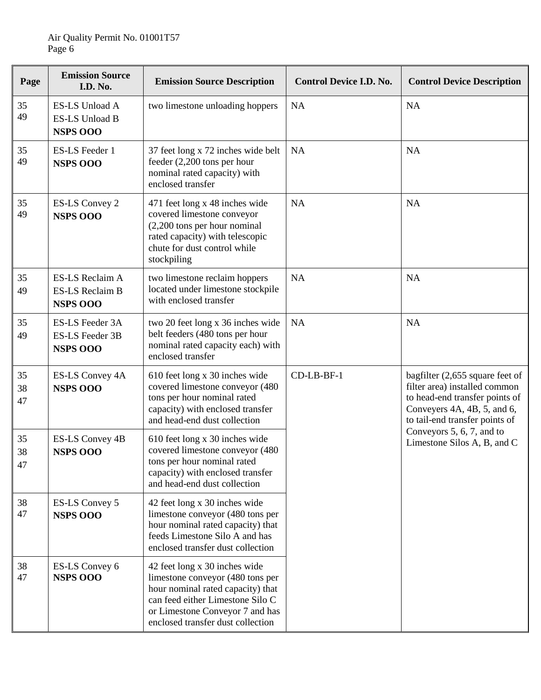| Page           | <b>Emission Source</b><br><b>I.D. No.</b>                           | <b>Emission Source Description</b>                                                                                                                                                                                 | <b>Control Device I.D. No.</b> | <b>Control Device Description</b>                                                                                                                                      |
|----------------|---------------------------------------------------------------------|--------------------------------------------------------------------------------------------------------------------------------------------------------------------------------------------------------------------|--------------------------------|------------------------------------------------------------------------------------------------------------------------------------------------------------------------|
| 35<br>49       | <b>ES-LS Unload A</b><br><b>ES-LS Unload B</b><br><b>NSPS 000</b>   | two limestone unloading hoppers                                                                                                                                                                                    | NA                             | <b>NA</b>                                                                                                                                                              |
| 35<br>49       | <b>ES-LS</b> Feeder 1<br><b>NSPS 000</b>                            | 37 feet long x 72 inches wide belt<br>feeder $(2,200$ tons per hour<br>nominal rated capacity) with<br>enclosed transfer                                                                                           | NA                             | <b>NA</b>                                                                                                                                                              |
| 35<br>49       | <b>ES-LS Convey 2</b><br><b>NSPS 000</b>                            | 471 feet long x 48 inches wide<br>covered limestone conveyor<br>$(2,200)$ tons per hour nominal<br>rated capacity) with telescopic<br>chute for dust control while<br>stockpiling                                  | NA                             | <b>NA</b>                                                                                                                                                              |
| 35<br>49       | ES-LS Reclaim A<br><b>ES-LS Reclaim B</b><br><b>NSPS OOO</b>        | two limestone reclaim hoppers<br>located under limestone stockpile<br>with enclosed transfer                                                                                                                       | NA                             | <b>NA</b>                                                                                                                                                              |
| 35<br>49       | <b>ES-LS Feeder 3A</b><br><b>ES-LS Feeder 3B</b><br><b>NSPS 000</b> | two 20 feet long x 36 inches wide<br>belt feeders (480 tons per hour<br>nominal rated capacity each) with<br>enclosed transfer                                                                                     | <b>NA</b>                      | <b>NA</b>                                                                                                                                                              |
| 35<br>38<br>47 | ES-LS Convey 4A<br><b>NSPS OOO</b>                                  | 610 feet long x 30 inches wide<br>covered limestone conveyor (480<br>tons per hour nominal rated<br>capacity) with enclosed transfer<br>and head-end dust collection                                               | CD-LB-BF-1                     | bagfilter $(2,655)$ square feet of<br>filter area) installed common<br>to head-end transfer points of<br>Conveyers 4A, 4B, 5, and 6,<br>to tail-end transfer points of |
| 35<br>38<br>47 | ES-LS Convey 4B<br><b>NSPS OOO</b>                                  | 610 feet long x 30 inches wide<br>covered limestone conveyor (480<br>tons per hour nominal rated<br>capacity) with enclosed transfer<br>and head-end dust collection                                               |                                | Conveyors 5, 6, 7, and to<br>Limestone Silos A, B, and C                                                                                                               |
| 38<br>47       | <b>ES-LS Convey 5</b><br><b>NSPS OOO</b>                            | 42 feet long x 30 inches wide<br>limestone conveyor (480 tons per<br>hour nominal rated capacity) that<br>feeds Limestone Silo A and has<br>enclosed transfer dust collection                                      |                                |                                                                                                                                                                        |
| 38<br>47       | ES-LS Convey 6<br><b>NSPS OOO</b>                                   | 42 feet long x 30 inches wide<br>limestone conveyor (480 tons per<br>hour nominal rated capacity) that<br>can feed either Limestone Silo C<br>or Limestone Conveyor 7 and has<br>enclosed transfer dust collection |                                |                                                                                                                                                                        |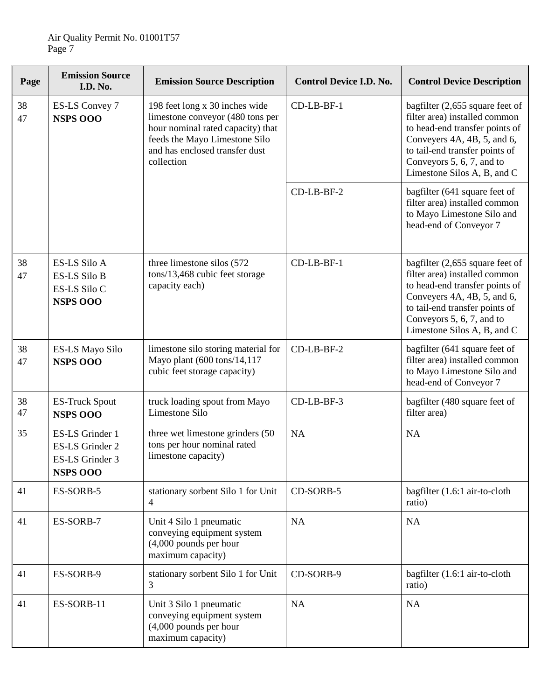| Page     | <b>Emission Source</b><br><b>I.D. No.</b>                                     | <b>Emission Source Description</b>                                                                                                                                                       | <b>Control Device I.D. No.</b> | <b>Control Device Description</b>                                                                                                                                                                                               |
|----------|-------------------------------------------------------------------------------|------------------------------------------------------------------------------------------------------------------------------------------------------------------------------------------|--------------------------------|---------------------------------------------------------------------------------------------------------------------------------------------------------------------------------------------------------------------------------|
| 38<br>47 | ES-LS Convey 7<br><b>NSPS OOO</b>                                             | 198 feet long x 30 inches wide<br>limestone conveyor (480 tons per<br>hour nominal rated capacity) that<br>feeds the Mayo Limestone Silo<br>and has enclosed transfer dust<br>collection | CD-LB-BF-1                     | bagfilter (2,655 square feet of<br>filter area) installed common<br>to head-end transfer points of<br>Conveyers 4A, 4B, 5, and 6,<br>to tail-end transfer points of<br>Conveyors 5, 6, 7, and to<br>Limestone Silos A, B, and C |
|          |                                                                               |                                                                                                                                                                                          | CD-LB-BF-2                     | bagfilter (641 square feet of<br>filter area) installed common<br>to Mayo Limestone Silo and<br>head-end of Conveyor 7                                                                                                          |
| 38<br>47 | <b>ES-LS Silo A</b><br><b>ES-LS Silo B</b><br>ES-LS Silo C<br><b>NSPS 000</b> | three limestone silos (572)<br>tons/13,468 cubic feet storage<br>capacity each)                                                                                                          | CD-LB-BF-1                     | bagfilter (2,655 square feet of<br>filter area) installed common<br>to head-end transfer points of<br>Conveyers 4A, 4B, 5, and 6,<br>to tail-end transfer points of<br>Conveyors 5, 6, 7, and to<br>Limestone Silos A, B, and C |
| 38<br>47 | ES-LS Mayo Silo<br><b>NSPS OOO</b>                                            | limestone silo storing material for<br>Mayo plant (600 tons/14,117<br>cubic feet storage capacity)                                                                                       | CD-LB-BF-2                     | bagfilter (641 square feet of<br>filter area) installed common<br>to Mayo Limestone Silo and<br>head-end of Conveyor 7                                                                                                          |
| 38<br>47 | <b>ES-Truck Spout</b><br><b>NSPS 000</b>                                      | truck loading spout from Mayo<br>Limestone Silo                                                                                                                                          | CD-LB-BF-3                     | bagfilter (480 square feet of<br>filter area)                                                                                                                                                                                   |
| 35       | ES-LS Grinder 1<br>ES-LS Grinder 2<br>ES-LS Grinder 3<br><b>NSPS OOO</b>      | three wet limestone grinders (50<br>tons per hour nominal rated<br>limestone capacity)                                                                                                   | NA                             | <b>NA</b>                                                                                                                                                                                                                       |
| 41       | ES-SORB-5                                                                     | stationary sorbent Silo 1 for Unit<br>4                                                                                                                                                  | CD-SORB-5                      | bagfilter (1.6:1 air-to-cloth<br>ratio)                                                                                                                                                                                         |
| 41       | ES-SORB-7                                                                     | Unit 4 Silo 1 pneumatic<br>conveying equipment system<br>$(4,000$ pounds per hour<br>maximum capacity)                                                                                   | NA                             | <b>NA</b>                                                                                                                                                                                                                       |
| 41       | ES-SORB-9                                                                     | stationary sorbent Silo 1 for Unit<br>3                                                                                                                                                  | CD-SORB-9                      | bagfilter (1.6:1 air-to-cloth<br>ratio)                                                                                                                                                                                         |
| 41       | ES-SORB-11                                                                    | Unit 3 Silo 1 pneumatic<br>conveying equipment system<br>$(4,000$ pounds per hour<br>maximum capacity)                                                                                   | NA                             | <b>NA</b>                                                                                                                                                                                                                       |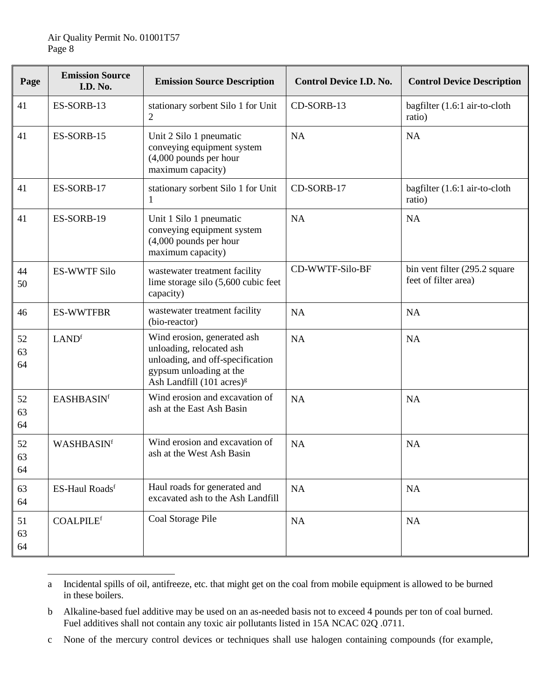| Page           | <b>Emission Source</b><br>I.D. No. | <b>Emission Source Description</b>                                                                                                                             | <b>Control Device I.D. No.</b> | <b>Control Device Description</b>                     |
|----------------|------------------------------------|----------------------------------------------------------------------------------------------------------------------------------------------------------------|--------------------------------|-------------------------------------------------------|
| 41             | ES-SORB-13                         | stationary sorbent Silo 1 for Unit<br>$\overline{2}$                                                                                                           | CD-SORB-13                     | bagfilter (1.6:1 air-to-cloth<br>ratio)               |
| 41             | ES-SORB-15                         | Unit 2 Silo 1 pneumatic<br>conveying equipment system<br>$(4,000$ pounds per hour<br>maximum capacity)                                                         | NA                             | NA                                                    |
| 41             | ES-SORB-17                         | stationary sorbent Silo 1 for Unit<br>1                                                                                                                        | CD-SORB-17                     | bagfilter (1.6:1 air-to-cloth<br>ratio)               |
| 41             | ES-SORB-19                         | Unit 1 Silo 1 pneumatic<br>conveying equipment system<br>$(4,000$ pounds per hour<br>maximum capacity)                                                         | <b>NA</b>                      | <b>NA</b>                                             |
| 44<br>50       | <b>ES-WWTF Silo</b>                | wastewater treatment facility<br>lime storage silo (5,600 cubic feet<br>capacity)                                                                              | CD-WWTF-Silo-BF                | bin vent filter (295.2 square<br>feet of filter area) |
| 46             | <b>ES-WWTFBR</b>                   | wastewater treatment facility<br>(bio-reactor)                                                                                                                 | <b>NA</b>                      | <b>NA</b>                                             |
| 52<br>63<br>64 | LAND <sup>f</sup>                  | Wind erosion, generated ash<br>unloading, relocated ash<br>unloading, and off-specification<br>gypsum unloading at the<br>Ash Landfill $(101 \text{ acres})^g$ | <b>NA</b>                      | <b>NA</b>                                             |
| 52<br>63<br>64 | <b>EASHBASINf</b>                  | Wind erosion and excavation of<br>ash at the East Ash Basin                                                                                                    | <b>NA</b>                      | NA                                                    |
| 52<br>63<br>64 | WASHBASINf                         | Wind erosion and excavation of<br>ash at the West Ash Basin                                                                                                    | NA                             | <b>NA</b>                                             |
| 63<br>64       | ES-Haul Roadsf                     | Haul roads for generated and<br>excavated ash to the Ash Landfill                                                                                              | NA                             | NA                                                    |
| 51<br>63<br>64 | <b>COALPILEf</b>                   | Coal Storage Pile                                                                                                                                              | NA                             | NA                                                    |

a Incidental spills of oil, antifreeze, etc. that might get on the coal from mobile equipment is allowed to be burned in these boilers.  $\overline{\phantom{a}}$ 

b Alkaline-based fuel additive may be used on an as-needed basis not to exceed 4 pounds per ton of coal burned. Fuel additives shall not contain any toxic air pollutants listed in 15A NCAC 02Q .0711.

c None of the mercury control devices or techniques shall use halogen containing compounds (for example,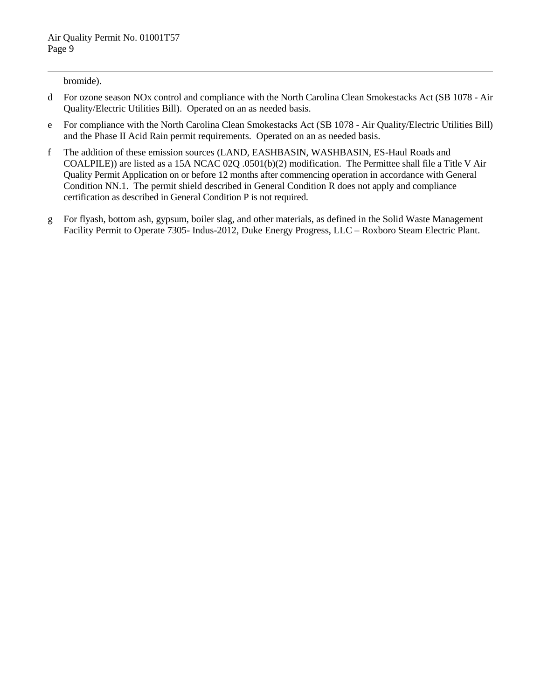bromide).

 $\overline{a}$ 

- d For ozone season NOx control and compliance with the North Carolina Clean Smokestacks Act (SB 1078 Air Quality/Electric Utilities Bill). Operated on an as needed basis.
- e For compliance with the North Carolina Clean Smokestacks Act (SB 1078 Air Quality/Electric Utilities Bill) and the Phase II Acid Rain permit requirements. Operated on an as needed basis.
- f The addition of these emission sources (LAND, EASHBASIN, WASHBASIN, ES-Haul Roads and COALPILE)) are listed as a 15A NCAC 02Q .0501(b)(2) modification. The Permittee shall file a Title V Air Quality Permit Application on or before 12 months after commencing operation in accordance with General Condition NN.1. The permit shield described in General Condition R does not apply and compliance certification as described in General Condition P is not required.
- g For flyash, bottom ash, gypsum, boiler slag, and other materials, as defined in the Solid Waste Management Facility Permit to Operate 7305- Indus-2012, Duke Energy Progress, LLC – Roxboro Steam Electric Plant.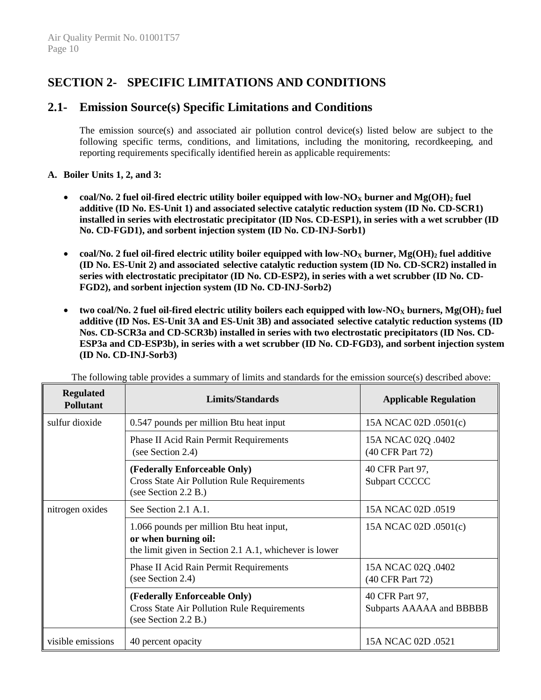# **SECTION 2- SPECIFIC LIMITATIONS AND CONDITIONS**

# **2.1- Emission Source(s) Specific Limitations and Conditions**

The emission source(s) and associated air pollution control device(s) listed below are subject to the following specific terms, conditions, and limitations, including the monitoring, recordkeeping, and reporting requirements specifically identified herein as applicable requirements:

# **A. Boiler Units 1, 2, and 3:**

- **coal/No. 2 fuel oil-fired electric utility boiler equipped with low-NO<sup>X</sup> burner and Mg(OH)<sup>2</sup> fuel additive (ID No. ES-Unit 1) and associated selective catalytic reduction system (ID No. CD-SCR1) installed in series with electrostatic precipitator (ID Nos. CD-ESP1), in series with a wet scrubber (ID No. CD-FGD1), and sorbent injection system (ID No. CD-INJ-Sorb1)**
- **coal/No. 2 fuel oil-fired electric utility boiler equipped with low-NO<sup>X</sup> burner, Mg(OH)<sup>2</sup> fuel additive (ID No. ES-Unit 2) and associated selective catalytic reduction system (ID No. CD-SCR2) installed in series with electrostatic precipitator (ID No. CD-ESP2), in series with a wet scrubber (ID No. CD-FGD2), and sorbent injection system (ID No. CD-INJ-Sorb2)**
- **two coal/No. 2 fuel oil-fired electric utility boilers each equipped with low-NO<sup>X</sup> burners, Mg(OH)<sup>2</sup> fuel additive (ID Nos. ES-Unit 3A and ES-Unit 3B) and associated selective catalytic reduction systems (ID Nos. CD-SCR3a and CD-SCR3b) installed in series with two electrostatic precipitators (ID Nos. CD-ESP3a and CD-ESP3b), in series with a wet scrubber (ID No. CD-FGD3), and sorbent injection system (ID No. CD-INJ-Sorb3)**

| <b>Regulated</b><br><b>Pollutant</b> | <b>Limits/Standards</b>                                                                                                    | <b>Applicable Regulation</b>                       |
|--------------------------------------|----------------------------------------------------------------------------------------------------------------------------|----------------------------------------------------|
| sulfur dioxide                       | 0.547 pounds per million Btu heat input                                                                                    | 15A NCAC 02D .0501(c)                              |
|                                      | Phase II Acid Rain Permit Requirements<br>(see Section 2.4)                                                                | 15A NCAC 02Q .0402<br>(40 CFR Part 72)             |
|                                      | (Federally Enforceable Only)<br><b>Cross State Air Pollution Rule Requirements</b><br>(see Section 2.2 B.)                 | 40 CFR Part 97,<br>Subpart CCCCC                   |
| nitrogen oxides                      | See Section 2.1 A.1.                                                                                                       | 15A NCAC 02D .0519                                 |
|                                      | 1.066 pounds per million Btu heat input,<br>or when burning oil:<br>the limit given in Section 2.1 A.1, whichever is lower | 15A NCAC 02D .0501(c)                              |
|                                      | Phase II Acid Rain Permit Requirements<br>(see Section 2.4)                                                                | 15A NCAC 02Q .0402<br>(40 CFR Part 72)             |
|                                      | (Federally Enforceable Only)<br><b>Cross State Air Pollution Rule Requirements</b><br>(see Section 2.2 B.)                 | 40 CFR Part 97,<br><b>Subparts AAAAA and BBBBB</b> |
| visible emissions                    | 40 percent opacity                                                                                                         | 15A NCAC 02D .0521                                 |

The following table provides a summary of limits and standards for the emission source(s) described above: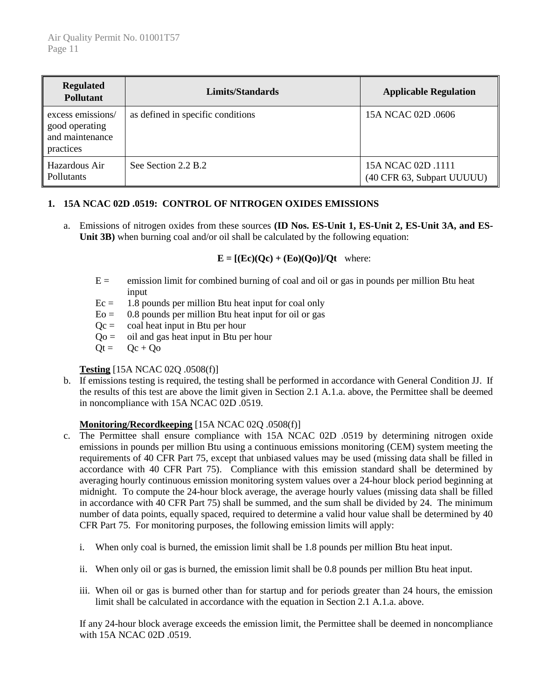| <b>Regulated</b><br><b>Pollutant</b>                                | <b>Limits/Standards</b>           | <b>Applicable Regulation</b>                     |
|---------------------------------------------------------------------|-----------------------------------|--------------------------------------------------|
| excess emissions/<br>good operating<br>and maintenance<br>practices | as defined in specific conditions | 15A NCAC 02D .0606                               |
| Hazardous Air<br>Pollutants                                         | See Section 2.2 B.2               | 15A NCAC 02D .1111<br>(40 CFR 63, Subpart UUUUU) |

# **1. 15A NCAC 02D .0519: CONTROL OF NITROGEN OXIDES EMISSIONS**

a. Emissions of nitrogen oxides from these sources **(ID Nos. ES-Unit 1, ES-Unit 2, ES-Unit 3A, and ES-**Unit 3B) when burning coal and/or oil shall be calculated by the following equation:

 $E = [(Ec)(Qc) + (Eo)(Qo)]/Qt$  where:

- $E =$  emission limit for combined burning of coal and oil or gas in pounds per million Btu heat input
- $Ec = 1.8$  pounds per million Btu heat input for coal only
- $E_0 = 0.8$  pounds per million Btu heat input for oil or gas
- $Qc = \text{coal heat input in Btu per hour}$
- $Qo =$  oil and gas heat input in Btu per hour
- $Qt = Qc + Qo$

# **Testing** [15A NCAC 02Q .0508(f)]

b. If emissions testing is required, the testing shall be performed in accordance with General Condition JJ. If the results of this test are above the limit given in Section 2.1 A.1.a. above, the Permittee shall be deemed in noncompliance with 15A NCAC 02D .0519.

# **Monitoring/Recordkeeping** [15A NCAC 02Q .0508(f)]

- c. The Permittee shall ensure compliance with 15A NCAC 02D .0519 by determining nitrogen oxide emissions in pounds per million Btu using a continuous emissions monitoring (CEM) system meeting the requirements of 40 CFR Part 75, except that unbiased values may be used (missing data shall be filled in accordance with 40 CFR Part 75). Compliance with this emission standard shall be determined by averaging hourly continuous emission monitoring system values over a 24-hour block period beginning at midnight. To compute the 24-hour block average, the average hourly values (missing data shall be filled in accordance with 40 CFR Part 75) shall be summed, and the sum shall be divided by 24. The minimum number of data points, equally spaced, required to determine a valid hour value shall be determined by 40 CFR Part 75. For monitoring purposes, the following emission limits will apply:
	- i. When only coal is burned, the emission limit shall be 1.8 pounds per million Btu heat input.
	- ii. When only oil or gas is burned, the emission limit shall be 0.8 pounds per million Btu heat input.
	- iii. When oil or gas is burned other than for startup and for periods greater than 24 hours, the emission limit shall be calculated in accordance with the equation in Section 2.1 A.1.a. above.

If any 24-hour block average exceeds the emission limit, the Permittee shall be deemed in noncompliance with 15A NCAC 02D .0519.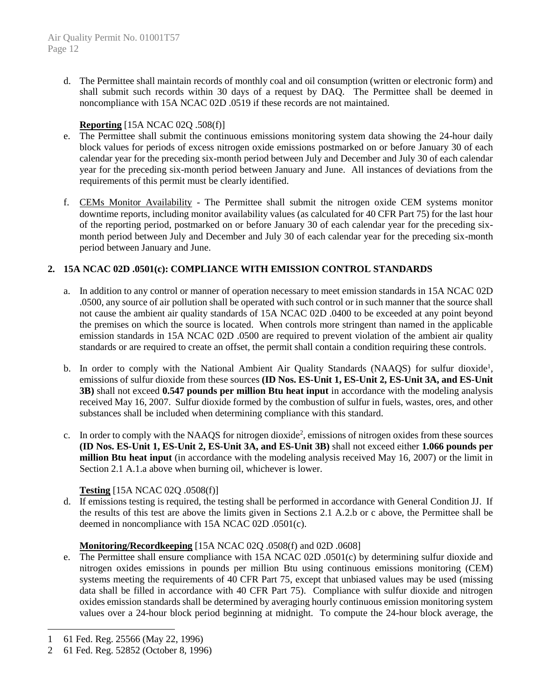d. The Permittee shall maintain records of monthly coal and oil consumption (written or electronic form) and shall submit such records within 30 days of a request by DAQ. The Permittee shall be deemed in noncompliance with 15A NCAC 02D .0519 if these records are not maintained.

# **Reporting** [15A NCAC 02Q .508(f)]

- e. The Permittee shall submit the continuous emissions monitoring system data showing the 24-hour daily block values for periods of excess nitrogen oxide emissions postmarked on or before January 30 of each calendar year for the preceding six-month period between July and December and July 30 of each calendar year for the preceding six-month period between January and June. All instances of deviations from the requirements of this permit must be clearly identified.
- f. CEMs Monitor Availability The Permittee shall submit the nitrogen oxide CEM systems monitor downtime reports, including monitor availability values (as calculated for 40 CFR Part 75) for the last hour of the reporting period, postmarked on or before January 30 of each calendar year for the preceding sixmonth period between July and December and July 30 of each calendar year for the preceding six-month period between January and June.

# **2. 15A NCAC 02D .0501(c): COMPLIANCE WITH EMISSION CONTROL STANDARDS**

- a. In addition to any control or manner of operation necessary to meet emission standards in 15A NCAC 02D .0500, any source of air pollution shall be operated with such control or in such manner that the source shall not cause the ambient air quality standards of 15A NCAC 02D .0400 to be exceeded at any point beyond the premises on which the source is located. When controls more stringent than named in the applicable emission standards in 15A NCAC 02D .0500 are required to prevent violation of the ambient air quality standards or are required to create an offset, the permit shall contain a condition requiring these controls.
- b. In order to comply with the National Ambient Air Quality Standards (NAAQS) for sulfur dioxide<sup>1</sup>, emissions of sulfur dioxide from these sources **(ID Nos. ES-Unit 1, ES-Unit 2, ES-Unit 3A, and ES-Unit 3B)** shall not exceed **0.547 pounds per million Btu heat input** in accordance with the modeling analysis received May 16, 2007. Sulfur dioxide formed by the combustion of sulfur in fuels, wastes, ores, and other substances shall be included when determining compliance with this standard.
- c. In order to comply with the NAAQS for nitrogen dioxide<sup>2</sup>, emissions of nitrogen oxides from these sources **(ID Nos. ES-Unit 1, ES-Unit 2, ES-Unit 3A, and ES-Unit 3B)** shall not exceed either **1.066 pounds per million Btu heat input** (in accordance with the modeling analysis received May 16, 2007) or the limit in Section 2.1 A.1.a above when burning oil, whichever is lower.

# **Testing** [15A NCAC 02Q .0508(f)]

d. If emissions testing is required, the testing shall be performed in accordance with General Condition JJ. If the results of this test are above the limits given in Sections 2.1 A.2.b or c above, the Permittee shall be deemed in noncompliance with 15A NCAC 02D .0501(c).

# **Monitoring/Recordkeeping** [15A NCAC 02Q .0508(f) and 02D .0608]

e. The Permittee shall ensure compliance with 15A NCAC 02D .0501(c) by determining sulfur dioxide and nitrogen oxides emissions in pounds per million Btu using continuous emissions monitoring (CEM) systems meeting the requirements of 40 CFR Part 75, except that unbiased values may be used (missing data shall be filled in accordance with 40 CFR Part 75). Compliance with sulfur dioxide and nitrogen oxides emission standards shall be determined by averaging hourly continuous emission monitoring system values over a 24-hour block period beginning at midnight. To compute the 24-hour block average, the

 $\overline{a}$ 

<sup>1</sup> 61 Fed. Reg. 25566 (May 22, 1996)

<sup>2</sup> 61 Fed. Reg. 52852 (October 8, 1996)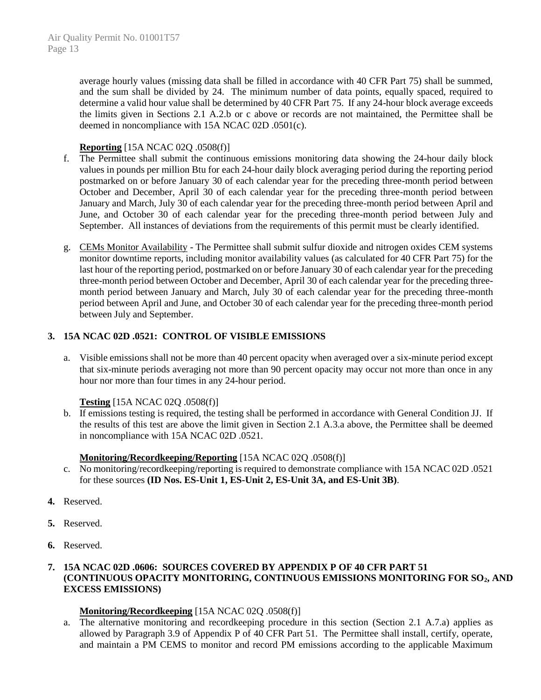average hourly values (missing data shall be filled in accordance with 40 CFR Part 75) shall be summed, and the sum shall be divided by 24. The minimum number of data points, equally spaced, required to determine a valid hour value shall be determined by 40 CFR Part 75. If any 24-hour block average exceeds the limits given in Sections 2.1 A.2.b or c above or records are not maintained, the Permittee shall be deemed in noncompliance with 15A NCAC 02D .0501(c).

## **Reporting** [15A NCAC 02Q .0508(f)]

- f. The Permittee shall submit the continuous emissions monitoring data showing the 24-hour daily block values in pounds per million Btu for each 24-hour daily block averaging period during the reporting period postmarked on or before January 30 of each calendar year for the preceding three-month period between October and December, April 30 of each calendar year for the preceding three-month period between January and March, July 30 of each calendar year for the preceding three-month period between April and June, and October 30 of each calendar year for the preceding three-month period between July and September. All instances of deviations from the requirements of this permit must be clearly identified.
- g. CEMs Monitor Availability The Permittee shall submit sulfur dioxide and nitrogen oxides CEM systems monitor downtime reports, including monitor availability values (as calculated for 40 CFR Part 75) for the last hour of the reporting period, postmarked on or before January 30 of each calendar year for the preceding three-month period between October and December, April 30 of each calendar year for the preceding threemonth period between January and March, July 30 of each calendar year for the preceding three-month period between April and June, and October 30 of each calendar year for the preceding three-month period between July and September.

# **3. 15A NCAC 02D .0521: CONTROL OF VISIBLE EMISSIONS**

a. Visible emissions shall not be more than 40 percent opacity when averaged over a six-minute period except that six-minute periods averaging not more than 90 percent opacity may occur not more than once in any hour nor more than four times in any 24-hour period.

# **Testing** [15A NCAC 02Q .0508(f)]

b. If emissions testing is required, the testing shall be performed in accordance with General Condition JJ. If the results of this test are above the limit given in Section 2.1 A.3.a above, the Permittee shall be deemed in noncompliance with 15A NCAC 02D .0521.

#### **Monitoring/Recordkeeping/Reporting** [15A NCAC 02Q .0508(f)]

- c. No monitoring/recordkeeping/reporting is required to demonstrate compliance with 15A NCAC 02D .0521 for these sources **(ID Nos. ES-Unit 1, ES-Unit 2, ES-Unit 3A, and ES-Unit 3B)**.
- **4.** Reserved.
- **5.** Reserved.
- **6.** Reserved.

# **7. 15A NCAC 02D .0606: SOURCES COVERED BY APPENDIX P OF 40 CFR PART 51 (CONTINUOUS OPACITY MONITORING, CONTINUOUS EMISSIONS MONITORING FOR SO2, AND EXCESS EMISSIONS)**

# **Monitoring/Recordkeeping** [15A NCAC 02Q .0508(f)]

a. The alternative monitoring and recordkeeping procedure in this section (Section 2.1 A.7.a) applies as allowed by Paragraph 3.9 of Appendix P of 40 CFR Part 51. The Permittee shall install, certify, operate, and maintain a PM CEMS to monitor and record PM emissions according to the applicable Maximum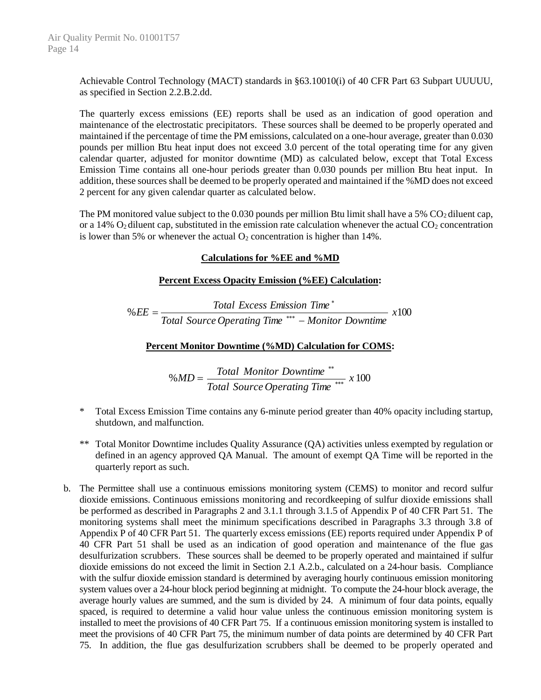Achievable Control Technology (MACT) standards in §63.10010(i) of 40 CFR Part 63 Subpart UUUUU, as specified in Section 2.2.B.2.dd.

The quarterly excess emissions (EE) reports shall be used as an indication of good operation and maintenance of the electrostatic precipitators. These sources shall be deemed to be properly operated and maintained if the percentage of time the PM emissions, calculated on a one-hour average, greater than 0.030 pounds per million Btu heat input does not exceed 3.0 percent of the total operating time for any given calendar quarter, adjusted for monitor downtime (MD) as calculated below, except that Total Excess Emission Time contains all one-hour periods greater than 0.030 pounds per million Btu heat input. In addition, these sources shall be deemed to be properly operated and maintained if the %MD does not exceed 2 percent for any given calendar quarter as calculated below.

The PM monitored value subject to the 0.030 pounds per million Btu limit shall have a 5%  $CO<sub>2</sub>$  diluent cap, or a 14%  $O_2$  diluent cap, substituted in the emission rate calculation whenever the actual  $CO_2$  concentration is lower than 5% or whenever the actual  $O_2$  concentration is higher than 14%.

## **Calculations for %EE and %MD**

## **Percent Excess Opacity Emission (%EE) Calculation:**

 $\%EE = \frac{1000 \text{ Hz}}{1000 \text{ Hz}} \times 100$ *Total Source Operating Time Monitor Downtime Total Excess Emission Time EE* −  $=\frac{1000 \text{ Exercises} \text{ Lmass}}{Total \text{ Source} \text{ Operating Time} \text{***}}$ \*

## **Percent Monitor Downtime (%MD) Calculation for COMS:**

$$
\% MD = \frac{Total\, monitor\,Downtime}{Total\,Source\,Operating\,Time}^{***} \times 100
$$

- \* Total Excess Emission Time contains any 6-minute period greater than 40% opacity including startup, shutdown, and malfunction.
- \*\* Total Monitor Downtime includes Quality Assurance (QA) activities unless exempted by regulation or defined in an agency approved QA Manual. The amount of exempt QA Time will be reported in the quarterly report as such.
- b. The Permittee shall use a continuous emissions monitoring system (CEMS) to monitor and record sulfur dioxide emissions. Continuous emissions monitoring and recordkeeping of sulfur dioxide emissions shall be performed as described in Paragraphs 2 and 3.1.1 through 3.1.5 of Appendix P of 40 CFR Part 51. The monitoring systems shall meet the minimum specifications described in Paragraphs 3.3 through 3.8 of Appendix P of 40 CFR Part 51. The quarterly excess emissions (EE) reports required under Appendix P of 40 CFR Part 51 shall be used as an indication of good operation and maintenance of the flue gas desulfurization scrubbers. These sources shall be deemed to be properly operated and maintained if sulfur dioxide emissions do not exceed the limit in Section 2.1 A.2.b., calculated on a 24-hour basis. Compliance with the sulfur dioxide emission standard is determined by averaging hourly continuous emission monitoring system values over a 24-hour block period beginning at midnight. To compute the 24-hour block average, the average hourly values are summed, and the sum is divided by 24. A minimum of four data points, equally spaced, is required to determine a valid hour value unless the continuous emission monitoring system is installed to meet the provisions of 40 CFR Part 75. If a continuous emission monitoring system is installed to meet the provisions of 40 CFR Part 75, the minimum number of data points are determined by 40 CFR Part 75. In addition, the flue gas desulfurization scrubbers shall be deemed to be properly operated and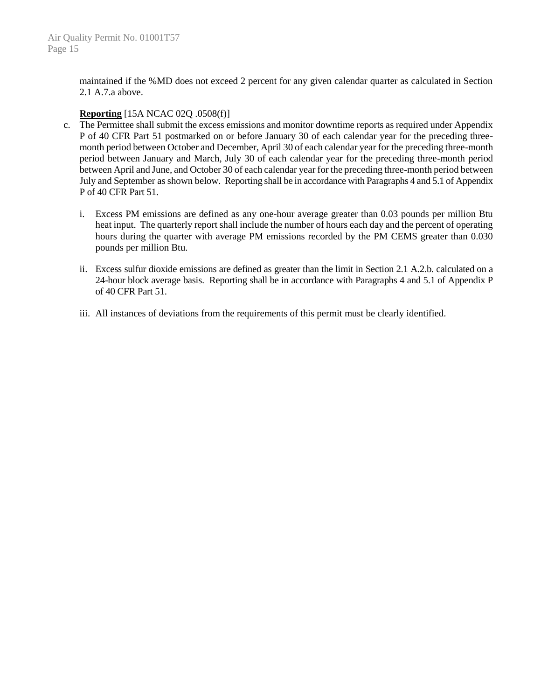maintained if the %MD does not exceed 2 percent for any given calendar quarter as calculated in Section 2.1 A.7.a above.

## **Reporting** [15A NCAC 02Q .0508(f)]

- c. The Permittee shall submit the excess emissions and monitor downtime reports as required under Appendix P of 40 CFR Part 51 postmarked on or before January 30 of each calendar year for the preceding threemonth period between October and December, April 30 of each calendar year for the preceding three-month period between January and March, July 30 of each calendar year for the preceding three-month period between April and June, and October 30 of each calendar year for the preceding three-month period between July and September as shown below. Reporting shall be in accordance with Paragraphs 4 and 5.1 of Appendix P of 40 CFR Part 51.
	- i. Excess PM emissions are defined as any one-hour average greater than 0.03 pounds per million Btu heat input. The quarterly report shall include the number of hours each day and the percent of operating hours during the quarter with average PM emissions recorded by the PM CEMS greater than 0.030 pounds per million Btu.
	- ii. Excess sulfur dioxide emissions are defined as greater than the limit in Section 2.1 A.2.b. calculated on a 24-hour block average basis. Reporting shall be in accordance with Paragraphs 4 and 5.1 of Appendix P of 40 CFR Part 51.
	- iii. All instances of deviations from the requirements of this permit must be clearly identified.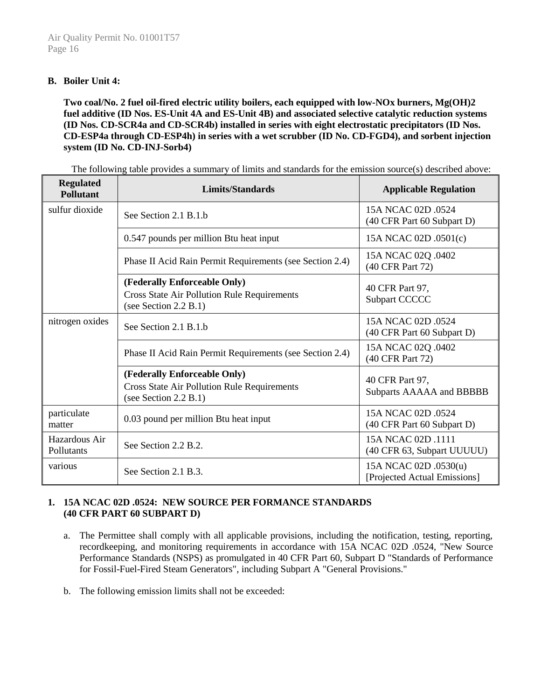# **B. Boiler Unit 4:**

**Two coal/No. 2 fuel oil-fired electric utility boilers, each equipped with low-NOx burners, Mg(OH)2 fuel additive (ID Nos. ES-Unit 4A and ES-Unit 4B) and associated selective catalytic reduction systems (ID Nos. CD-SCR4a and CD-SCR4b) installed in series with eight electrostatic precipitators (ID Nos. CD-ESP4a through CD-ESP4h) in series with a wet scrubber (ID No. CD-FGD4), and sorbent injection system (ID No. CD-INJ-Sorb4)**

| <b>Regulated</b><br><b>Pollutant</b> | <b>Limits/Standards</b>                                                                                     | <b>Applicable Regulation</b>                          |
|--------------------------------------|-------------------------------------------------------------------------------------------------------------|-------------------------------------------------------|
| sulfur dioxide                       | See Section 2.1 B.1 b                                                                                       | 15A NCAC 02D .0524<br>(40 CFR Part 60 Subpart D)      |
|                                      | 0.547 pounds per million Btu heat input                                                                     | 15A NCAC 02D .0501(c)                                 |
|                                      | Phase II Acid Rain Permit Requirements (see Section 2.4)                                                    | 15A NCAC 02Q .0402<br>(40 CFR Part 72)                |
|                                      | (Federally Enforceable Only)<br><b>Cross State Air Pollution Rule Requirements</b><br>(see Section 2.2 B.1) | 40 CFR Part 97,<br>Subpart CCCCC                      |
| nitrogen oxides                      | See Section 2.1 B.1.b                                                                                       | 15A NCAC 02D .0524<br>(40 CFR Part 60 Subpart D)      |
|                                      | Phase II Acid Rain Permit Requirements (see Section 2.4)                                                    | 15A NCAC 02Q .0402<br>(40 CFR Part 72)                |
|                                      | (Federally Enforceable Only)<br><b>Cross State Air Pollution Rule Requirements</b><br>(see Section 2.2 B.1) | 40 CFR Part 97,<br><b>Subparts AAAAA and BBBBB</b>    |
| particulate<br>matter                | 0.03 pound per million Btu heat input                                                                       | 15A NCAC 02D .0524<br>(40 CFR Part 60 Subpart D)      |
| Hazardous Air<br>Pollutants          | See Section 2.2 B.2.                                                                                        | 15A NCAC 02D .1111<br>(40 CFR 63, Subpart UUUUU)      |
| various                              | See Section 2.1 B.3.                                                                                        | 15A NCAC 02D .0530(u)<br>[Projected Actual Emissions] |

The following table provides a summary of limits and standards for the emission source(s) described above:

# **1. 15A NCAC 02D .0524: NEW SOURCE PER FORMANCE STANDARDS (40 CFR PART 60 SUBPART D)**

- a. The Permittee shall comply with all applicable provisions, including the notification, testing, reporting, recordkeeping, and monitoring requirements in accordance with 15A NCAC 02D .0524, "New Source Performance Standards (NSPS) as promulgated in 40 CFR Part 60, Subpart D "Standards of Performance for Fossil-Fuel-Fired Steam Generators", including Subpart A "General Provisions."
- b. The following emission limits shall not be exceeded: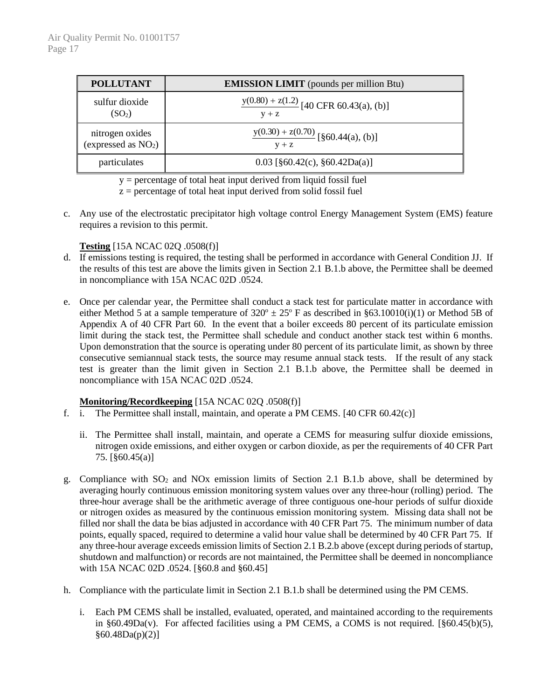| <b>POLLUTANT</b>      | <b>EMISSION LIMIT</b> (pounds per million Btu) |
|-----------------------|------------------------------------------------|
| sulfur dioxide        | $y(0.80) + z(1.2)$ [40 CFR 60.43(a), (b)]      |
| (SO <sub>2</sub> )    | $V + Z$                                        |
| nitrogen oxides       | $y(0.30) + z(0.70)$ [§60.44(a), (b)]           |
| (expressed as $NO2$ ) | $y + z$                                        |
| particulates          | $0.03$ [§60.42(c), §60.42Da(a)]                |

y = percentage of total heat input derived from liquid fossil fuel

 $z =$  percentage of total heat input derived from solid fossil fuel

c. Any use of the electrostatic precipitator high voltage control Energy Management System (EMS) feature requires a revision to this permit.

#### **Testing** [15A NCAC 02Q .0508(f)]

- d. If emissions testing is required, the testing shall be performed in accordance with General Condition JJ. If the results of this test are above the limits given in Section 2.1 B.1.b above, the Permittee shall be deemed in noncompliance with 15A NCAC 02D .0524.
- e. Once per calendar year, the Permittee shall conduct a stack test for particulate matter in accordance with either Method 5 at a sample temperature of  $320^{\circ} \pm 25^{\circ}$  F as described in §63.10010(i)(1) or Method 5B of Appendix A of 40 CFR Part 60. In the event that a boiler exceeds 80 percent of its particulate emission limit during the stack test, the Permittee shall schedule and conduct another stack test within 6 months. Upon demonstration that the source is operating under 80 percent of its particulate limit, as shown by three consecutive semiannual stack tests, the source may resume annual stack tests. If the result of any stack test is greater than the limit given in Section 2.1 B.1.b above, the Permittee shall be deemed in noncompliance with 15A NCAC 02D .0524.

#### **Monitoring/Recordkeeping** [15A NCAC 02Q .0508(f)]

- f. i. The Permittee shall install, maintain, and operate a PM CEMS. [40 CFR 60.42(c)]
	- ii. The Permittee shall install, maintain, and operate a CEMS for measuring sulfur dioxide emissions, nitrogen oxide emissions, and either oxygen or carbon dioxide, as per the requirements of 40 CFR Part 75. [§60.45(a)]
- g. Compliance with SO<sup>2</sup> and NOx emission limits of Section 2.1 B.1.b above, shall be determined by averaging hourly continuous emission monitoring system values over any three-hour (rolling) period. The three-hour average shall be the arithmetic average of three contiguous one-hour periods of sulfur dioxide or nitrogen oxides as measured by the continuous emission monitoring system. Missing data shall not be filled nor shall the data be bias adjusted in accordance with 40 CFR Part 75. The minimum number of data points, equally spaced, required to determine a valid hour value shall be determined by 40 CFR Part 75. If any three-hour average exceeds emission limits of Section 2.1 B.2.b above (except during periods of startup, shutdown and malfunction) or records are not maintained, the Permittee shall be deemed in noncompliance with 15A NCAC 02D .0524. [§60.8 and §60.45]
- h. Compliance with the particulate limit in Section 2.1 B.1.b shall be determined using the PM CEMS.
	- i. Each PM CEMS shall be installed, evaluated, operated, and maintained according to the requirements in §60.49Da(v). For affected facilities using a PM CEMS, a COMS is not required. [§60.45(b)(5),  $§60.48Da(p)(2)]$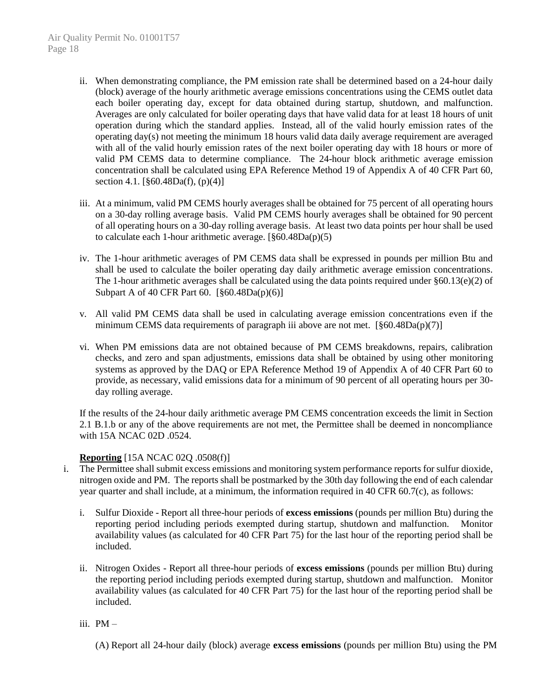- ii. When demonstrating compliance, the PM emission rate shall be determined based on a 24-hour daily (block) average of the hourly arithmetic average emissions concentrations using the CEMS outlet data each boiler operating day, except for data obtained during startup, shutdown, and malfunction. Averages are only calculated for boiler operating days that have valid data for at least 18 hours of unit operation during which the standard applies. Instead, all of the valid hourly emission rates of the operating day(s) not meeting the minimum 18 hours valid data daily average requirement are averaged with all of the valid hourly emission rates of the next boiler operating day with 18 hours or more of valid PM CEMS data to determine compliance. The 24-hour block arithmetic average emission concentration shall be calculated using EPA Reference Method 19 of Appendix A of 40 CFR Part 60, section 4.1.  $[\S 60.48Da(f), (p)(4)]$
- iii. At a minimum, valid PM CEMS hourly averages shall be obtained for 75 percent of all operating hours on a 30-day rolling average basis. Valid PM CEMS hourly averages shall be obtained for 90 percent of all operating hours on a 30-day rolling average basis. At least two data points per hour shall be used to calculate each 1-hour arithmetic average. [§60.48Da(p)(5)
- iv. The 1-hour arithmetic averages of PM CEMS data shall be expressed in pounds per million Btu and shall be used to calculate the boiler operating day daily arithmetic average emission concentrations. The 1-hour arithmetic averages shall be calculated using the data points required under §60.13(e)(2) of Subpart A of 40 CFR Part 60. [§60.48Da(p)(6)]
- v. All valid PM CEMS data shall be used in calculating average emission concentrations even if the minimum CEMS data requirements of paragraph iii above are not met.  $\lceil \frac{860.48Da(p)}{7} \rceil$
- vi. When PM emissions data are not obtained because of PM CEMS breakdowns, repairs, calibration checks, and zero and span adjustments, emissions data shall be obtained by using other monitoring systems as approved by the DAQ or EPA Reference Method 19 of Appendix A of 40 CFR Part 60 to provide, as necessary, valid emissions data for a minimum of 90 percent of all operating hours per 30 day rolling average.

If the results of the 24-hour daily arithmetic average PM CEMS concentration exceeds the limit in Section 2.1 B.1.b or any of the above requirements are not met, the Permittee shall be deemed in noncompliance with 15A NCAC 02D .0524.

#### **Reporting** [15A NCAC 02Q .0508(f)]

- i. The Permittee shall submit excess emissions and monitoring system performance reports for sulfur dioxide, nitrogen oxide and PM. The reports shall be postmarked by the 30th day following the end of each calendar year quarter and shall include, at a minimum, the information required in 40 CFR 60.7(c), as follows:
	- i. Sulfur Dioxide Report all three-hour periods of **excess emissions** (pounds per million Btu) during the reporting period including periods exempted during startup, shutdown and malfunction. Monitor availability values (as calculated for 40 CFR Part 75) for the last hour of the reporting period shall be included.
	- ii. Nitrogen Oxides Report all three-hour periods of **excess emissions** (pounds per million Btu) during the reporting period including periods exempted during startup, shutdown and malfunction. Monitor availability values (as calculated for 40 CFR Part 75) for the last hour of the reporting period shall be included.
	- iii. PM
		- (A) Report all 24-hour daily (block) average **excess emissions** (pounds per million Btu) using the PM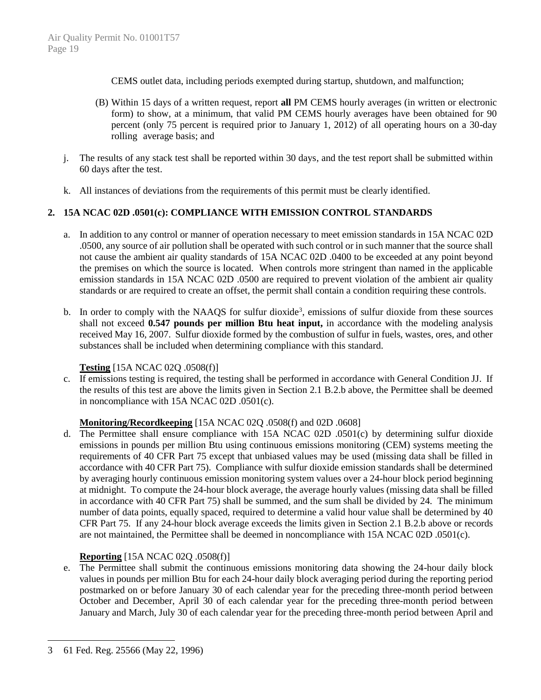CEMS outlet data, including periods exempted during startup, shutdown, and malfunction;

- (B) Within 15 days of a written request, report **all** PM CEMS hourly averages (in written or electronic form) to show, at a minimum, that valid PM CEMS hourly averages have been obtained for 90 percent (only 75 percent is required prior to January 1, 2012) of all operating hours on a 30-day rolling average basis; and
- j. The results of any stack test shall be reported within 30 days, and the test report shall be submitted within 60 days after the test.
- k. All instances of deviations from the requirements of this permit must be clearly identified.

# **2. 15A NCAC 02D .0501(c): COMPLIANCE WITH EMISSION CONTROL STANDARDS**

- a. In addition to any control or manner of operation necessary to meet emission standards in 15A NCAC 02D .0500, any source of air pollution shall be operated with such control or in such manner that the source shall not cause the ambient air quality standards of 15A NCAC 02D .0400 to be exceeded at any point beyond the premises on which the source is located. When controls more stringent than named in the applicable emission standards in 15A NCAC 02D .0500 are required to prevent violation of the ambient air quality standards or are required to create an offset, the permit shall contain a condition requiring these controls.
- b. In order to comply with the NAAQS for sulfur dioxide<sup>3</sup>, emissions of sulfur dioxide from these sources shall not exceed **0.547 pounds per million Btu heat input,** in accordance with the modeling analysis received May 16, 2007. Sulfur dioxide formed by the combustion of sulfur in fuels, wastes, ores, and other substances shall be included when determining compliance with this standard.

# **Testing** [15A NCAC 02Q .0508(f)]

c. If emissions testing is required, the testing shall be performed in accordance with General Condition JJ. If the results of this test are above the limits given in Section 2.1 B.2.b above, the Permittee shall be deemed in noncompliance with 15A NCAC 02D .0501(c).

# **Monitoring/Recordkeeping** [15A NCAC 02Q .0508(f) and 02D .0608]

d. The Permittee shall ensure compliance with 15A NCAC 02D .0501(c) by determining sulfur dioxide emissions in pounds per million Btu using continuous emissions monitoring (CEM) systems meeting the requirements of 40 CFR Part 75 except that unbiased values may be used (missing data shall be filled in accordance with 40 CFR Part 75). Compliance with sulfur dioxide emission standards shall be determined by averaging hourly continuous emission monitoring system values over a 24-hour block period beginning at midnight. To compute the 24-hour block average, the average hourly values (missing data shall be filled in accordance with 40 CFR Part 75) shall be summed, and the sum shall be divided by 24. The minimum number of data points, equally spaced, required to determine a valid hour value shall be determined by 40 CFR Part 75. If any 24-hour block average exceeds the limits given in Section 2.1 B.2.b above or records are not maintained, the Permittee shall be deemed in noncompliance with 15A NCAC 02D .0501(c).

# **Reporting** [15A NCAC 02Q .0508(f)]

e. The Permittee shall submit the continuous emissions monitoring data showing the 24-hour daily block values in pounds per million Btu for each 24-hour daily block averaging period during the reporting period postmarked on or before January 30 of each calendar year for the preceding three-month period between October and December, April 30 of each calendar year for the preceding three-month period between January and March, July 30 of each calendar year for the preceding three-month period between April and

 $\overline{a}$ 

<sup>3</sup> 61 Fed. Reg. 25566 (May 22, 1996)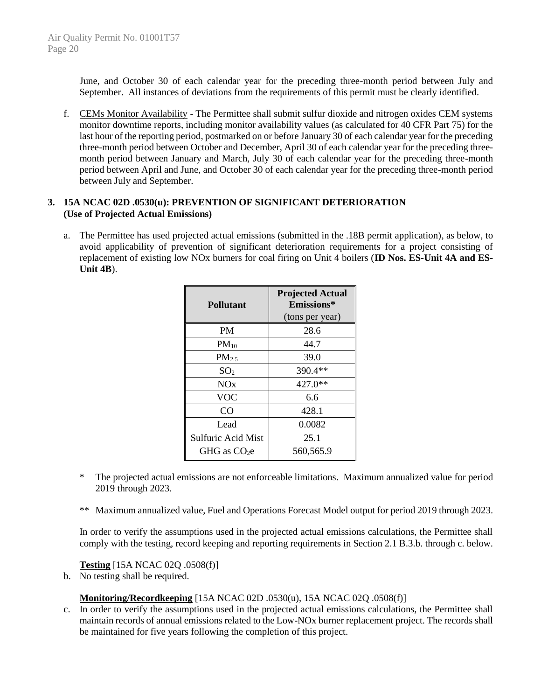June, and October 30 of each calendar year for the preceding three-month period between July and September. All instances of deviations from the requirements of this permit must be clearly identified.

f. CEMs Monitor Availability - The Permittee shall submit sulfur dioxide and nitrogen oxides CEM systems monitor downtime reports, including monitor availability values (as calculated for 40 CFR Part 75) for the last hour of the reporting period, postmarked on or before January 30 of each calendar year for the preceding three-month period between October and December, April 30 of each calendar year for the preceding threemonth period between January and March, July 30 of each calendar year for the preceding three-month period between April and June, and October 30 of each calendar year for the preceding three-month period between July and September.

## **3. 15A NCAC 02D .0530(u): PREVENTION OF SIGNIFICANT DETERIORATION (Use of Projected Actual Emissions)**

a. The Permittee has used projected actual emissions (submitted in the .18B permit application), as below, to avoid applicability of prevention of significant deterioration requirements for a project consisting of replacement of existing low NOx burners for coal firing on Unit 4 boilers (**ID Nos. ES-Unit 4A and ES-Unit 4B**).

| <b>Pollutant</b>          | <b>Projected Actual</b><br>Emissions*<br>(tons per year) |
|---------------------------|----------------------------------------------------------|
| <b>PM</b>                 | 28.6                                                     |
| $PM_{10}$                 | 44.7                                                     |
| PM <sub>2.5</sub>         | 39.0                                                     |
| SO <sub>2</sub>           | 390.4**                                                  |
| NOx                       | 427.0**                                                  |
| VOC                       | 6.6                                                      |
| CO                        | 428.1                                                    |
| Lead                      | 0.0082                                                   |
| <b>Sulfuric Acid Mist</b> | 25.1                                                     |
| GHG as $CO2e$             | 560,565.9                                                |

- \* The projected actual emissions are not enforceable limitations. Maximum annualized value for period 2019 through 2023.
- \*\* Maximum annualized value, Fuel and Operations Forecast Model output for period 2019 through 2023.

In order to verify the assumptions used in the projected actual emissions calculations, the Permittee shall comply with the testing, record keeping and reporting requirements in Section 2.1 B.3.b. through c. below.

# **Testing** [15A NCAC 02Q .0508(f)]

b. No testing shall be required.

# **Monitoring/Recordkeeping** [15A NCAC 02D .0530(u), 15A NCAC 02Q .0508(f)]

c. In order to verify the assumptions used in the projected actual emissions calculations, the Permittee shall maintain records of annual emissions related to the Low-NOx burner replacement project. The records shall be maintained for five years following the completion of this project.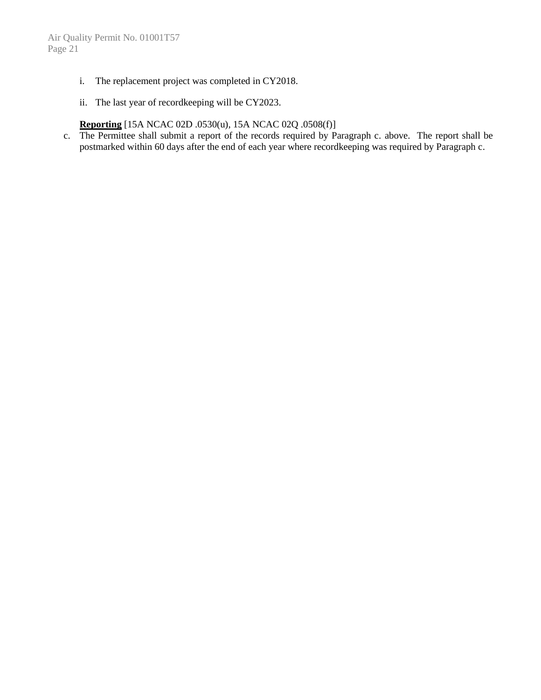- i. The replacement project was completed in CY2018.
- ii. The last year of recordkeeping will be CY2023.

# **Reporting** [15A NCAC 02D .0530(u), 15A NCAC 02Q .0508(f)]

c. The Permittee shall submit a report of the records required by Paragraph c. above. The report shall be postmarked within 60 days after the end of each year where recordkeeping was required by Paragraph c.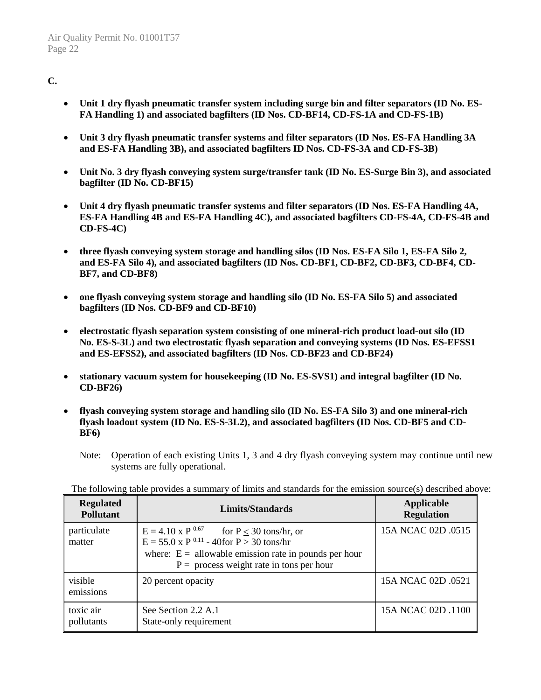# **C.**

- **Unit 1 dry flyash pneumatic transfer system including surge bin and filter separators (ID No. ES-FA Handling 1) and associated bagfilters (ID Nos. CD-BF14, CD-FS-1A and CD-FS-1B)**
- **Unit 3 dry flyash pneumatic transfer systems and filter separators (ID Nos. ES-FA Handling 3A and ES-FA Handling 3B), and associated bagfilters ID Nos. CD-FS-3A and CD-FS-3B)**
- **Unit No. 3 dry flyash conveying system surge/transfer tank (ID No. ES-Surge Bin 3), and associated bagfilter (ID No. CD-BF15)**
- **Unit 4 dry flyash pneumatic transfer systems and filter separators (ID Nos. ES-FA Handling 4A, ES-FA Handling 4B and ES-FA Handling 4C), and associated bagfilters CD-FS-4A, CD-FS-4B and CD-FS-4C)**
- **three flyash conveying system storage and handling silos (ID Nos. ES-FA Silo 1, ES-FA Silo 2, and ES-FA Silo 4), and associated bagfilters (ID Nos. CD-BF1, CD-BF2, CD-BF3, CD-BF4, CD-BF7, and CD-BF8)**
- **one flyash conveying system storage and handling silo (ID No. ES-FA Silo 5) and associated bagfilters (ID Nos. CD-BF9 and CD-BF10)**
- **electrostatic flyash separation system consisting of one mineral-rich product load-out silo (ID No. ES-S-3L) and two electrostatic flyash separation and conveying systems (ID Nos. ES-EFSS1 and ES-EFSS2), and associated bagfilters (ID Nos. CD-BF23 and CD-BF24)**
- **stationary vacuum system for housekeeping (ID No. ES-SVS1) and integral bagfilter (ID No. CD-BF26)**
- **flyash conveying system storage and handling silo (ID No. ES-FA Silo 3) and one mineral-rich flyash loadout system (ID No. ES-S-3L2), and associated bagfilters (ID Nos. CD-BF5 and CD-BF6)**
	- Note: Operation of each existing Units 1, 3 and 4 dry flyash conveying system may continue until new systems are fully operational.

The following table provides a summary of limits and standards for the emission source(s) described above:

| <b>Regulated</b><br><b>Pollutant</b> | Limits/Standards                                                                                                                                                                                                           | Applicable<br><b>Regulation</b> |
|--------------------------------------|----------------------------------------------------------------------------------------------------------------------------------------------------------------------------------------------------------------------------|---------------------------------|
| particulate<br>matter                | $E = 4.10 \text{ x P }^{0.67}$ for $P \le 30$ tons/hr, or<br>$E = 55.0 \times P^{0.11} - 40$ for $P > 30$ tons/hr<br>where: $E =$ allowable emission rate in pounds per hour<br>$P =$ process weight rate in tons per hour | 15A NCAC 02D .0515              |
| visible<br>emissions                 | 20 percent opacity                                                                                                                                                                                                         | 15A NCAC 02D .0521              |
| toxic air<br>pollutants              | See Section 2.2 A.1<br>State-only requirement                                                                                                                                                                              | 15A NCAC 02D .1100              |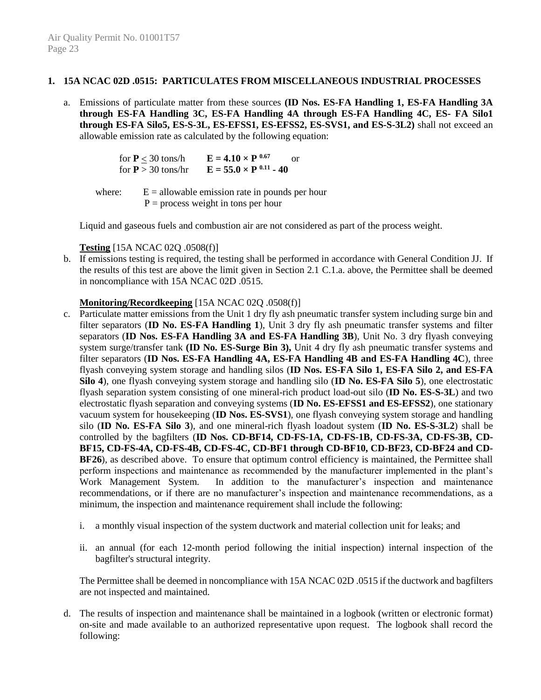#### **1. 15A NCAC 02D .0515: PARTICULATES FROM MISCELLANEOUS INDUSTRIAL PROCESSES**

a. Emissions of particulate matter from these sources **(ID Nos. ES-FA Handling 1, ES-FA Handling 3A through ES-FA Handling 3C, ES-FA Handling 4A through ES-FA Handling 4C, ES- FA Silo1 through ES-FA Silo5, ES-S-3L, ES-EFSS1, ES-EFSS2, ES-SVS1, and ES-S-3L2)** shall not exceed an allowable emission rate as calculated by the following equation:

| for $P < 30$ tons/h  | $E = 4.10 \times P^{0.67}$<br>Ωr |
|----------------------|----------------------------------|
| for $P > 30$ tons/hr | $E = 55.0 \times P^{0.11} - 40$  |

where:  $E =$  allowable emission rate in pounds per hour  $P =$  process weight in tons per hour

Liquid and gaseous fuels and combustion air are not considered as part of the process weight.

**Testing** [15A NCAC 02Q .0508(f)]

b. If emissions testing is required, the testing shall be performed in accordance with General Condition JJ. If the results of this test are above the limit given in Section 2.1 C.1.a. above, the Permittee shall be deemed in noncompliance with 15A NCAC 02D .0515.

#### **Monitoring/Recordkeeping** [15A NCAC 02Q .0508(f)]

- c. Particulate matter emissions from the Unit 1 dry fly ash pneumatic transfer system including surge bin and filter separators (**ID No. ES-FA Handling 1**), Unit 3 dry fly ash pneumatic transfer systems and filter separators (**ID Nos. ES-FA Handling 3A and ES-FA Handling 3B**), Unit No. 3 dry flyash conveying system surge/transfer tank **(ID No. ES-Surge Bin 3),** Unit 4 dry fly ash pneumatic transfer systems and filter separators (**ID Nos. ES-FA Handling 4A, ES-FA Handling 4B and ES-FA Handling 4C**), three flyash conveying system storage and handling silos (**ID Nos. ES-FA Silo 1, ES-FA Silo 2, and ES-FA Silo 4**), one flyash conveying system storage and handling silo (**ID No. ES-FA Silo 5**), one electrostatic flyash separation system consisting of one mineral-rich product load-out silo (**ID No. ES-S-3L**) and two electrostatic flyash separation and conveying systems (**ID No. ES-EFSS1 and ES-EFSS2**), one stationary vacuum system for housekeeping (**ID Nos. ES-SVS1**), one flyash conveying system storage and handling silo (**ID No. ES-FA Silo 3**), and one mineral-rich flyash loadout system (**ID No. ES-S-3L2**) shall be controlled by the bagfilters (**ID Nos. CD-BF14, CD-FS-1A, CD-FS-1B, CD-FS-3A, CD-FS-3B, CD-BF15, CD-FS-4A, CD-FS-4B, CD-FS-4C, CD-BF1 through CD-BF10, CD-BF23, CD-BF24 and CD-BF26**), as described above. To ensure that optimum control efficiency is maintained, the Permittee shall perform inspections and maintenance as recommended by the manufacturer implemented in the plant's Work Management System. In addition to the manufacturer's inspection and maintenance recommendations, or if there are no manufacturer's inspection and maintenance recommendations, as a minimum, the inspection and maintenance requirement shall include the following:
	- i. a monthly visual inspection of the system ductwork and material collection unit for leaks; and
	- ii. an annual (for each 12-month period following the initial inspection) internal inspection of the bagfilter's structural integrity.

The Permittee shall be deemed in noncompliance with 15A NCAC 02D .0515 if the ductwork and bagfilters are not inspected and maintained.

d. The results of inspection and maintenance shall be maintained in a logbook (written or electronic format) on-site and made available to an authorized representative upon request. The logbook shall record the following: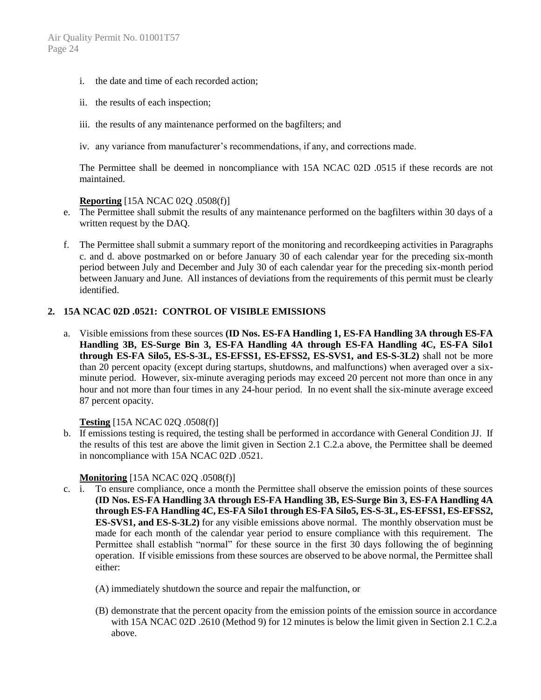- i. the date and time of each recorded action;
- ii. the results of each inspection;
- iii. the results of any maintenance performed on the bagfilters; and
- iv. any variance from manufacturer's recommendations, if any, and corrections made.

The Permittee shall be deemed in noncompliance with 15A NCAC 02D .0515 if these records are not maintained.

#### **Reporting** [15A NCAC 02Q .0508(f)]

- e. The Permittee shall submit the results of any maintenance performed on the bagfilters within 30 days of a written request by the DAQ.
- f. The Permittee shall submit a summary report of the monitoring and recordkeeping activities in Paragraphs c. and d. above postmarked on or before January 30 of each calendar year for the preceding six-month period between July and December and July 30 of each calendar year for the preceding six-month period between January and June. All instances of deviations from the requirements of this permit must be clearly identified.

#### **2. 15A NCAC 02D .0521: CONTROL OF VISIBLE EMISSIONS**

a. Visible emissions from these sources **(ID Nos. ES-FA Handling 1, ES-FA Handling 3A through ES-FA Handling 3B, ES-Surge Bin 3, ES-FA Handling 4A through ES-FA Handling 4C, ES-FA Silo1 through ES-FA Silo5, ES-S-3L, ES-EFSS1, ES-EFSS2, ES-SVS1, and ES-S-3L2)** shall not be more than 20 percent opacity (except during startups, shutdowns, and malfunctions) when averaged over a sixminute period. However, six-minute averaging periods may exceed 20 percent not more than once in any hour and not more than four times in any 24-hour period. In no event shall the six-minute average exceed 87 percent opacity.

#### **Testing** [15A NCAC 02Q .0508(f)]

b. If emissions testing is required, the testing shall be performed in accordance with General Condition JJ. If the results of this test are above the limit given in Section 2.1 C.2.a above, the Permittee shall be deemed in noncompliance with 15A NCAC 02D .0521.

#### **Monitoring** [15A NCAC 02Q .0508(f)]

- c. i. To ensure compliance, once a month the Permittee shall observe the emission points of these sources **(ID Nos. ES-FA Handling 3A through ES-FA Handling 3B, ES-Surge Bin 3, ES-FA Handling 4A through ES-FA Handling 4C, ES-FA Silo1 through ES-FA Silo5, ES-S-3L, ES-EFSS1, ES-EFSS2, ES-SVS1, and ES-S-3L2)** for any visible emissions above normal. The monthly observation must be made for each month of the calendar year period to ensure compliance with this requirement. The Permittee shall establish "normal" for these source in the first 30 days following the of beginning operation. If visible emissions from these sources are observed to be above normal, the Permittee shall either:
	- (A) immediately shutdown the source and repair the malfunction, or
	- (B) demonstrate that the percent opacity from the emission points of the emission source in accordance with 15A NCAC 02D .2610 (Method 9) for 12 minutes is below the limit given in Section 2.1 C.2.a above.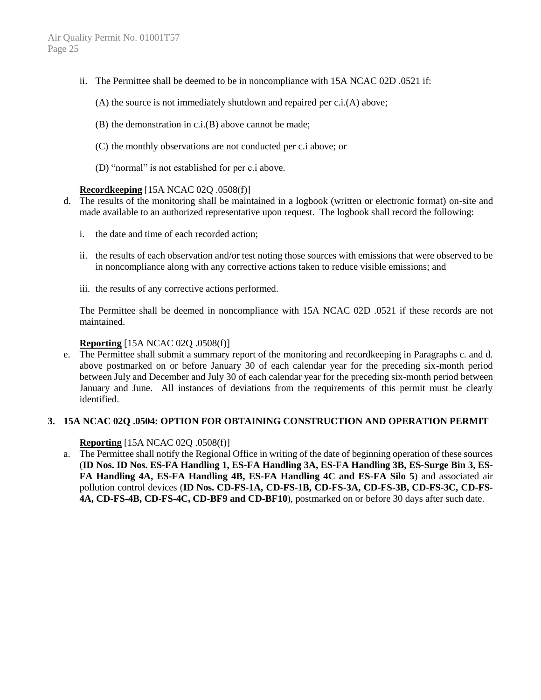- ii. The Permittee shall be deemed to be in noncompliance with 15A NCAC 02D .0521 if:
	- (A) the source is not immediately shutdown and repaired per c.i.(A) above;
	- (B) the demonstration in c.i.(B) above cannot be made;
	- (C) the monthly observations are not conducted per c.i above; or
	- (D) "normal" is not established for per c.i above.

## **Recordkeeping** [15A NCAC 02Q .0508(f)]

- d. The results of the monitoring shall be maintained in a logbook (written or electronic format) on-site and made available to an authorized representative upon request. The logbook shall record the following:
	- i. the date and time of each recorded action;
	- ii. the results of each observation and/or test noting those sources with emissions that were observed to be in noncompliance along with any corrective actions taken to reduce visible emissions; and
	- iii. the results of any corrective actions performed.

The Permittee shall be deemed in noncompliance with 15A NCAC 02D .0521 if these records are not maintained.

#### **Reporting** [15A NCAC 02Q .0508(f)]

e. The Permittee shall submit a summary report of the monitoring and recordkeeping in Paragraphs c. and d. above postmarked on or before January 30 of each calendar year for the preceding six-month period between July and December and July 30 of each calendar year for the preceding six-month period between January and June. All instances of deviations from the requirements of this permit must be clearly identified.

# **3. 15A NCAC 02Q .0504: OPTION FOR OBTAINING CONSTRUCTION AND OPERATION PERMIT**

#### **Reporting** [15A NCAC 02Q .0508(f)]

a. The Permittee shall notify the Regional Office in writing of the date of beginning operation of these sources (**ID Nos. ID Nos. ES-FA Handling 1, ES-FA Handling 3A, ES-FA Handling 3B, ES-Surge Bin 3, ES-FA Handling 4A, ES-FA Handling 4B, ES-FA Handling 4C and ES-FA Silo 5**) and associated air pollution control devices (**ID Nos. CD-FS-1A, CD-FS-1B, CD-FS-3A, CD-FS-3B, CD-FS-3C, CD-FS-4A, CD-FS-4B, CD-FS-4C, CD-BF9 and CD-BF10**), postmarked on or before 30 days after such date.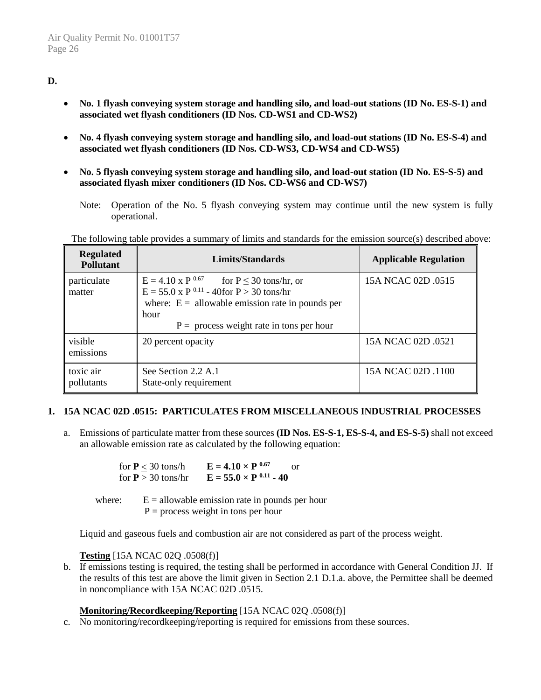# **D.**

- **No. 1 flyash conveying system storage and handling silo, and load-out stations (ID No. ES-S-1) and associated wet flyash conditioners (ID Nos. CD-WS1 and CD-WS2)**
- **No. 4 flyash conveying system storage and handling silo, and load-out stations (ID No. ES-S-4) and associated wet flyash conditioners (ID Nos. CD-WS3, CD-WS4 and CD-WS5)**
- **No. 5 flyash conveying system storage and handling silo, and load-out station (ID No. ES-S-5) and associated flyash mixer conditioners (ID Nos. CD-WS6 and CD-WS7)**
	- Note: Operation of the No. 5 flyash conveying system may continue until the new system is fully operational.

The following table provides a summary of limits and standards for the emission source(s) described above:

| <b>Regulated</b><br><b>Pollutant</b> | Limits/Standards                                                                                                                                                                                                                       | <b>Applicable Regulation</b> |
|--------------------------------------|----------------------------------------------------------------------------------------------------------------------------------------------------------------------------------------------------------------------------------------|------------------------------|
| particulate<br>matter                | $E = 4.10 \text{ x P }^{0.67}$ for $P \le 30 \text{ tons/hr}$ , or<br>$E = 55.0 \times P^{0.11} - 40$ for $P > 30$ tons/hr<br>where: $E =$ allowable emission rate in pounds per<br>hour<br>$P =$ process weight rate in tons per hour | 15A NCAC 02D 0515            |
| visible<br>emissions                 | 20 percent opacity                                                                                                                                                                                                                     | 15A NCAC 02D 0521            |
| toxic air<br>pollutants              | See Section 2.2 A.1<br>State-only requirement                                                                                                                                                                                          | 15A NCAC 02D .1100           |

#### **1. 15A NCAC 02D .0515: PARTICULATES FROM MISCELLANEOUS INDUSTRIAL PROCESSES**

a. Emissions of particulate matter from these sources **(ID Nos. ES-S-1, ES-S-4, and ES-S-5)** shall not exceed an allowable emission rate as calculated by the following equation:

> for  $P < 30$  tons/h **E** = 4.10  $\times$  P <sup>0.67</sup> or for  $P > 30$  tons/hr  $E = 55.0 \times P^{0.11} - 40$

where:  $E =$  allowable emission rate in pounds per hour  $P =$  process weight in tons per hour

Liquid and gaseous fuels and combustion air are not considered as part of the process weight.

#### **Testing** [15A NCAC 02Q .0508(f)]

b. If emissions testing is required, the testing shall be performed in accordance with General Condition JJ. If the results of this test are above the limit given in Section 2.1 D.1.a. above, the Permittee shall be deemed in noncompliance with 15A NCAC 02D .0515.

#### **Monitoring/Recordkeeping/Reporting** [15A NCAC 02Q .0508(f)]

c. No monitoring/recordkeeping/reporting is required for emissions from these sources.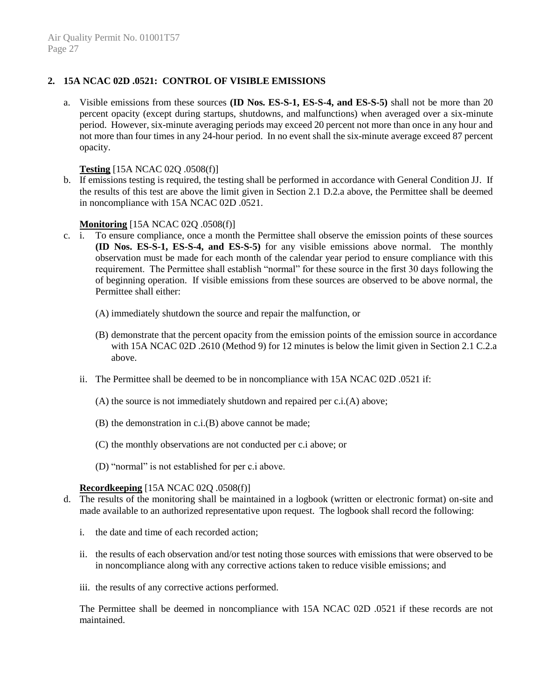## **2. 15A NCAC 02D .0521: CONTROL OF VISIBLE EMISSIONS**

a. Visible emissions from these sources **(ID Nos. ES-S-1, ES-S-4, and ES-S-5)** shall not be more than 20 percent opacity (except during startups, shutdowns, and malfunctions) when averaged over a six-minute period. However, six-minute averaging periods may exceed 20 percent not more than once in any hour and not more than four times in any 24-hour period. In no event shall the six-minute average exceed 87 percent opacity.

#### **Testing** [15A NCAC 02Q .0508(f)]

b. If emissions testing is required, the testing shall be performed in accordance with General Condition JJ. If the results of this test are above the limit given in Section 2.1 D.2.a above, the Permittee shall be deemed in noncompliance with 15A NCAC 02D .0521.

#### **Monitoring** [15A NCAC 02O .0508(f)]

- c. i. To ensure compliance, once a month the Permittee shall observe the emission points of these sources **(ID Nos. ES-S-1, ES-S-4, and ES-S-5)** for any visible emissions above normal. The monthly observation must be made for each month of the calendar year period to ensure compliance with this requirement. The Permittee shall establish "normal" for these source in the first 30 days following the of beginning operation. If visible emissions from these sources are observed to be above normal, the Permittee shall either:
	- (A) immediately shutdown the source and repair the malfunction, or
	- (B) demonstrate that the percent opacity from the emission points of the emission source in accordance with 15A NCAC 02D .2610 (Method 9) for 12 minutes is below the limit given in Section 2.1 C.2.a above.
	- ii. The Permittee shall be deemed to be in noncompliance with 15A NCAC 02D .0521 if:
		- (A) the source is not immediately shutdown and repaired per c.i.(A) above;
		- (B) the demonstration in c.i.(B) above cannot be made;
		- (C) the monthly observations are not conducted per c.i above; or
		- (D) "normal" is not established for per c.i above.

#### **Recordkeeping** [15A NCAC 02Q .0508(f)]

- d. The results of the monitoring shall be maintained in a logbook (written or electronic format) on-site and made available to an authorized representative upon request. The logbook shall record the following:
	- i. the date and time of each recorded action;
	- ii. the results of each observation and/or test noting those sources with emissions that were observed to be in noncompliance along with any corrective actions taken to reduce visible emissions; and
	- iii. the results of any corrective actions performed.

The Permittee shall be deemed in noncompliance with 15A NCAC 02D .0521 if these records are not maintained.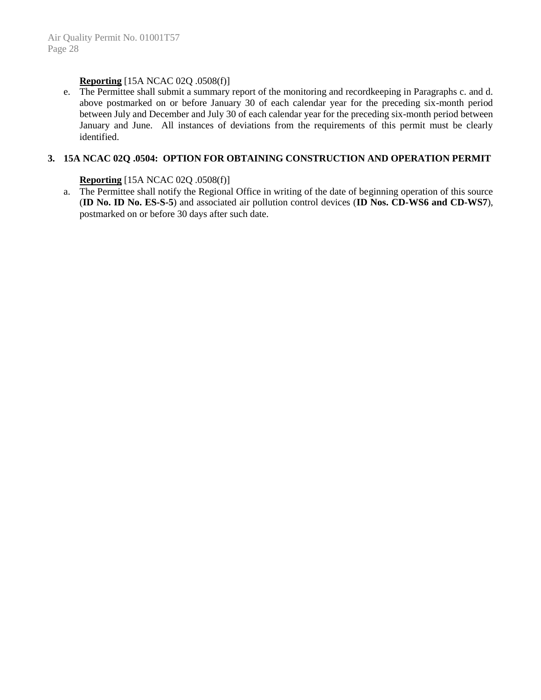# **Reporting** [15A NCAC 02Q .0508(f)]

e. The Permittee shall submit a summary report of the monitoring and recordkeeping in Paragraphs c. and d. above postmarked on or before January 30 of each calendar year for the preceding six-month period between July and December and July 30 of each calendar year for the preceding six-month period between January and June. All instances of deviations from the requirements of this permit must be clearly identified.

#### **3. 15A NCAC 02Q .0504: OPTION FOR OBTAINING CONSTRUCTION AND OPERATION PERMIT**

## **Reporting** [15A NCAC 02Q .0508(f)]

a. The Permittee shall notify the Regional Office in writing of the date of beginning operation of this source (**ID No. ID No. ES-S-5**) and associated air pollution control devices (**ID Nos. CD-WS6 and CD-WS7**), postmarked on or before 30 days after such date.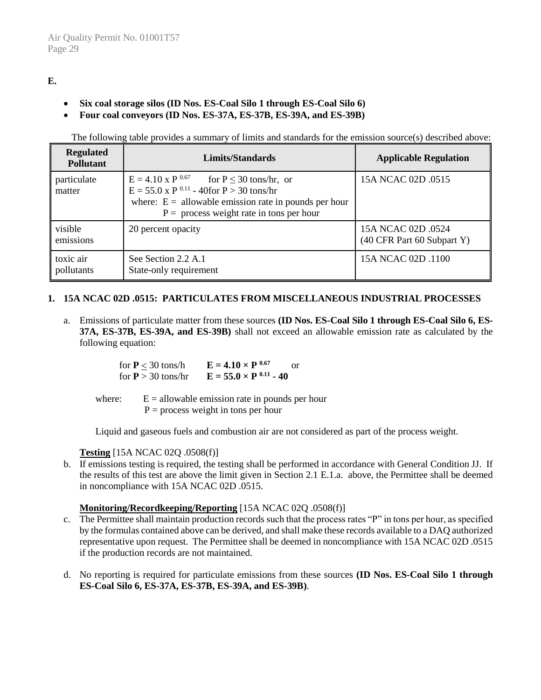# **E.**

- **Six coal storage silos (ID Nos. ES-Coal Silo 1 through ES-Coal Silo 6)**
- **Four coal conveyors (ID Nos. ES-37A, ES-37B, ES-39A, and ES-39B)**

The following table provides a summary of limits and standards for the emission source(s) described above:

| <b>Regulated</b><br><b>Pollutant</b> | Limits/Standards                                                                                                                                                                                                       | <b>Applicable Regulation</b>                     |
|--------------------------------------|------------------------------------------------------------------------------------------------------------------------------------------------------------------------------------------------------------------------|--------------------------------------------------|
| particulate<br>matter                | $E = 4.10 \times P^{0.67}$ for $P \le 30$ tons/hr, or<br>$E = 55.0 \times P^{0.11} - 40$ for $P > 30$ tons/hr<br>where: $E =$ allowable emission rate in pounds per hour<br>$P =$ process weight rate in tons per hour | 15A NCAC 02D .0515                               |
| visible<br>emissions                 | 20 percent opacity                                                                                                                                                                                                     | 15A NCAC 02D .0524<br>(40 CFR Part 60 Subpart Y) |
| toxic air<br>pollutants              | See Section 2.2 A.1<br>State-only requirement                                                                                                                                                                          | 15A NCAC 02D .1100                               |

# **1. 15A NCAC 02D .0515: PARTICULATES FROM MISCELLANEOUS INDUSTRIAL PROCESSES**

a. Emissions of particulate matter from these sources **(ID Nos. ES-Coal Silo 1 through ES-Coal Silo 6, ES-37A, ES-37B, ES-39A, and ES-39B)** shall not exceed an allowable emission rate as calculated by the following equation:

| for $P < 30$ tons/h  | $E = 4.10 \times P^{0.67}$<br>or |
|----------------------|----------------------------------|
| for $P > 30$ tons/hr | $E = 55.0 \times P^{0.11} - 40$  |

where:  $E = \text{allowable emission rate in pounds per hour}$  $P =$  process weight in tons per hour

Liquid and gaseous fuels and combustion air are not considered as part of the process weight.

# **Testing** [15A NCAC 02Q .0508(f)]

b. If emissions testing is required, the testing shall be performed in accordance with General Condition JJ. If the results of this test are above the limit given in Section 2.1 E.1.a. above, the Permittee shall be deemed in noncompliance with 15A NCAC 02D .0515.

# **Monitoring/Recordkeeping/Reporting** [15A NCAC 02Q .0508(f)]

- c. The Permittee shall maintain production records such that the process rates "P" in tons per hour, as specified by the formulas contained above can be derived, and shall make these records available to a DAQ authorized representative upon request. The Permittee shall be deemed in noncompliance with 15A NCAC 02D .0515 if the production records are not maintained.
- d. No reporting is required for particulate emissions from these sources **(ID Nos. ES-Coal Silo 1 through ES-Coal Silo 6, ES-37A, ES-37B, ES-39A, and ES-39B)**.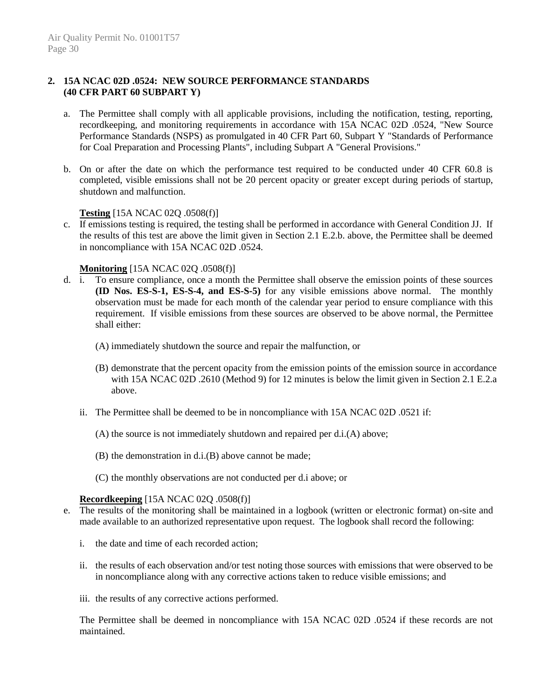## **2. 15A NCAC 02D .0524: NEW SOURCE PERFORMANCE STANDARDS (40 CFR PART 60 SUBPART Y)**

- a. The Permittee shall comply with all applicable provisions, including the notification, testing, reporting, recordkeeping, and monitoring requirements in accordance with 15A NCAC 02D .0524, "New Source Performance Standards (NSPS) as promulgated in 40 CFR Part 60, Subpart Y "Standards of Performance for Coal Preparation and Processing Plants", including Subpart A "General Provisions."
- b. On or after the date on which the performance test required to be conducted under 40 CFR 60.8 is completed, visible emissions shall not be 20 percent opacity or greater except during periods of startup, shutdown and malfunction.

#### **Testing** [15A NCAC 02Q .0508(f)]

c. If emissions testing is required, the testing shall be performed in accordance with General Condition JJ. If the results of this test are above the limit given in Section 2.1 E.2.b. above, the Permittee shall be deemed in noncompliance with 15A NCAC 02D .0524.

#### **Monitoring** [15A NCAC 02Q .0508(f)]

- d. i. To ensure compliance, once a month the Permittee shall observe the emission points of these sources **(ID Nos. ES-S-1, ES-S-4, and ES-S-5)** for any visible emissions above normal. The monthly observation must be made for each month of the calendar year period to ensure compliance with this requirement. If visible emissions from these sources are observed to be above normal, the Permittee shall either:
	- (A) immediately shutdown the source and repair the malfunction, or
	- (B) demonstrate that the percent opacity from the emission points of the emission source in accordance with 15A NCAC 02D .2610 (Method 9) for 12 minutes is below the limit given in Section 2.1 E.2.a above.
	- ii. The Permittee shall be deemed to be in noncompliance with 15A NCAC 02D .0521 if:
		- (A) the source is not immediately shutdown and repaired per d.i.(A) above;
		- (B) the demonstration in d.i.(B) above cannot be made;
		- (C) the monthly observations are not conducted per d.i above; or

#### **Recordkeeping** [15A NCAC 02Q .0508(f)]

- e. The results of the monitoring shall be maintained in a logbook (written or electronic format) on-site and made available to an authorized representative upon request. The logbook shall record the following:
	- i. the date and time of each recorded action;
	- ii. the results of each observation and/or test noting those sources with emissions that were observed to be in noncompliance along with any corrective actions taken to reduce visible emissions; and
	- iii. the results of any corrective actions performed.

The Permittee shall be deemed in noncompliance with 15A NCAC 02D .0524 if these records are not maintained.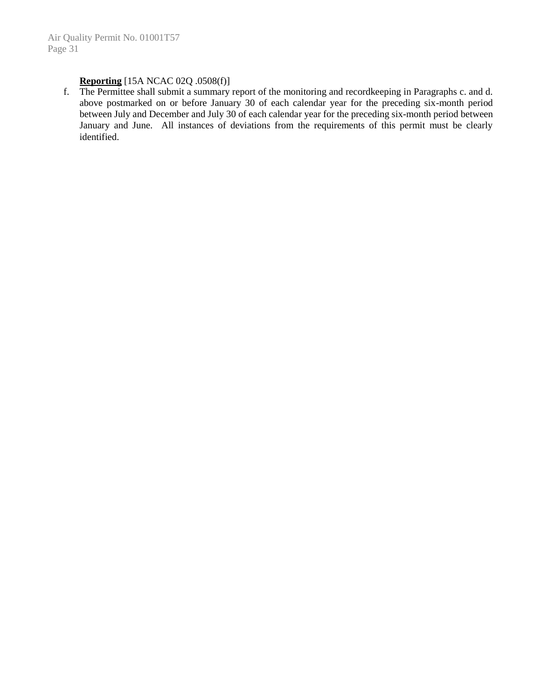# **Reporting** [15A NCAC 02Q .0508(f)]

f. The Permittee shall submit a summary report of the monitoring and recordkeeping in Paragraphs c. and d. above postmarked on or before January 30 of each calendar year for the preceding six-month period between July and December and July 30 of each calendar year for the preceding six-month period between January and June. All instances of deviations from the requirements of this permit must be clearly identified.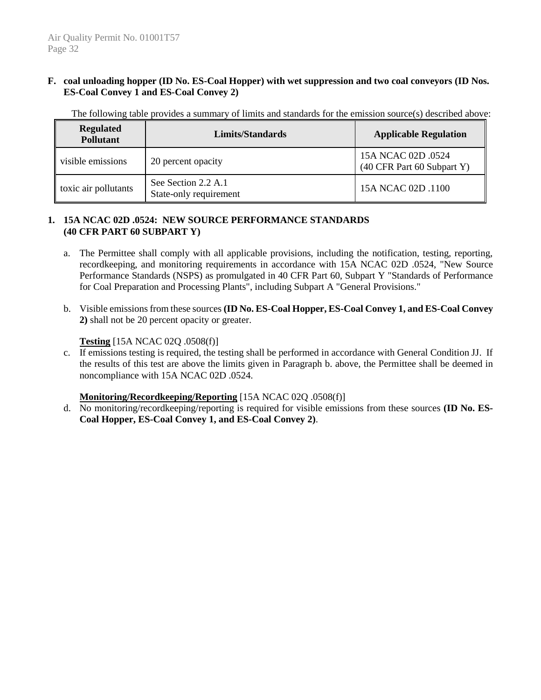### **F. coal unloading hopper (ID No. ES-Coal Hopper) with wet suppression and two coal conveyors (ID Nos. ES-Coal Convey 1 and ES-Coal Convey 2)**

The following table provides a summary of limits and standards for the emission source(s) described above:

| <b>Regulated</b><br><b>Pollutant</b> | Limits/Standards                              | <b>Applicable Regulation</b>                     |
|--------------------------------------|-----------------------------------------------|--------------------------------------------------|
| visible emissions                    | 20 percent opacity                            | 15A NCAC 02D .0524<br>(40 CFR Part 60 Subpart Y) |
| $\vert$ toxic air pollutants         | See Section 2.2 A.1<br>State-only requirement | 15A NCAC 02D .1100                               |

### **1. 15A NCAC 02D .0524: NEW SOURCE PERFORMANCE STANDARDS (40 CFR PART 60 SUBPART Y)**

- a. The Permittee shall comply with all applicable provisions, including the notification, testing, reporting, recordkeeping, and monitoring requirements in accordance with 15A NCAC 02D .0524, "New Source Performance Standards (NSPS) as promulgated in 40 CFR Part 60, Subpart Y "Standards of Performance for Coal Preparation and Processing Plants", including Subpart A "General Provisions."
- b. Visible emissions from these sources **(ID No. ES-Coal Hopper, ES-Coal Convey 1, and ES-Coal Convey 2)** shall not be 20 percent opacity or greater.

### **Testing** [15A NCAC 02Q .0508(f)]

c. If emissions testing is required, the testing shall be performed in accordance with General Condition JJ. If the results of this test are above the limits given in Paragraph b. above, the Permittee shall be deemed in noncompliance with 15A NCAC 02D .0524.

# **Monitoring/Recordkeeping/Reporting** [15A NCAC 02Q .0508(f)]

d. No monitoring/recordkeeping/reporting is required for visible emissions from these sources **(ID No. ES-Coal Hopper, ES-Coal Convey 1, and ES-Coal Convey 2)**.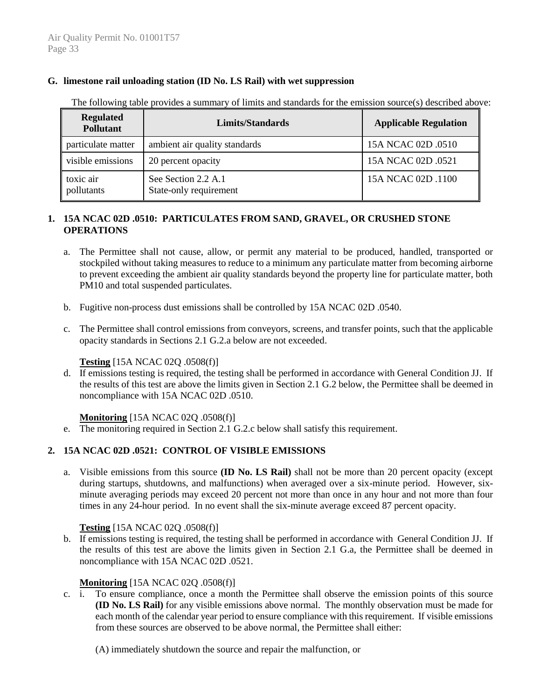### **G. limestone rail unloading station (ID No. LS Rail) with wet suppression**

| <b>Regulated</b><br><b>Pollutant</b> | <b>Limits/Standards</b>                       | <b>Applicable Regulation</b> |
|--------------------------------------|-----------------------------------------------|------------------------------|
| particulate matter                   | ambient air quality standards                 | 15A NCAC 02D .0510           |
| visible emissions                    | 20 percent opacity                            | 15A NCAC 02D .0521           |
| toxic air<br>pollutants              | See Section 2.2 A.1<br>State-only requirement | 15A NCAC 02D .1100           |

The following table provides a summary of limits and standards for the emission source(s) described above:

# **1. 15A NCAC 02D .0510: PARTICULATES FROM SAND, GRAVEL, OR CRUSHED STONE OPERATIONS**

- a. The Permittee shall not cause, allow, or permit any material to be produced, handled, transported or stockpiled without taking measures to reduce to a minimum any particulate matter from becoming airborne to prevent exceeding the ambient air quality standards beyond the property line for particulate matter, both PM10 and total suspended particulates.
- b. Fugitive non-process dust emissions shall be controlled by 15A NCAC 02D .0540.
- c. The Permittee shall control emissions from conveyors, screens, and transfer points, such that the applicable opacity standards in Sections 2.1 G.2.a below are not exceeded.

# **Testing** [15A NCAC 02Q .0508(f)]

d. If emissions testing is required, the testing shall be performed in accordance with General Condition JJ. If the results of this test are above the limits given in Section 2.1 G.2 below, the Permittee shall be deemed in noncompliance with 15A NCAC 02D .0510.

#### **Monitoring** [15A NCAC 02O .0508(f)]

e. The monitoring required in Section 2.1 G.2.c below shall satisfy this requirement.

# **2. 15A NCAC 02D .0521: CONTROL OF VISIBLE EMISSIONS**

a. Visible emissions from this source **(ID No. LS Rail)** shall not be more than 20 percent opacity (except during startups, shutdowns, and malfunctions) when averaged over a six-minute period. However, sixminute averaging periods may exceed 20 percent not more than once in any hour and not more than four times in any 24-hour period. In no event shall the six-minute average exceed 87 percent opacity.

#### **Testing** [15A NCAC 02Q .0508(f)]

b. If emissions testing is required, the testing shall be performed in accordance with General Condition JJ. If the results of this test are above the limits given in Section 2.1 G.a, the Permittee shall be deemed in noncompliance with 15A NCAC 02D .0521.

#### **Monitoring** [15A NCAC 02Q .0508(f)]

c. i. To ensure compliance, once a month the Permittee shall observe the emission points of this source **(ID No. LS Rail)** for any visible emissions above normal. The monthly observation must be made for each month of the calendar year period to ensure compliance with this requirement. If visible emissions from these sources are observed to be above normal, the Permittee shall either:

(A) immediately shutdown the source and repair the malfunction, or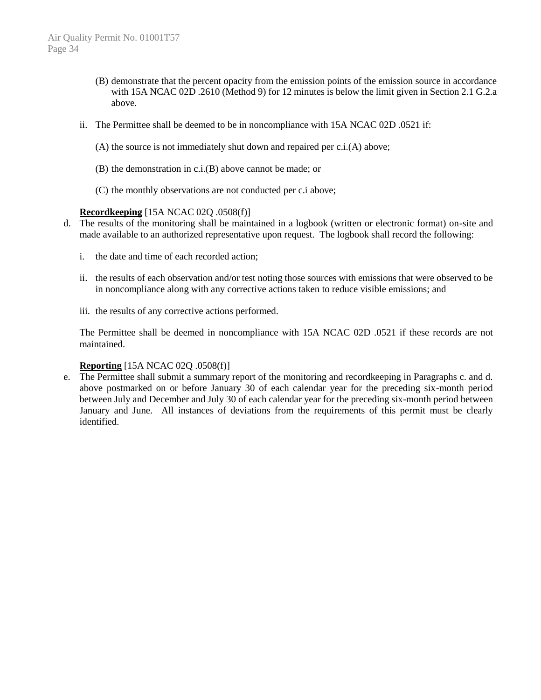- (B) demonstrate that the percent opacity from the emission points of the emission source in accordance with 15A NCAC 02D .2610 (Method 9) for 12 minutes is below the limit given in Section 2.1 G.2.a above.
- ii. The Permittee shall be deemed to be in noncompliance with 15A NCAC 02D .0521 if:
	- (A) the source is not immediately shut down and repaired per c.i.(A) above;
	- (B) the demonstration in c.i.(B) above cannot be made; or
	- (C) the monthly observations are not conducted per c.i above;

### **Recordkeeping** [15A NCAC 02Q .0508(f)]

- d. The results of the monitoring shall be maintained in a logbook (written or electronic format) on-site and made available to an authorized representative upon request. The logbook shall record the following:
	- i. the date and time of each recorded action;
	- ii. the results of each observation and/or test noting those sources with emissions that were observed to be in noncompliance along with any corrective actions taken to reduce visible emissions; and
	- iii. the results of any corrective actions performed.

The Permittee shall be deemed in noncompliance with 15A NCAC 02D .0521 if these records are not maintained.

# **Reporting** [15A NCAC 02Q .0508(f)]

e. The Permittee shall submit a summary report of the monitoring and recordkeeping in Paragraphs c. and d. above postmarked on or before January 30 of each calendar year for the preceding six-month period between July and December and July 30 of each calendar year for the preceding six-month period between January and June. All instances of deviations from the requirements of this permit must be clearly identified.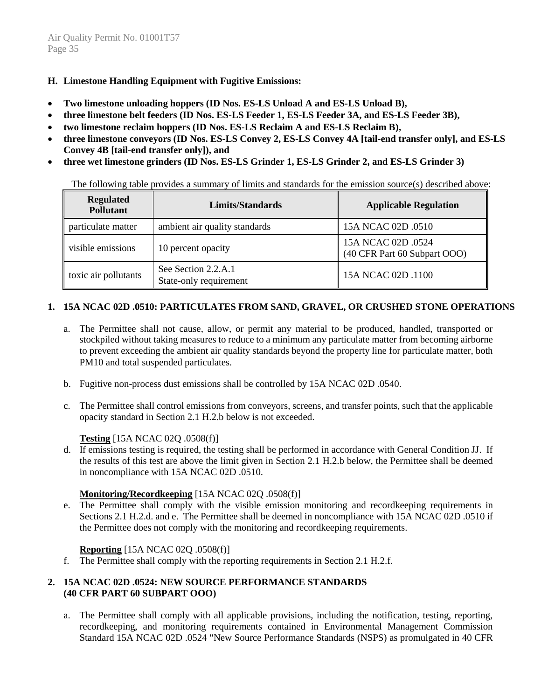### **H. Limestone Handling Equipment with Fugitive Emissions:**

- **Two limestone unloading hoppers (ID Nos. ES-LS Unload A and ES-LS Unload B),**
- **three limestone belt feeders (ID Nos. ES-LS Feeder 1, ES-LS Feeder 3A, and ES-LS Feeder 3B),**
- **two limestone reclaim hoppers (ID Nos. ES-LS Reclaim A and ES-LS Reclaim B),**
- **three limestone conveyors (ID Nos. ES-LS Convey 2, ES-LS Convey 4A [tail-end transfer only], and ES-LS Convey 4B [tail-end transfer only]), and**
- **three wet limestone grinders (ID Nos. ES-LS Grinder 1, ES-LS Grinder 2, and ES-LS Grinder 3)**

The following table provides a summary of limits and standards for the emission source(s) described above:

| <b>Regulated</b><br><b>Pollutant</b> | Limits/Standards                              | <b>Applicable Regulation</b>                       |
|--------------------------------------|-----------------------------------------------|----------------------------------------------------|
| particulate matter                   | ambient air quality standards                 | 15A NCAC 02D .0510                                 |
| visible emissions                    | 10 percent opacity                            | 15A NCAC 02D .0524<br>(40 CFR Part 60 Subpart OOO) |
| toxic air pollutants                 | See Section 2.2.A.1<br>State-only requirement | 15A NCAC 02D .1100                                 |

# **1. 15A NCAC 02D .0510: PARTICULATES FROM SAND, GRAVEL, OR CRUSHED STONE OPERATIONS**

- a. The Permittee shall not cause, allow, or permit any material to be produced, handled, transported or stockpiled without taking measures to reduce to a minimum any particulate matter from becoming airborne to prevent exceeding the ambient air quality standards beyond the property line for particulate matter, both PM10 and total suspended particulates.
- b. Fugitive non-process dust emissions shall be controlled by 15A NCAC 02D .0540.
- c. The Permittee shall control emissions from conveyors, screens, and transfer points, such that the applicable opacity standard in Section 2.1 H.2.b below is not exceeded.

#### **Testing** [15A NCAC 02Q .0508(f)]

d. If emissions testing is required, the testing shall be performed in accordance with General Condition JJ. If the results of this test are above the limit given in Section 2.1 H.2.b below, the Permittee shall be deemed in noncompliance with 15A NCAC 02D .0510.

#### **Monitoring/Recordkeeping** [15A NCAC 02Q .0508(f)]

e. The Permittee shall comply with the visible emission monitoring and recordkeeping requirements in Sections 2.1 H.2.d. and e. The Permittee shall be deemed in noncompliance with 15A NCAC 02D .0510 if the Permittee does not comply with the monitoring and recordkeeping requirements.

#### **Reporting** [15A NCAC 02Q .0508(f)]

f. The Permittee shall comply with the reporting requirements in Section 2.1 H.2.f.

#### **2. 15A NCAC 02D .0524: NEW SOURCE PERFORMANCE STANDARDS (40 CFR PART 60 SUBPART OOO)**

a. The Permittee shall comply with all applicable provisions, including the notification, testing, reporting, recordkeeping, and monitoring requirements contained in Environmental Management Commission Standard 15A NCAC 02D .0524 "New Source Performance Standards (NSPS) as promulgated in 40 CFR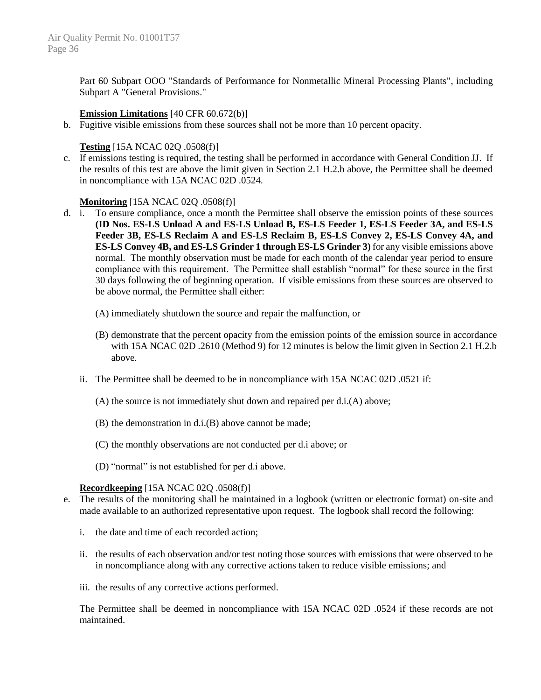Part 60 Subpart OOO "Standards of Performance for Nonmetallic Mineral Processing Plants", including Subpart A "General Provisions."

#### **Emission Limitations** [40 CFR 60.672(b)]

b. Fugitive visible emissions from these sources shall not be more than 10 percent opacity.

#### **Testing** [15A NCAC 02Q .0508(f)]

c. If emissions testing is required, the testing shall be performed in accordance with General Condition JJ. If the results of this test are above the limit given in Section 2.1 H.2.b above, the Permittee shall be deemed in noncompliance with 15A NCAC 02D .0524.

#### **Monitoring** [15A NCAC 02Q .0508(f)]

- d. i. To ensure compliance, once a month the Permittee shall observe the emission points of these sources **(ID Nos. ES-LS Unload A and ES-LS Unload B, ES-LS Feeder 1, ES-LS Feeder 3A, and ES-LS Feeder 3B, ES-LS Reclaim A and ES-LS Reclaim B, ES-LS Convey 2, ES-LS Convey 4A, and ES-LS Convey 4B, and ES-LS Grinder 1 through ES-LS Grinder 3)** for any visible emissions above normal. The monthly observation must be made for each month of the calendar year period to ensure compliance with this requirement. The Permittee shall establish "normal" for these source in the first 30 days following the of beginning operation. If visible emissions from these sources are observed to be above normal, the Permittee shall either:
	- (A) immediately shutdown the source and repair the malfunction, or
	- (B) demonstrate that the percent opacity from the emission points of the emission source in accordance with 15A NCAC 02D .2610 (Method 9) for 12 minutes is below the limit given in Section 2.1 H.2.b above.
	- ii. The Permittee shall be deemed to be in noncompliance with 15A NCAC 02D .0521 if:
		- (A) the source is not immediately shut down and repaired per d.i.(A) above;
		- (B) the demonstration in d.i.(B) above cannot be made;
		- (C) the monthly observations are not conducted per d.i above; or
		- (D) "normal" is not established for per d.i above.

#### **Recordkeeping** [15A NCAC 02Q .0508(f)]

- e. The results of the monitoring shall be maintained in a logbook (written or electronic format) on-site and made available to an authorized representative upon request. The logbook shall record the following:
	- i. the date and time of each recorded action;
	- ii. the results of each observation and/or test noting those sources with emissions that were observed to be in noncompliance along with any corrective actions taken to reduce visible emissions; and
	- iii. the results of any corrective actions performed.

The Permittee shall be deemed in noncompliance with 15A NCAC 02D .0524 if these records are not maintained.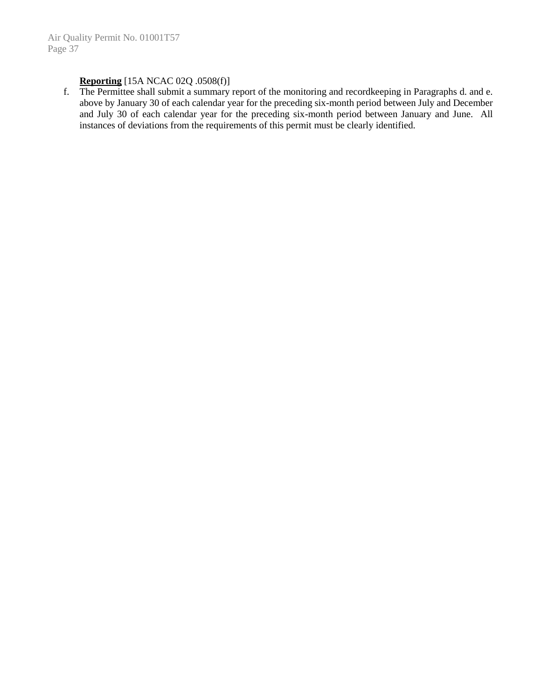# **Reporting** [15A NCAC 02Q .0508(f)]

f. The Permittee shall submit a summary report of the monitoring and recordkeeping in Paragraphs d. and e. above by January 30 of each calendar year for the preceding six-month period between July and December and July 30 of each calendar year for the preceding six-month period between January and June. All instances of deviations from the requirements of this permit must be clearly identified.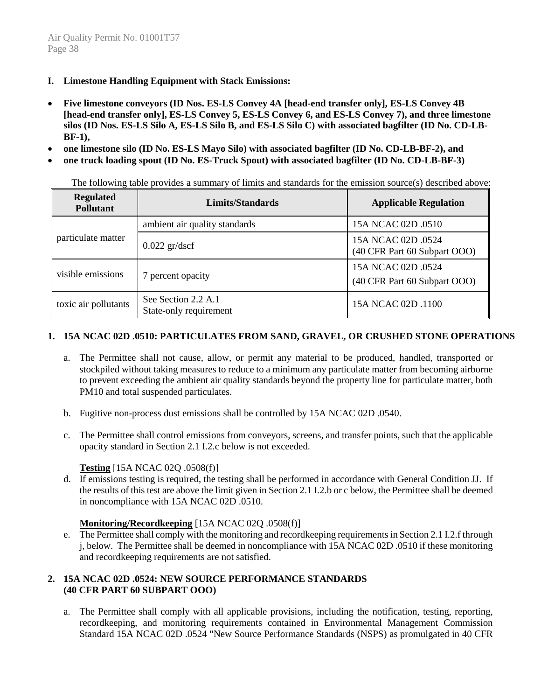- **I. Limestone Handling Equipment with Stack Emissions:**
- **Five limestone conveyors (ID Nos. ES-LS Convey 4A [head-end transfer only], ES-LS Convey 4B [head-end transfer only], ES-LS Convey 5, ES-LS Convey 6, and ES-LS Convey 7), and three limestone silos (ID Nos. ES-LS Silo A, ES-LS Silo B, and ES-LS Silo C) with associated bagfilter (ID No. CD-LB-BF-1),**
- **one limestone silo (ID No. ES-LS Mayo Silo) with associated bagfilter (ID No. CD-LB-BF-2), and**
- **one truck loading spout (ID No. ES-Truck Spout) with associated bagfilter (ID No. CD-LB-BF-3)**

The following table provides a summary of limits and standards for the emission source(s) described above:

| <b>Regulated</b><br><b>Pollutant</b> | <b>Limits/Standards</b>                       | <b>Applicable Regulation</b>                       |
|--------------------------------------|-----------------------------------------------|----------------------------------------------------|
|                                      | ambient air quality standards                 | 15A NCAC 02D .0510                                 |
| particulate matter                   | $0.022$ gr/dscf                               | 15A NCAC 02D .0524<br>(40 CFR Part 60 Subpart OOO) |
| visible emissions                    | 7 percent opacity                             | 15A NCAC 02D .0524<br>(40 CFR Part 60 Subpart OOO) |
| toxic air pollutants                 | See Section 2.2 A.1<br>State-only requirement | 15A NCAC 02D .1100                                 |

### **1. 15A NCAC 02D .0510: PARTICULATES FROM SAND, GRAVEL, OR CRUSHED STONE OPERATIONS**

- a. The Permittee shall not cause, allow, or permit any material to be produced, handled, transported or stockpiled without taking measures to reduce to a minimum any particulate matter from becoming airborne to prevent exceeding the ambient air quality standards beyond the property line for particulate matter, both PM10 and total suspended particulates.
- b. Fugitive non-process dust emissions shall be controlled by 15A NCAC 02D .0540.
- c. The Permittee shall control emissions from conveyors, screens, and transfer points, such that the applicable opacity standard in Section 2.1 I.2.c below is not exceeded.

#### **Testing** [15A NCAC 02Q .0508(f)]

d. If emissions testing is required, the testing shall be performed in accordance with General Condition JJ. If the results of this test are above the limit given in Section 2.1 I.2.b or c below, the Permittee shall be deemed in noncompliance with 15A NCAC 02D .0510.

#### **Monitoring/Recordkeeping** [15A NCAC 02Q .0508(f)]

e. The Permittee shall comply with the monitoring and recordkeeping requirements in Section 2.1 I.2.f through j, below. The Permittee shall be deemed in noncompliance with 15A NCAC 02D .0510 if these monitoring and recordkeeping requirements are not satisfied.

# **2. 15A NCAC 02D .0524: NEW SOURCE PERFORMANCE STANDARDS (40 CFR PART 60 SUBPART OOO)**

a. The Permittee shall comply with all applicable provisions, including the notification, testing, reporting, recordkeeping, and monitoring requirements contained in Environmental Management Commission Standard 15A NCAC 02D .0524 "New Source Performance Standards (NSPS) as promulgated in 40 CFR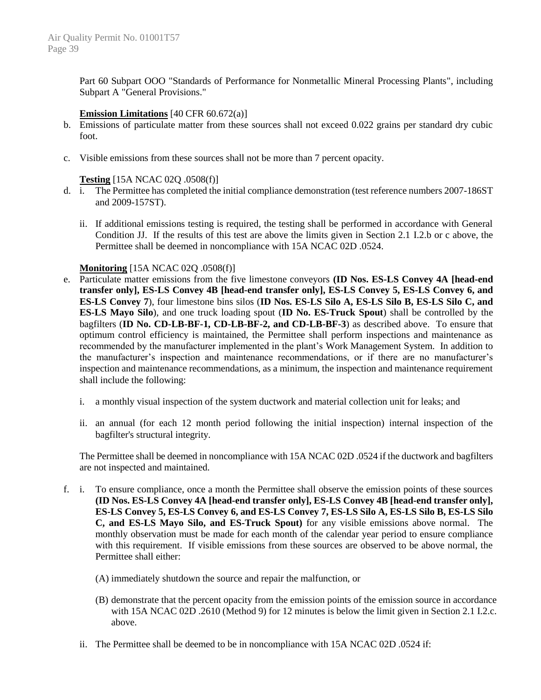Part 60 Subpart OOO "Standards of Performance for Nonmetallic Mineral Processing Plants", including Subpart A "General Provisions."

### **Emission Limitations** [40 CFR 60.672(a)]

- b. Emissions of particulate matter from these sources shall not exceed 0.022 grains per standard dry cubic foot.
- c. Visible emissions from these sources shall not be more than 7 percent opacity.

### **Testing** [15A NCAC 02Q .0508(f)]

- d. i. The Permittee has completed the initial compliance demonstration (test reference numbers 2007-186ST and 2009-157ST).
	- ii. If additional emissions testing is required, the testing shall be performed in accordance with General Condition JJ. If the results of this test are above the limits given in Section 2.1 I.2.b or c above, the Permittee shall be deemed in noncompliance with 15A NCAC 02D .0524.

### **Monitoring** [15A NCAC 02Q .0508(f)]

- e. Particulate matter emissions from the five limestone conveyors **(ID Nos. ES-LS Convey 4A [head-end transfer only], ES-LS Convey 4B [head-end transfer only], ES-LS Convey 5, ES-LS Convey 6, and ES-LS Convey 7**), four limestone bins silos (**ID Nos. ES-LS Silo A, ES-LS Silo B, ES-LS Silo C, and ES-LS Mayo Silo**), and one truck loading spout (**ID No. ES-Truck Spout**) shall be controlled by the bagfilters (**ID No. CD-LB-BF-1, CD-LB-BF-2, and CD-LB-BF-3**) as described above. To ensure that optimum control efficiency is maintained, the Permittee shall perform inspections and maintenance as recommended by the manufacturer implemented in the plant's Work Management System. In addition to the manufacturer's inspection and maintenance recommendations, or if there are no manufacturer's inspection and maintenance recommendations, as a minimum, the inspection and maintenance requirement shall include the following:
	- i. a monthly visual inspection of the system ductwork and material collection unit for leaks; and
	- ii. an annual (for each 12 month period following the initial inspection) internal inspection of the bagfilter's structural integrity.

The Permittee shall be deemed in noncompliance with 15A NCAC 02D .0524 if the ductwork and bagfilters are not inspected and maintained.

- f. i. To ensure compliance, once a month the Permittee shall observe the emission points of these sources **(ID Nos. ES-LS Convey 4A [head-end transfer only], ES-LS Convey 4B [head-end transfer only], ES-LS Convey 5, ES-LS Convey 6, and ES-LS Convey 7, ES-LS Silo A, ES-LS Silo B, ES-LS Silo C, and ES-LS Mayo Silo, and ES-Truck Spout)** for any visible emissions above normal. The monthly observation must be made for each month of the calendar year period to ensure compliance with this requirement. If visible emissions from these sources are observed to be above normal, the Permittee shall either:
	- (A) immediately shutdown the source and repair the malfunction, or
	- (B) demonstrate that the percent opacity from the emission points of the emission source in accordance with 15A NCAC 02D .2610 (Method 9) for 12 minutes is below the limit given in Section 2.1 I.2.c. above.
	- ii. The Permittee shall be deemed to be in noncompliance with 15A NCAC 02D .0524 if: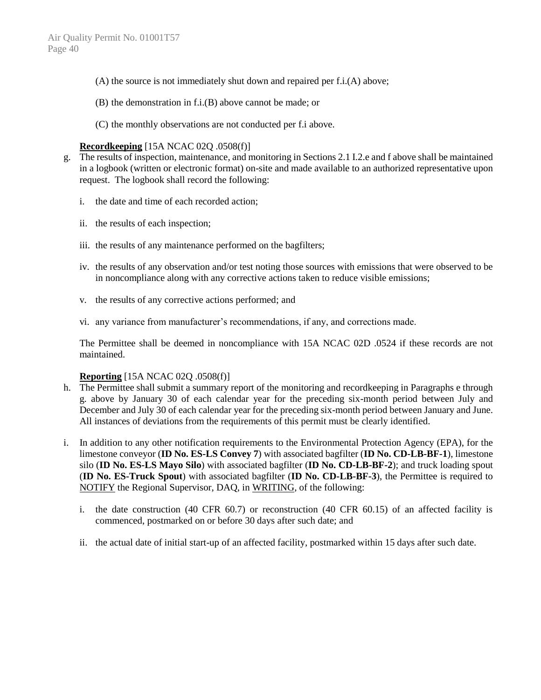- (A) the source is not immediately shut down and repaired per f.i.(A) above;
- (B) the demonstration in f.i.(B) above cannot be made; or
- (C) the monthly observations are not conducted per f.i above.

### **Recordkeeping** [15A NCAC 02Q .0508(f)]

- g. The results of inspection, maintenance, and monitoring in Sections 2.1 I.2.e and f above shall be maintained in a logbook (written or electronic format) on-site and made available to an authorized representative upon request. The logbook shall record the following:
	- i. the date and time of each recorded action;
	- ii. the results of each inspection;
	- iii. the results of any maintenance performed on the bagfilters;
	- iv. the results of any observation and/or test noting those sources with emissions that were observed to be in noncompliance along with any corrective actions taken to reduce visible emissions;
	- v. the results of any corrective actions performed; and
	- vi. any variance from manufacturer's recommendations, if any, and corrections made.

The Permittee shall be deemed in noncompliance with 15A NCAC 02D .0524 if these records are not maintained.

#### **Reporting** [15A NCAC 02Q .0508(f)]

- h. The Permittee shall submit a summary report of the monitoring and recordkeeping in Paragraphs e through g. above by January 30 of each calendar year for the preceding six-month period between July and December and July 30 of each calendar year for the preceding six-month period between January and June. All instances of deviations from the requirements of this permit must be clearly identified.
- i. In addition to any other notification requirements to the Environmental Protection Agency (EPA), for the limestone conveyor (**ID No. ES-LS Convey 7**) with associated bagfilter (**ID No. CD-LB-BF-1**), limestone silo (**ID No. ES-LS Mayo Silo**) with associated bagfilter (**ID No. CD-LB-BF-2**); and truck loading spout (**ID No. ES-Truck Spout**) with associated bagfilter (**ID No. CD-LB-BF-3**), the Permittee is required to NOTIFY the Regional Supervisor, DAQ, in WRITING, of the following:
	- i. the date construction (40 CFR 60.7) or reconstruction (40 CFR 60.15) of an affected facility is commenced, postmarked on or before 30 days after such date; and
	- ii. the actual date of initial start-up of an affected facility, postmarked within 15 days after such date.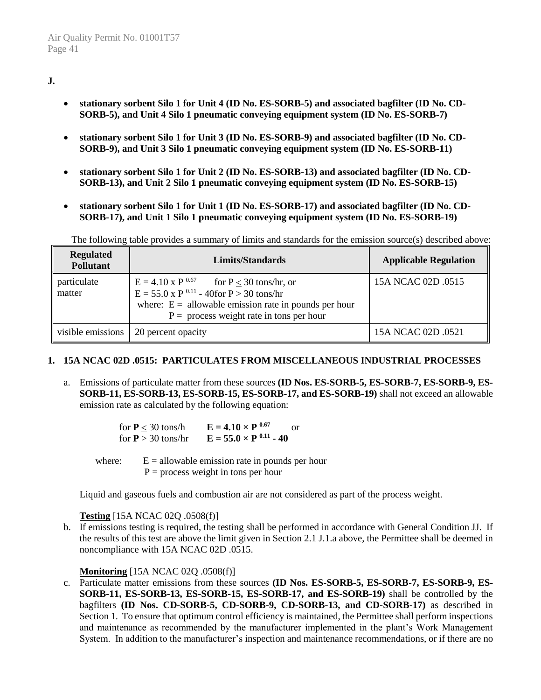# **J.**

- **stationary sorbent Silo 1 for Unit 4 (ID No. ES-SORB-5) and associated bagfilter (ID No. CD-SORB-5), and Unit 4 Silo 1 pneumatic conveying equipment system (ID No. ES-SORB-7)**
- **stationary sorbent Silo 1 for Unit 3 (ID No. ES-SORB-9) and associated bagfilter (ID No. CD-SORB-9), and Unit 3 Silo 1 pneumatic conveying equipment system (ID No. ES-SORB-11)**
- **stationary sorbent Silo 1 for Unit 2 (ID No. ES-SORB-13) and associated bagfilter (ID No. CD-SORB-13), and Unit 2 Silo 1 pneumatic conveying equipment system (ID No. ES-SORB-15)**
- **stationary sorbent Silo 1 for Unit 1 (ID No. ES-SORB-17) and associated bagfilter (ID No. CD-SORB-17), and Unit 1 Silo 1 pneumatic conveying equipment system (ID No. ES-SORB-19)**

The following table provides a summary of limits and standards for the emission source(s) described above:

| <b>Regulated</b><br><b>Pollutant</b> | Limits/Standards                                                                                                                                                                                                                    | <b>Applicable Regulation</b> |
|--------------------------------------|-------------------------------------------------------------------------------------------------------------------------------------------------------------------------------------------------------------------------------------|------------------------------|
| particulate<br>matter                | $E = 4.10 \text{ x P }^{0.67}$ for $P \le 30 \text{ tons/hr}$ , or<br>$E = 55.0 \times P^{0.11} - 40$ for $P > 30$ tons/hr<br>where: $E =$ allowable emission rate in pounds per hour<br>$P =$ process weight rate in tons per hour | 15A NCAC 02D .0515           |
| visible emissions                    | 20 percent opacity                                                                                                                                                                                                                  | 15A NCAC 02D .0521           |

#### **1. 15A NCAC 02D .0515: PARTICULATES FROM MISCELLANEOUS INDUSTRIAL PROCESSES**

a. Emissions of particulate matter from these sources **(ID Nos. ES-SORB-5, ES-SORB-7, ES-SORB-9, ES-SORB-11, ES-SORB-13, ES-SORB-15, ES-SORB-17, and ES-SORB-19)** shall not exceed an allowable emission rate as calculated by the following equation:

| for $P < 30$ tons/h  | $E = 4.10 \times P^{0.67}$<br>Ωr |
|----------------------|----------------------------------|
| for $P > 30$ tons/hr | $E = 55.0 \times P^{0.11} - 40$  |

where:  $E = \text{allowable emission rate in pounds per hour}$  $P =$  process weight in tons per hour

Liquid and gaseous fuels and combustion air are not considered as part of the process weight.

#### **Testing** [15A NCAC 02Q .0508(f)]

b. If emissions testing is required, the testing shall be performed in accordance with General Condition JJ. If the results of this test are above the limit given in Section 2.1 J.1.a above, the Permittee shall be deemed in noncompliance with 15A NCAC 02D .0515.

#### **Monitoring** [15A NCAC 02Q .0508(f)]

c. Particulate matter emissions from these sources **(ID Nos. ES-SORB-5, ES-SORB-7, ES-SORB-9, ES-SORB-11, ES-SORB-13, ES-SORB-15, ES-SORB-17, and ES-SORB-19)** shall be controlled by the bagfilters **(ID Nos. CD-SORB-5, CD-SORB-9, CD-SORB-13, and CD-SORB-17)** as described in Section 1. To ensure that optimum control efficiency is maintained, the Permittee shall perform inspections and maintenance as recommended by the manufacturer implemented in the plant's Work Management System. In addition to the manufacturer's inspection and maintenance recommendations, or if there are no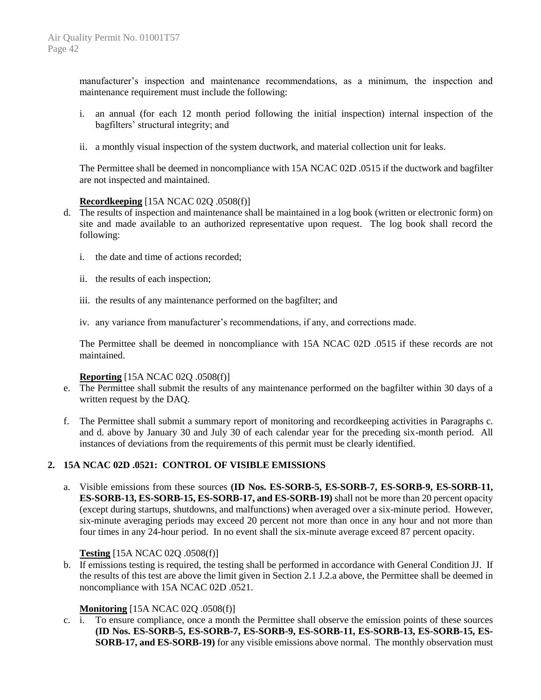manufacturer's inspection and maintenance recommendations, as a minimum, the inspection and maintenance requirement must include the following:

- i. an annual (for each 12 month period following the initial inspection) internal inspection of the bagfilters' structural integrity; and
- ii. a monthly visual inspection of the system ductwork, and material collection unit for leaks.

The Permittee shall be deemed in noncompliance with 15A NCAC 02D .0515 if the ductwork and bagfilter are not inspected and maintained.

#### **Recordkeeping** [15A NCAC 02Q .0508(f)]

- d. The results of inspection and maintenance shall be maintained in a log book (written or electronic form) on site and made available to an authorized representative upon request. The log book shall record the following:
	- i. the date and time of actions recorded;
	- ii. the results of each inspection;
	- iii. the results of any maintenance performed on the bagfilter; and
	- iv. any variance from manufacturer's recommendations, if any, and corrections made.

The Permittee shall be deemed in noncompliance with 15A NCAC 02D .0515 if these records are not maintained.

#### **Reporting** [15A NCAC 02Q .0508(f)]

- e. The Permittee shall submit the results of any maintenance performed on the bagfilter within 30 days of a written request by the DAQ.
- f. The Permittee shall submit a summary report of monitoring and recordkeeping activities in Paragraphs c. and d. above by January 30 and July 30 of each calendar year for the preceding six-month period. All instances of deviations from the requirements of this permit must be clearly identified.

#### **2. 15A NCAC 02D .0521: CONTROL OF VISIBLE EMISSIONS**

a. Visible emissions from these sources **(ID Nos. ES-SORB-5, ES-SORB-7, ES-SORB-9, ES-SORB-11, ES-SORB-13, ES-SORB-15, ES-SORB-17, and ES-SORB-19)** shall not be more than 20 percent opacity (except during startups, shutdowns, and malfunctions) when averaged over a six-minute period. However, six-minute averaging periods may exceed 20 percent not more than once in any hour and not more than four times in any 24-hour period. In no event shall the six-minute average exceed 87 percent opacity.

#### **Testing** [15A NCAC 02Q .0508(f)]

b. If emissions testing is required, the testing shall be performed in accordance with General Condition JJ. If the results of this test are above the limit given in Section 2.1 J.2.a above, the Permittee shall be deemed in noncompliance with 15A NCAC 02D .0521.

#### **Monitoring** [15A NCAC 02O .0508(f)]

c. i. To ensure compliance, once a month the Permittee shall observe the emission points of these sources **(ID Nos. ES-SORB-5, ES-SORB-7, ES-SORB-9, ES-SORB-11, ES-SORB-13, ES-SORB-15, ES-SORB-17, and ES-SORB-19)** for any visible emissions above normal. The monthly observation must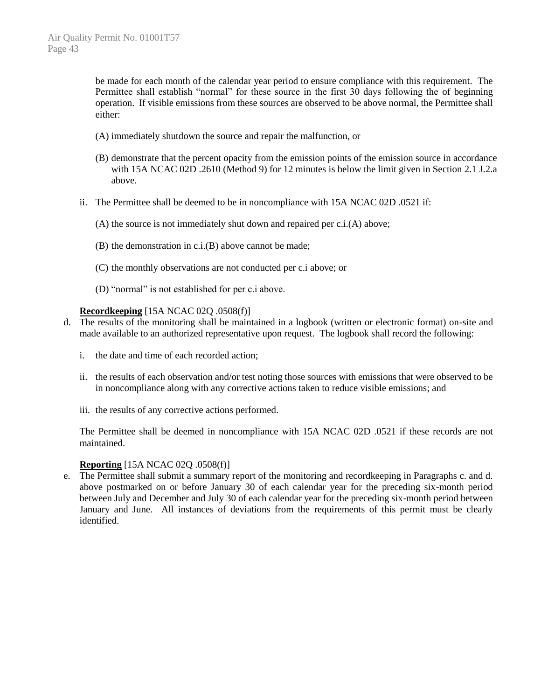be made for each month of the calendar year period to ensure compliance with this requirement. The Permittee shall establish "normal" for these source in the first 30 days following the of beginning operation. If visible emissions from these sources are observed to be above normal, the Permittee shall either:

- (A) immediately shutdown the source and repair the malfunction, or
- (B) demonstrate that the percent opacity from the emission points of the emission source in accordance with 15A NCAC 02D .2610 (Method 9) for 12 minutes is below the limit given in Section 2.1 J.2.a above.
- ii. The Permittee shall be deemed to be in noncompliance with 15A NCAC 02D .0521 if:
	- (A) the source is not immediately shut down and repaired per c.i.(A) above;
	- (B) the demonstration in c.i.(B) above cannot be made;
	- (C) the monthly observations are not conducted per c.i above; or
	- (D) "normal" is not established for per c.i above.

#### **Recordkeeping** [15A NCAC 02Q .0508(f)]

- d. The results of the monitoring shall be maintained in a logbook (written or electronic format) on-site and made available to an authorized representative upon request. The logbook shall record the following:
	- i. the date and time of each recorded action;
	- ii. the results of each observation and/or test noting those sources with emissions that were observed to be in noncompliance along with any corrective actions taken to reduce visible emissions; and
	- iii. the results of any corrective actions performed.

The Permittee shall be deemed in noncompliance with 15A NCAC 02D .0521 if these records are not maintained.

#### **Reporting** [15A NCAC 02Q .0508(f)]

e. The Permittee shall submit a summary report of the monitoring and recordkeeping in Paragraphs c. and d. above postmarked on or before January 30 of each calendar year for the preceding six-month period between July and December and July 30 of each calendar year for the preceding six-month period between January and June. All instances of deviations from the requirements of this permit must be clearly identified.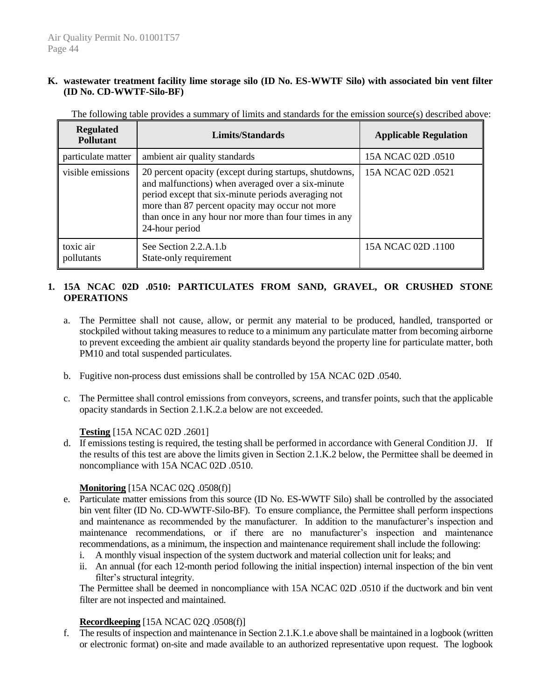### **K. wastewater treatment facility lime storage silo (ID No. ES-WWTF Silo) with associated bin vent filter (ID No. CD-WWTF-Silo-BF)**

| <b>Regulated</b><br><b>Pollutant</b> | Limits/Standards                                                                                                                                                                                                                                                                                 | <b>Applicable Regulation</b> |
|--------------------------------------|--------------------------------------------------------------------------------------------------------------------------------------------------------------------------------------------------------------------------------------------------------------------------------------------------|------------------------------|
| particulate matter                   | ambient air quality standards                                                                                                                                                                                                                                                                    | 15A NCAC 02D .0510           |
| visible emissions                    | 20 percent opacity (except during startups, shutdowns,<br>and malfunctions) when averaged over a six-minute<br>period except that six-minute periods averaging not<br>more than 87 percent opacity may occur not more<br>than once in any hour nor more than four times in any<br>24-hour period | 15A NCAC 02D .0521           |
| toxic air<br>pollutants              | See Section 2.2.A.1.b<br>State-only requirement                                                                                                                                                                                                                                                  | 15A NCAC 02D .1100           |

The following table provides a summary of limits and standards for the emission source(s) described above:

# **1. 15A NCAC 02D .0510: PARTICULATES FROM SAND, GRAVEL, OR CRUSHED STONE OPERATIONS**

- a. The Permittee shall not cause, allow, or permit any material to be produced, handled, transported or stockpiled without taking measures to reduce to a minimum any particulate matter from becoming airborne to prevent exceeding the ambient air quality standards beyond the property line for particulate matter, both PM10 and total suspended particulates.
- b. Fugitive non-process dust emissions shall be controlled by 15A NCAC 02D .0540.
- c. The Permittee shall control emissions from conveyors, screens, and transfer points, such that the applicable opacity standards in Section 2.1.K.2.a below are not exceeded.

# **Testing** [15A NCAC 02D .2601]

d. If emissions testing is required, the testing shall be performed in accordance with General Condition JJ. If the results of this test are above the limits given in Section 2.1.K.2 below, the Permittee shall be deemed in noncompliance with 15A NCAC 02D .0510.

# **Monitoring** [15A NCAC 02Q .0508(f)]

- e. Particulate matter emissions from this source (ID No. ES-WWTF Silo) shall be controlled by the associated bin vent filter (ID No. CD-WWTF-Silo-BF). To ensure compliance, the Permittee shall perform inspections and maintenance as recommended by the manufacturer. In addition to the manufacturer's inspection and maintenance recommendations, or if there are no manufacturer's inspection and maintenance recommendations, as a minimum, the inspection and maintenance requirement shall include the following:
	- i. A monthly visual inspection of the system ductwork and material collection unit for leaks; and
	- ii. An annual (for each 12-month period following the initial inspection) internal inspection of the bin vent filter's structural integrity.

The Permittee shall be deemed in noncompliance with 15A NCAC 02D .0510 if the ductwork and bin vent filter are not inspected and maintained.

# **Recordkeeping** [15A NCAC 02Q .0508(f)]

f. The results of inspection and maintenance in Section 2.1.K.1.e above shall be maintained in a logbook (written or electronic format) on-site and made available to an authorized representative upon request. The logbook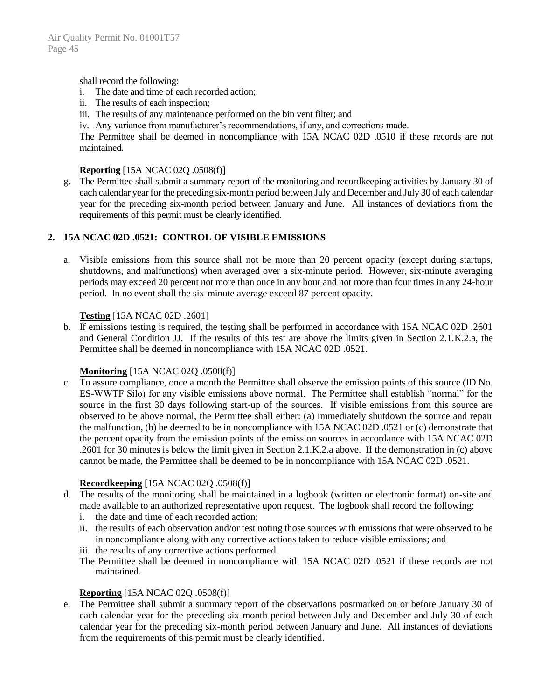shall record the following:

- i. The date and time of each recorded action;
- ii. The results of each inspection;
- iii. The results of any maintenance performed on the bin vent filter; and
- iv. Any variance from manufacturer's recommendations, if any, and corrections made.

The Permittee shall be deemed in noncompliance with 15A NCAC 02D .0510 if these records are not maintained.

### **Reporting** [15A NCAC 02Q .0508(f)]

g. The Permittee shall submit a summary report of the monitoring and recordkeeping activities by January 30 of each calendar year for the preceding six-month period between July and December and July 30 of each calendar year for the preceding six-month period between January and June. All instances of deviations from the requirements of this permit must be clearly identified.

### **2. 15A NCAC 02D .0521: CONTROL OF VISIBLE EMISSIONS**

a. Visible emissions from this source shall not be more than 20 percent opacity (except during startups, shutdowns, and malfunctions) when averaged over a six-minute period. However, six-minute averaging periods may exceed 20 percent not more than once in any hour and not more than four times in any 24-hour period. In no event shall the six-minute average exceed 87 percent opacity.

### **Testing** [15A NCAC 02D .2601]

b. If emissions testing is required, the testing shall be performed in accordance with 15A NCAC 02D .2601 and General Condition JJ. If the results of this test are above the limits given in Section 2.1.K.2.a, the Permittee shall be deemed in noncompliance with 15A NCAC 02D .0521.

# **Monitoring** [15A NCAC 02Q .0508(f)]

c. To assure compliance, once a month the Permittee shall observe the emission points of this source (ID No. ES-WWTF Silo) for any visible emissions above normal. The Permittee shall establish "normal" for the source in the first 30 days following start-up of the sources. If visible emissions from this source are observed to be above normal, the Permittee shall either: (a) immediately shutdown the source and repair the malfunction, (b) be deemed to be in noncompliance with 15A NCAC 02D .0521 or (c) demonstrate that the percent opacity from the emission points of the emission sources in accordance with 15A NCAC 02D .2601 for 30 minutes is below the limit given in Section 2.1.K.2.a above. If the demonstration in (c) above cannot be made, the Permittee shall be deemed to be in noncompliance with 15A NCAC 02D .0521.

#### **Recordkeeping** [15A NCAC 02Q .0508(f)]

- d. The results of the monitoring shall be maintained in a logbook (written or electronic format) on-site and made available to an authorized representative upon request. The logbook shall record the following:
	- i. the date and time of each recorded action;
	- ii. the results of each observation and/or test noting those sources with emissions that were observed to be in noncompliance along with any corrective actions taken to reduce visible emissions; and
	- iii. the results of any corrective actions performed.
	- The Permittee shall be deemed in noncompliance with 15A NCAC 02D .0521 if these records are not maintained.

# **Reporting** [15A NCAC 02Q .0508(f)]

e. The Permittee shall submit a summary report of the observations postmarked on or before January 30 of each calendar year for the preceding six-month period between July and December and July 30 of each calendar year for the preceding six-month period between January and June. All instances of deviations from the requirements of this permit must be clearly identified.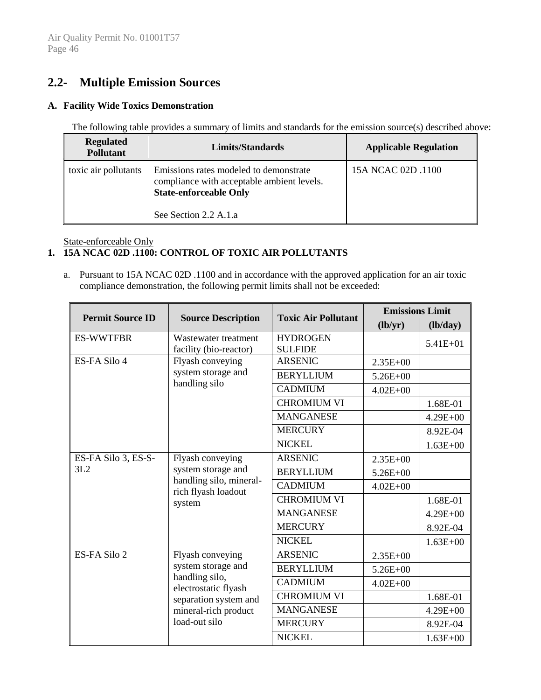# **2.2- Multiple Emission Sources**

### **A. Facility Wide Toxics Demonstration**

The following table provides a summary of limits and standards for the emission source(s) described above:

| <b>Regulated</b><br><b>Pollutant</b> | Limits/Standards                                                                                                      | <b>Applicable Regulation</b> |
|--------------------------------------|-----------------------------------------------------------------------------------------------------------------------|------------------------------|
| toxic air pollutants                 | Emissions rates modeled to demonstrate<br>compliance with acceptable ambient levels.<br><b>State-enforceable Only</b> | 15A NCAC 02D .1100           |
|                                      | See Section 2.2 A.1.a                                                                                                 |                              |

### State-enforceable Only

# **1. 15A NCAC 02D .1100: CONTROL OF TOXIC AIR POLLUTANTS**

a. Pursuant to 15A NCAC 02D .1100 and in accordance with the approved application for an air toxic compliance demonstration, the following permit limits shall not be exceeded:

| <b>Permit Source ID</b> |                                                                                | <b>Toxic Air Pollutant</b>        | <b>Emissions Limit</b> |              |
|-------------------------|--------------------------------------------------------------------------------|-----------------------------------|------------------------|--------------|
|                         | <b>Source Description</b>                                                      |                                   | (lb/yr)                | (lb/day)     |
| <b>ES-WWTFBR</b>        | Wastewater treatment<br>facility (bio-reactor)                                 | <b>HYDROGEN</b><br><b>SULFIDE</b> |                        | $5.41E + 01$ |
| ES-FA Silo 4            | Flyash conveying                                                               | <b>ARSENIC</b>                    | $2.35E+00$             |              |
|                         | system storage and                                                             | <b>BERYLLIUM</b>                  | $5.26E + 00$           |              |
|                         | handling silo                                                                  | <b>CADMIUM</b>                    | $4.02E + 00$           |              |
|                         |                                                                                | <b>CHROMIUM VI</b>                |                        | 1.68E-01     |
|                         |                                                                                | <b>MANGANESE</b>                  |                        | $4.29E + 00$ |
|                         |                                                                                | <b>MERCURY</b>                    |                        | 8.92E-04     |
|                         |                                                                                | <b>NICKEL</b>                     |                        | $1.63E + 00$ |
| ES-FA Silo 3, ES-S-     | Flyash conveying                                                               | <b>ARSENIC</b>                    | $2.35E + 00$           |              |
| 3L2                     | system storage and<br>handling silo, mineral-<br>rich flyash loadout<br>system | <b>BERYLLIUM</b>                  | $5.26E + 00$           |              |
|                         |                                                                                | <b>CADMIUM</b>                    | $4.02E + 00$           |              |
|                         |                                                                                | <b>CHROMIUM VI</b>                |                        | 1.68E-01     |
|                         |                                                                                | <b>MANGANESE</b>                  |                        | $4.29E + 00$ |
|                         |                                                                                | <b>MERCURY</b>                    |                        | 8.92E-04     |
|                         |                                                                                | <b>NICKEL</b>                     |                        | $1.63E + 00$ |
| ES-FA Silo 2            | Flyash conveying                                                               | <b>ARSENIC</b>                    | $2.35E+00$             |              |
|                         | system storage and                                                             | <b>BERYLLIUM</b>                  | $5.26E + 00$           |              |
|                         | handling silo,<br>electrostatic flyash                                         | <b>CADMIUM</b>                    | $4.02E + 00$           |              |
|                         | separation system and                                                          | <b>CHROMIUM VI</b>                |                        | 1.68E-01     |
|                         | mineral-rich product<br>load-out silo                                          | <b>MANGANESE</b>                  |                        | $4.29E + 00$ |
|                         |                                                                                | <b>MERCURY</b>                    |                        | 8.92E-04     |
|                         |                                                                                | <b>NICKEL</b>                     |                        | $1.63E + 00$ |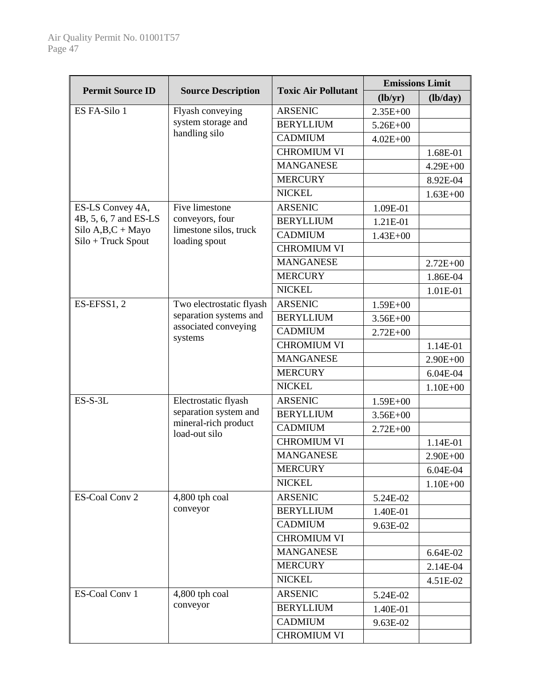|                                          |                                         | <b>Toxic Air Pollutant</b> | <b>Emissions Limit</b> |              |
|------------------------------------------|-----------------------------------------|----------------------------|------------------------|--------------|
| <b>Permit Source ID</b>                  | <b>Source Description</b>               |                            | (lb/yr)                | (lb/day)     |
| ES FA-Silo 1                             | Flyash conveying                        | <b>ARSENIC</b>             | $2.35E + 00$           |              |
|                                          | system storage and                      | <b>BERYLLIUM</b>           | $5.26E + 00$           |              |
|                                          | handling silo                           | <b>CADMIUM</b>             | $4.02E + 00$           |              |
|                                          |                                         | <b>CHROMIUM VI</b>         |                        | 1.68E-01     |
|                                          |                                         | <b>MANGANESE</b>           |                        | $4.29E + 00$ |
|                                          |                                         | <b>MERCURY</b>             |                        | 8.92E-04     |
|                                          |                                         | <b>NICKEL</b>              |                        | $1.63E + 00$ |
| ES-LS Convey 4A,                         | Five limestone                          | <b>ARSENIC</b>             | 1.09E-01               |              |
| 4B, 5, 6, 7 and ES-LS                    | conveyors, four                         | <b>BERYLLIUM</b>           | 1.21E-01               |              |
| Silo $A,B,C+$ Mayo<br>Silo + Truck Spout | limestone silos, truck<br>loading spout | <b>CADMIUM</b>             | $1.43E + 00$           |              |
|                                          |                                         | <b>CHROMIUM VI</b>         |                        |              |
|                                          |                                         | <b>MANGANESE</b>           |                        | $2.72E + 00$ |
|                                          |                                         | <b>MERCURY</b>             |                        | 1.86E-04     |
|                                          |                                         | <b>NICKEL</b>              |                        | 1.01E-01     |
| ES-EFSS1, 2                              | Two electrostatic flyash                | <b>ARSENIC</b>             | $1.59E + 00$           |              |
|                                          | separation systems and                  | <b>BERYLLIUM</b>           | $3.56E + 00$           |              |
|                                          | associated conveying                    | <b>CADMIUM</b>             | $2.72E + 00$           |              |
|                                          | systems                                 | <b>CHROMIUM VI</b>         |                        | 1.14E-01     |
|                                          |                                         | <b>MANGANESE</b>           |                        | $2.90E + 00$ |
|                                          |                                         | <b>MERCURY</b>             |                        | 6.04E-04     |
|                                          |                                         | <b>NICKEL</b>              |                        | $1.10E + 00$ |
| $ES-S-3L$                                | Electrostatic flyash                    | <b>ARSENIC</b>             | $1.59E + 00$           |              |
|                                          | separation system and                   | <b>BERYLLIUM</b>           | $3.56E + 00$           |              |
|                                          | mineral-rich product<br>load-out silo   | <b>CADMIUM</b>             | $2.72E + 00$           |              |
|                                          |                                         | <b>CHROMIUM VI</b>         |                        | 1.14E-01     |
|                                          |                                         | <b>MANGANESE</b>           |                        | $2.90E + 00$ |
|                                          |                                         | <b>MERCURY</b>             |                        | 6.04E-04     |
|                                          |                                         | <b>NICKEL</b>              |                        | $1.10E + 00$ |
| ES-Coal Conv 2                           | 4,800 tph coal                          | <b>ARSENIC</b>             | 5.24E-02               |              |
|                                          | conveyor                                | <b>BERYLLIUM</b>           | 1.40E-01               |              |
|                                          |                                         | <b>CADMIUM</b>             | 9.63E-02               |              |
|                                          |                                         | <b>CHROMIUM VI</b>         |                        |              |
|                                          |                                         | <b>MANGANESE</b>           |                        | 6.64E-02     |
|                                          |                                         | <b>MERCURY</b>             |                        | 2.14E-04     |
|                                          |                                         | <b>NICKEL</b>              |                        | 4.51E-02     |
| ES-Coal Conv 1                           | 4,800 tph coal                          | <b>ARSENIC</b>             | 5.24E-02               |              |
|                                          | conveyor                                | <b>BERYLLIUM</b>           | 1.40E-01               |              |
|                                          |                                         | <b>CADMIUM</b>             | 9.63E-02               |              |
|                                          |                                         | <b>CHROMIUM VI</b>         |                        |              |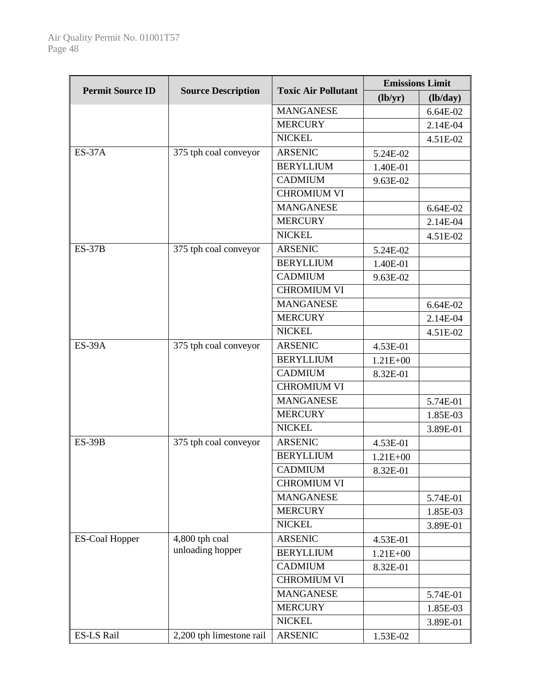|                         | <b>Toxic Air Pollutant</b> | <b>Emissions Limit</b> |              |          |
|-------------------------|----------------------------|------------------------|--------------|----------|
| <b>Permit Source ID</b> | <b>Source Description</b>  |                        | (lb/yr)      | (lb/day) |
|                         |                            | <b>MANGANESE</b>       |              | 6.64E-02 |
|                         |                            | <b>MERCURY</b>         |              | 2.14E-04 |
|                         |                            | <b>NICKEL</b>          |              | 4.51E-02 |
| <b>ES-37A</b>           | 375 tph coal conveyor      | <b>ARSENIC</b>         | 5.24E-02     |          |
|                         |                            | <b>BERYLLIUM</b>       | 1.40E-01     |          |
|                         |                            | <b>CADMIUM</b>         | 9.63E-02     |          |
|                         |                            | <b>CHROMIUM VI</b>     |              |          |
|                         |                            | <b>MANGANESE</b>       |              | 6.64E-02 |
|                         |                            | <b>MERCURY</b>         |              | 2.14E-04 |
|                         |                            | <b>NICKEL</b>          |              | 4.51E-02 |
| $ES-37B$                | 375 tph coal conveyor      | <b>ARSENIC</b>         | 5.24E-02     |          |
|                         |                            | <b>BERYLLIUM</b>       | 1.40E-01     |          |
|                         |                            | <b>CADMIUM</b>         | 9.63E-02     |          |
|                         |                            | <b>CHROMIUM VI</b>     |              |          |
|                         |                            | <b>MANGANESE</b>       |              | 6.64E-02 |
|                         |                            | <b>MERCURY</b>         |              | 2.14E-04 |
|                         |                            | <b>NICKEL</b>          |              | 4.51E-02 |
| <b>ES-39A</b>           | 375 tph coal conveyor      | <b>ARSENIC</b>         | 4.53E-01     |          |
|                         |                            | <b>BERYLLIUM</b>       | $1.21E + 00$ |          |
|                         |                            | <b>CADMIUM</b>         | 8.32E-01     |          |
|                         |                            | <b>CHROMIUM VI</b>     |              |          |
|                         |                            | <b>MANGANESE</b>       |              | 5.74E-01 |
|                         |                            | <b>MERCURY</b>         |              | 1.85E-03 |
|                         |                            | <b>NICKEL</b>          |              | 3.89E-01 |
| <b>ES-39B</b>           | 375 tph coal conveyor      | <b>ARSENIC</b>         | 4.53E-01     |          |
|                         |                            | <b>BERYLLIUM</b>       | $1.21E + 00$ |          |
|                         |                            | <b>CADMIUM</b>         | 8.32E-01     |          |
|                         |                            | <b>CHROMIUM VI</b>     |              |          |
|                         |                            | <b>MANGANESE</b>       |              | 5.74E-01 |
|                         |                            | <b>MERCURY</b>         |              | 1.85E-03 |
|                         |                            | <b>NICKEL</b>          |              | 3.89E-01 |
| <b>ES-Coal Hopper</b>   | 4,800 tph coal             | <b>ARSENIC</b>         | 4.53E-01     |          |
|                         | unloading hopper           | <b>BERYLLIUM</b>       | $1.21E + 00$ |          |
|                         |                            | <b>CADMIUM</b>         | 8.32E-01     |          |
|                         |                            | <b>CHROMIUM VI</b>     |              |          |
|                         |                            | <b>MANGANESE</b>       |              | 5.74E-01 |
|                         |                            | <b>MERCURY</b>         |              | 1.85E-03 |
|                         |                            | <b>NICKEL</b>          |              | 3.89E-01 |
| ES-LS Rail              | 2,200 tph limestone rail   | <b>ARSENIC</b>         | 1.53E-02     |          |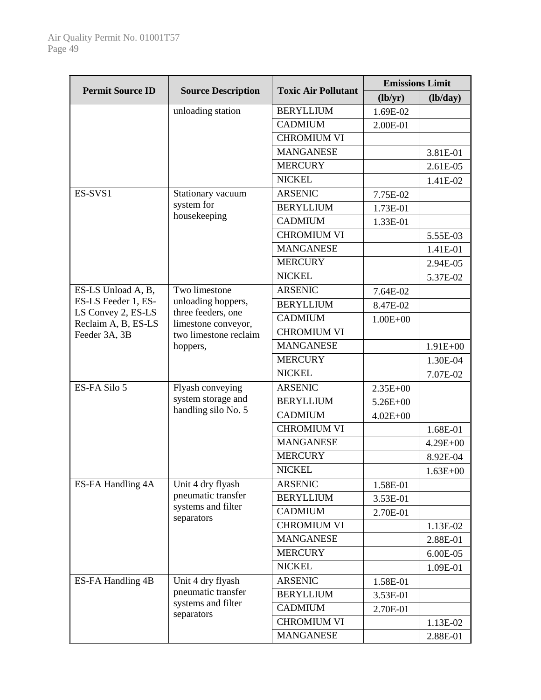|                                      | <b>Toxic Air Pollutant</b>                   | <b>Emissions Limit</b> |              |              |
|--------------------------------------|----------------------------------------------|------------------------|--------------|--------------|
| <b>Permit Source ID</b>              | <b>Source Description</b>                    |                        | (lb/yr)      | (lb/day)     |
|                                      | unloading station                            | <b>BERYLLIUM</b>       | 1.69E-02     |              |
|                                      |                                              | <b>CADMIUM</b>         | 2.00E-01     |              |
|                                      |                                              | <b>CHROMIUM VI</b>     |              |              |
|                                      |                                              | <b>MANGANESE</b>       |              | 3.81E-01     |
|                                      |                                              | <b>MERCURY</b>         |              | 2.61E-05     |
|                                      |                                              | <b>NICKEL</b>          |              | 1.41E-02     |
| ES-SVS1                              | Stationary vacuum                            | <b>ARSENIC</b>         | 7.75E-02     |              |
|                                      | system for                                   | <b>BERYLLIUM</b>       | 1.73E-01     |              |
|                                      | housekeeping                                 | <b>CADMIUM</b>         | 1.33E-01     |              |
|                                      |                                              | <b>CHROMIUM VI</b>     |              | 5.55E-03     |
|                                      |                                              | <b>MANGANESE</b>       |              | 1.41E-01     |
|                                      |                                              | <b>MERCURY</b>         |              | 2.94E-05     |
|                                      |                                              | <b>NICKEL</b>          |              | 5.37E-02     |
| ES-LS Unload A, B,                   | Two limestone                                | <b>ARSENIC</b>         | 7.64E-02     |              |
| ES-LS Feeder 1, ES-                  | unloading hoppers,                           | <b>BERYLLIUM</b>       | 8.47E-02     |              |
| LS Convey 2, ES-LS                   | three feeders, one                           | <b>CADMIUM</b>         | $1.00E + 00$ |              |
| Reclaim A, B, ES-LS<br>Feeder 3A, 3B | limestone conveyor,<br>two limestone reclaim | <b>CHROMIUM VI</b>     |              |              |
|                                      | hoppers,                                     | <b>MANGANESE</b>       |              | $1.91E + 00$ |
|                                      |                                              | <b>MERCURY</b>         |              | 1.30E-04     |
|                                      |                                              | <b>NICKEL</b>          |              | 7.07E-02     |
| ES-FA Silo 5                         | Flyash conveying                             | <b>ARSENIC</b>         | $2.35E + 00$ |              |
|                                      | system storage and                           | <b>BERYLLIUM</b>       | $5.26E + 00$ |              |
|                                      | handling silo No. 5                          | <b>CADMIUM</b>         | $4.02E + 00$ |              |
|                                      |                                              | <b>CHROMIUM VI</b>     |              | 1.68E-01     |
|                                      |                                              | <b>MANGANESE</b>       |              | $4.29E + 00$ |
|                                      |                                              | <b>MERCURY</b>         |              | 8.92E-04     |
|                                      |                                              | <b>NICKEL</b>          |              | $1.63E + 00$ |
| ES-FA Handling 4A                    | Unit 4 dry flyash                            | <b>ARSENIC</b>         | 1.58E-01     |              |
|                                      | pneumatic transfer                           | <b>BERYLLIUM</b>       | 3.53E-01     |              |
|                                      | systems and filter                           | <b>CADMIUM</b>         | 2.70E-01     |              |
|                                      | separators                                   | <b>CHROMIUM VI</b>     |              | 1.13E-02     |
|                                      |                                              | <b>MANGANESE</b>       |              | 2.88E-01     |
|                                      |                                              | <b>MERCURY</b>         |              | 6.00E-05     |
|                                      |                                              | <b>NICKEL</b>          |              | 1.09E-01     |
| ES-FA Handling 4B                    | Unit 4 dry flyash                            | <b>ARSENIC</b>         | 1.58E-01     |              |
|                                      | pneumatic transfer                           | <b>BERYLLIUM</b>       | 3.53E-01     |              |
|                                      | systems and filter                           | <b>CADMIUM</b>         | 2.70E-01     |              |
|                                      | separators                                   | <b>CHROMIUM VI</b>     |              | 1.13E-02     |
|                                      |                                              | <b>MANGANESE</b>       |              | 2.88E-01     |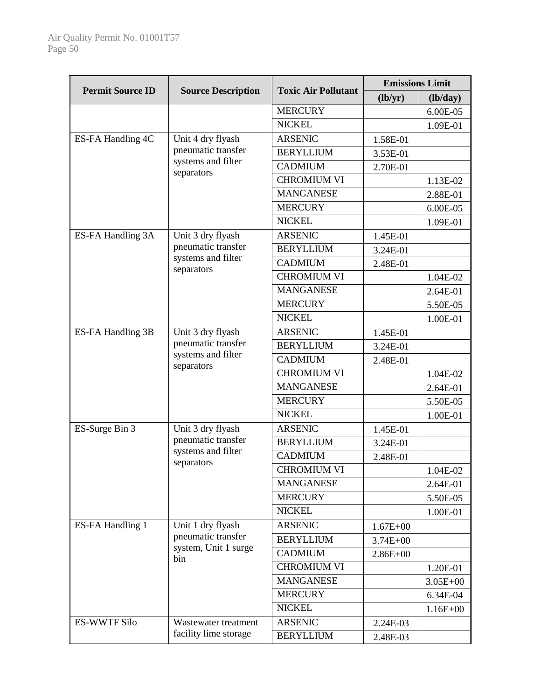|                         | <b>Source Description</b>                                              | <b>Toxic Air Pollutant</b> | <b>Emissions Limit</b> |              |
|-------------------------|------------------------------------------------------------------------|----------------------------|------------------------|--------------|
| <b>Permit Source ID</b> |                                                                        |                            | (lb/yr)                | (lb/day)     |
|                         |                                                                        | <b>MERCURY</b>             |                        | 6.00E-05     |
|                         |                                                                        | <b>NICKEL</b>              |                        | 1.09E-01     |
| ES-FA Handling 4C       | Unit 4 dry flyash                                                      | <b>ARSENIC</b>             | 1.58E-01               |              |
|                         | pneumatic transfer                                                     | <b>BERYLLIUM</b>           | 3.53E-01               |              |
|                         | systems and filter<br>separators                                       | <b>CADMIUM</b>             | 2.70E-01               |              |
|                         |                                                                        | <b>CHROMIUM VI</b>         |                        | 1.13E-02     |
|                         |                                                                        | <b>MANGANESE</b>           |                        | 2.88E-01     |
|                         |                                                                        | <b>MERCURY</b>             |                        | 6.00E-05     |
|                         |                                                                        | <b>NICKEL</b>              |                        | 1.09E-01     |
| ES-FA Handling 3A       | Unit 3 dry flyash                                                      | <b>ARSENIC</b>             | 1.45E-01               |              |
|                         | pneumatic transfer                                                     | <b>BERYLLIUM</b>           | 3.24E-01               |              |
|                         | systems and filter<br>separators                                       | <b>CADMIUM</b>             | 2.48E-01               |              |
|                         |                                                                        | <b>CHROMIUM VI</b>         |                        | 1.04E-02     |
|                         |                                                                        | <b>MANGANESE</b>           |                        | 2.64E-01     |
|                         |                                                                        | <b>MERCURY</b>             |                        | 5.50E-05     |
|                         |                                                                        | <b>NICKEL</b>              |                        | 1.00E-01     |
| ES-FA Handling 3B       | Unit 3 dry flyash                                                      | <b>ARSENIC</b>             | 1.45E-01               |              |
|                         | pneumatic transfer<br>systems and filter                               | <b>BERYLLIUM</b>           | 3.24E-01               |              |
|                         |                                                                        | <b>CADMIUM</b>             | 2.48E-01               |              |
|                         | separators                                                             | <b>CHROMIUM VI</b>         |                        | 1.04E-02     |
|                         |                                                                        | <b>MANGANESE</b>           |                        | 2.64E-01     |
|                         |                                                                        | <b>MERCURY</b>             |                        | 5.50E-05     |
|                         |                                                                        | <b>NICKEL</b>              |                        | 1.00E-01     |
| ES-Surge Bin 3          | Unit 3 dry flyash                                                      | <b>ARSENIC</b>             | 1.45E-01               |              |
|                         | pneumatic transfer<br>systems and filter<br>separators                 | <b>BERYLLIUM</b>           | 3.24E-01               |              |
|                         |                                                                        | <b>CADMIUM</b>             | 2.48E-01               |              |
|                         |                                                                        | <b>CHROMIUM VI</b>         |                        | 1.04E-02     |
|                         |                                                                        | <b>MANGANESE</b>           |                        | 2.64E-01     |
|                         |                                                                        | <b>MERCURY</b>             |                        | 5.50E-05     |
|                         |                                                                        | <b>NICKEL</b>              |                        | 1.00E-01     |
| ES-FA Handling 1        | Unit 1 dry flyash<br>pneumatic transfer<br>system, Unit 1 surge<br>bin | <b>ARSENIC</b>             | $1.67E + 00$           |              |
|                         |                                                                        | <b>BERYLLIUM</b>           | $3.74E + 00$           |              |
|                         |                                                                        | <b>CADMIUM</b>             | $2.86E + 00$           |              |
|                         |                                                                        | <b>CHROMIUM VI</b>         |                        | 1.20E-01     |
|                         |                                                                        | <b>MANGANESE</b>           |                        | $3.05E + 00$ |
|                         |                                                                        | <b>MERCURY</b>             |                        | 6.34E-04     |
|                         |                                                                        | <b>NICKEL</b>              |                        | $1.16E + 00$ |
| <b>ES-WWTF Silo</b>     | Wastewater treatment                                                   | <b>ARSENIC</b>             | 2.24E-03               |              |
|                         | facility lime storage                                                  | <b>BERYLLIUM</b>           | 2.48E-03               |              |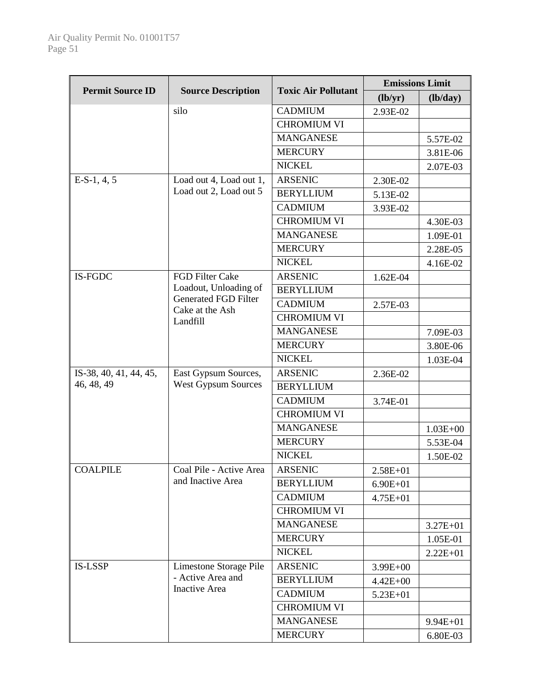| <b>Permit Source ID</b> | <b>Source Description</b>                      |                            | <b>Emissions Limit</b> |              |
|-------------------------|------------------------------------------------|----------------------------|------------------------|--------------|
|                         |                                                | <b>Toxic Air Pollutant</b> | (lb/yr)                | (lb/day)     |
|                         | silo                                           | <b>CADMIUM</b>             | 2.93E-02               |              |
|                         |                                                | <b>CHROMIUM VI</b>         |                        |              |
|                         |                                                | <b>MANGANESE</b>           |                        | 5.57E-02     |
|                         |                                                | <b>MERCURY</b>             |                        | 3.81E-06     |
|                         |                                                | <b>NICKEL</b>              |                        | 2.07E-03     |
| $E-S-1, 4, 5$           | Load out 4, Load out 1,                        | <b>ARSENIC</b>             | 2.30E-02               |              |
|                         | Load out 2, Load out 5                         | <b>BERYLLIUM</b>           | 5.13E-02               |              |
|                         |                                                | <b>CADMIUM</b>             | 3.93E-02               |              |
|                         |                                                | <b>CHROMIUM VI</b>         |                        | 4.30E-03     |
|                         |                                                | <b>MANGANESE</b>           |                        | 1.09E-01     |
|                         |                                                | <b>MERCURY</b>             |                        | 2.28E-05     |
|                         |                                                | <b>NICKEL</b>              |                        | 4.16E-02     |
| IS-FGDC                 | FGD Filter Cake                                | <b>ARSENIC</b>             | 1.62E-04               |              |
|                         | Loadout, Unloading of                          | <b>BERYLLIUM</b>           |                        |              |
|                         | <b>Generated FGD Filter</b><br>Cake at the Ash | <b>CADMIUM</b>             | 2.57E-03               |              |
|                         | Landfill                                       | <b>CHROMIUM VI</b>         |                        |              |
|                         |                                                | <b>MANGANESE</b>           |                        | 7.09E-03     |
|                         |                                                | <b>MERCURY</b>             |                        | 3.80E-06     |
|                         |                                                | <b>NICKEL</b>              |                        | 1.03E-04     |
| IS-38, 40, 41, 44, 45,  | East Gypsum Sources,                           | <b>ARSENIC</b>             | 2.36E-02               |              |
| 46, 48, 49              | <b>West Gypsum Sources</b>                     | <b>BERYLLIUM</b>           |                        |              |
|                         |                                                | <b>CADMIUM</b>             | 3.74E-01               |              |
|                         |                                                | <b>CHROMIUM VI</b>         |                        |              |
|                         |                                                | <b>MANGANESE</b>           |                        | $1.03E + 00$ |
|                         |                                                | <b>MERCURY</b>             |                        | 5.53E-04     |
|                         |                                                | <b>NICKEL</b>              |                        | 1.50E-02     |
| <b>COALPILE</b>         | Coal Pile - Active Area                        | <b>ARSENIC</b>             | 2.58E+01               |              |
|                         | and Inactive Area                              | <b>BERYLLIUM</b>           | $6.90E + 01$           |              |
|                         |                                                | <b>CADMIUM</b>             | $4.75E + 01$           |              |
|                         |                                                | <b>CHROMIUM VI</b>         |                        |              |
|                         |                                                | <b>MANGANESE</b>           |                        | 3.27E+01     |
|                         |                                                | <b>MERCURY</b>             |                        | 1.05E-01     |
|                         |                                                | <b>NICKEL</b>              |                        | $2.22E + 01$ |
| <b>IS-LSSP</b>          | Limestone Storage Pile                         | <b>ARSENIC</b>             | 3.99E+00               |              |
|                         | - Active Area and                              | <b>BERYLLIUM</b>           | $4.42E + 00$           |              |
|                         | <b>Inactive Area</b>                           | <b>CADMIUM</b>             | $5.23E + 01$           |              |
|                         |                                                | <b>CHROMIUM VI</b>         |                        |              |
|                         |                                                | <b>MANGANESE</b>           |                        | 9.94E+01     |
|                         |                                                | <b>MERCURY</b>             |                        | 6.80E-03     |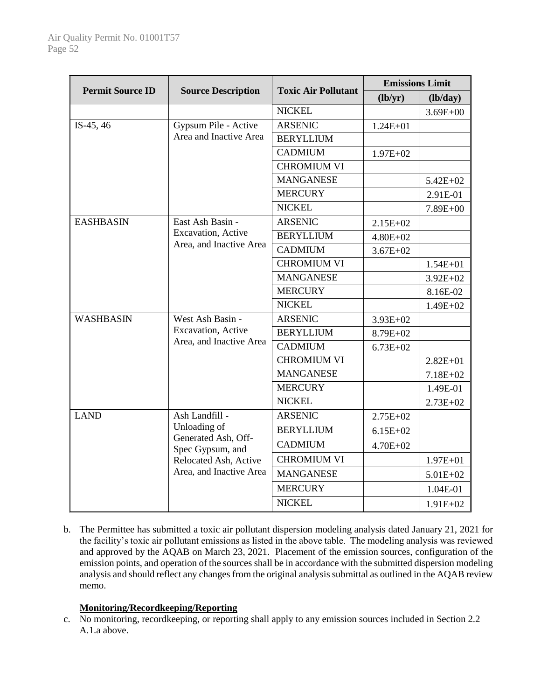|                         | <b>Source Description</b>                                                                                                     |                            | <b>Emissions Limit</b> |              |
|-------------------------|-------------------------------------------------------------------------------------------------------------------------------|----------------------------|------------------------|--------------|
| <b>Permit Source ID</b> |                                                                                                                               | <b>Toxic Air Pollutant</b> | (lb/yr)                | (lb/day)     |
|                         |                                                                                                                               | <b>NICKEL</b>              |                        | $3.69E + 00$ |
| IS-45, $46$             | Gypsum Pile - Active                                                                                                          | <b>ARSENIC</b>             | $1.24E + 01$           |              |
|                         | Area and Inactive Area                                                                                                        | <b>BERYLLIUM</b>           |                        |              |
|                         |                                                                                                                               | <b>CADMIUM</b>             | $1.97E + 02$           |              |
|                         |                                                                                                                               | <b>CHROMIUM VI</b>         |                        |              |
|                         |                                                                                                                               | <b>MANGANESE</b>           |                        | $5.42E + 02$ |
|                         |                                                                                                                               | <b>MERCURY</b>             |                        | 2.91E-01     |
|                         |                                                                                                                               | <b>NICKEL</b>              |                        | 7.89E+00     |
| <b>EASHBASIN</b>        | East Ash Basin -<br>Excavation, Active                                                                                        | <b>ARSENIC</b>             | $2.15E+02$             |              |
|                         |                                                                                                                               | <b>BERYLLIUM</b>           | $4.80E + 02$           |              |
|                         | Area, and Inactive Area                                                                                                       | <b>CADMIUM</b>             | $3.67E + 02$           |              |
|                         |                                                                                                                               | <b>CHROMIUM VI</b>         |                        | $1.54E + 01$ |
|                         |                                                                                                                               | <b>MANGANESE</b>           |                        | $3.92E + 02$ |
|                         |                                                                                                                               | <b>MERCURY</b>             |                        | 8.16E-02     |
|                         |                                                                                                                               | <b>NICKEL</b>              |                        | 1.49E+02     |
| <b>WASHBASIN</b>        | West Ash Basin -                                                                                                              | <b>ARSENIC</b>             | $3.93E + 02$           |              |
|                         | Excavation, Active<br>Area, and Inactive Area                                                                                 | <b>BERYLLIUM</b>           | 8.79E+02               |              |
|                         |                                                                                                                               | <b>CADMIUM</b>             | $6.73E + 02$           |              |
|                         |                                                                                                                               | <b>CHROMIUM VI</b>         |                        | $2.82E + 01$ |
|                         |                                                                                                                               | <b>MANGANESE</b>           |                        | 7.18E+02     |
|                         |                                                                                                                               | <b>MERCURY</b>             |                        | 1.49E-01     |
|                         |                                                                                                                               | <b>NICKEL</b>              |                        | $2.73E+02$   |
| <b>LAND</b>             | Ash Landfill -<br>Unloading of<br>Generated Ash, Off-<br>Spec Gypsum, and<br>Relocated Ash, Active<br>Area, and Inactive Area | <b>ARSENIC</b>             | $2.75E+02$             |              |
|                         |                                                                                                                               | <b>BERYLLIUM</b>           | $6.15E+02$             |              |
|                         |                                                                                                                               | <b>CADMIUM</b>             | $4.70E + 02$           |              |
|                         |                                                                                                                               | <b>CHROMIUM VI</b>         |                        | $1.97E + 01$ |
|                         |                                                                                                                               | <b>MANGANESE</b>           |                        | $5.01E + 02$ |
|                         |                                                                                                                               | <b>MERCURY</b>             |                        | 1.04E-01     |
|                         |                                                                                                                               | <b>NICKEL</b>              |                        | $1.91E + 02$ |

b. The Permittee has submitted a toxic air pollutant dispersion modeling analysis dated January 21, 2021 for the facility's toxic air pollutant emissions as listed in the above table. The modeling analysis was reviewed and approved by the AQAB on March 23, 2021. Placement of the emission sources, configuration of the emission points, and operation of the sources shall be in accordance with the submitted dispersion modeling analysis and should reflect any changes from the original analysis submittal as outlined in the AQAB review memo.

# **Monitoring/Recordkeeping/Reporting**

c. No monitoring, recordkeeping, or reporting shall apply to any emission sources included in Section 2.2 A.1.a above.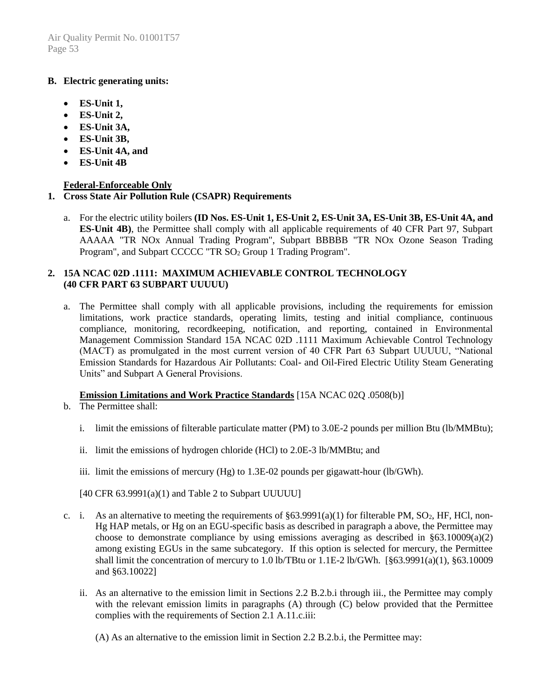### **B. Electric generating units:**

- **ES-Unit 1,**
- **ES-Unit 2,**
- **ES-Unit 3A,**
- **ES-Unit 3B,**
- **ES-Unit 4A, and**
- **ES-Unit 4B**

# **Federal-Enforceable Only**

# **1. Cross State Air Pollution Rule (CSAPR) Requirements**

a. For the electric utility boilers **(ID Nos. ES-Unit 1, ES-Unit 2, ES-Unit 3A, ES-Unit 3B, ES-Unit 4A, and ES-Unit 4B)**, the Permittee shall comply with all applicable requirements of 40 CFR Part 97, Subpart AAAAA "TR NOx Annual Trading Program", Subpart BBBBB "TR NOx Ozone Season Trading Program", and Subpart CCCCC "TR SO<sub>2</sub> Group 1 Trading Program".

### **2. 15A NCAC 02D .1111: MAXIMUM ACHIEVABLE CONTROL TECHNOLOGY (40 CFR PART 63 SUBPART UUUUU)**

a. The Permittee shall comply with all applicable provisions, including the requirements for emission limitations, work practice standards, operating limits, testing and initial compliance, continuous compliance, monitoring, recordkeeping, notification, and reporting, contained in Environmental Management Commission Standard 15A NCAC 02D .1111 Maximum Achievable Control Technology (MACT) as promulgated in the most current version of 40 CFR Part 63 Subpart UUUUU, "National Emission Standards for Hazardous Air Pollutants: Coal- and Oil-Fired Electric Utility Steam Generating Units" and Subpart A General Provisions.

#### **Emission Limitations and Work Practice Standards** [15A NCAC 02Q .0508(b)]

- b. The Permittee shall:
	- i. limit the emissions of filterable particulate matter (PM) to 3.0E-2 pounds per million Btu (lb/MMBtu);
	- ii. limit the emissions of hydrogen chloride (HCl) to 2.0E-3 lb/MMBtu; and
	- iii. limit the emissions of mercury  $(Hg)$  to 1.3E-02 pounds per gigawatt-hour (lb/GWh).
	- $[40 \text{ CFR } 63.9991(a)(1)$  and Table 2 to Subpart UUUUU]
- c. i. As an alternative to meeting the requirements of  $\S 63.9991(a)(1)$  for filterable PM, SO<sub>2</sub>, HF, HCl, non-Hg HAP metals, or Hg on an EGU-specific basis as described in paragraph a above, the Permittee may choose to demonstrate compliance by using emissions averaging as described in  $\S 63.10009(a)(2)$ among existing EGUs in the same subcategory. If this option is selected for mercury, the Permittee shall limit the concentration of mercury to 1.0 lb/TBtu or 1.1E-2 lb/GWh. [§63.9991(a)(1), §63.10009 and §63.10022]
	- ii. As an alternative to the emission limit in Sections 2.2 B.2.b.i through iii., the Permittee may comply with the relevant emission limits in paragraphs (A) through (C) below provided that the Permittee complies with the requirements of Section 2.1 A.11.c.iii:
		- (A) As an alternative to the emission limit in Section 2.2 B.2.b.i, the Permittee may: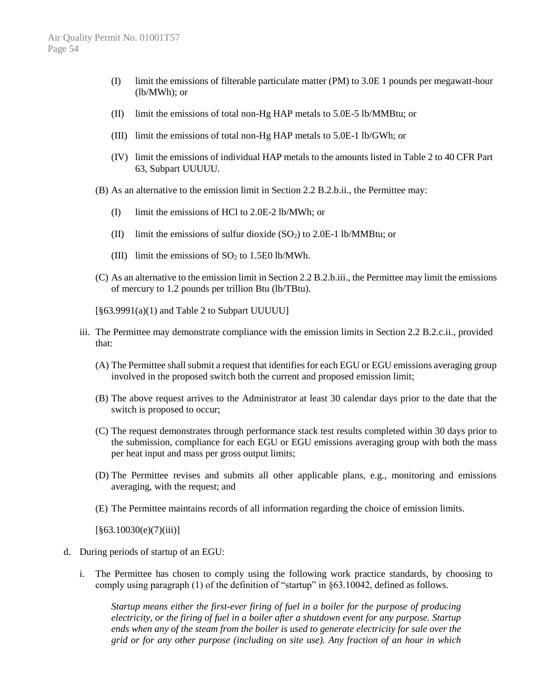- (I) limit the emissions of filterable particulate matter (PM) to 3.0E 1 pounds per megawatt-hour (lb/MWh); or
- (II) limit the emissions of total non-Hg HAP metals to 5.0E-5 lb/MMBtu; or
- (III) limit the emissions of total non-Hg HAP metals to 5.0E-1 lb/GWh; or
- (IV) limit the emissions of individual HAP metals to the amounts listed in Table 2 to 40 CFR Part 63, Subpart UUUUU.
- (B) As an alternative to the emission limit in Section 2.2 B.2.b.ii., the Permittee may:
	- (I) limit the emissions of HCl to 2.0E-2 lb/MWh; or
	- (II) limit the emissions of sulfur dioxide  $(SO<sub>2</sub>)$  to 2.0E-1 lb/MMBtu; or
	- (III) limit the emissions of  $SO<sub>2</sub>$  to 1.5E0 lb/MWh.
- (C) As an alternative to the emission limit in Section 2.2 B.2.b.iii., the Permittee may limit the emissions of mercury to 1.2 pounds per trillion Btu (lb/TBtu).
- [§63.9991(a)(1) and Table 2 to Subpart UUUUU]
- iii. The Permittee may demonstrate compliance with the emission limits in Section 2.2 B.2.c.ii., provided that:
	- (A) The Permittee shall submit a request that identifies for each EGU or EGU emissions averaging group involved in the proposed switch both the current and proposed emission limit;
	- (B) The above request arrives to the Administrator at least 30 calendar days prior to the date that the switch is proposed to occur;
	- (C) The request demonstrates through performance stack test results completed within 30 days prior to the submission, compliance for each EGU or EGU emissions averaging group with both the mass per heat input and mass per gross output limits;
	- (D) The Permittee revises and submits all other applicable plans, e.g., monitoring and emissions averaging, with the request; and
	- (E) The Permittee maintains records of all information regarding the choice of emission limits.

 $\left[ \frac{863.10030(e)}{7)(iii)} \right]$ 

- d. During periods of startup of an EGU:
	- i. The Permittee has chosen to comply using the following work practice standards, by choosing to comply using paragraph (1) of the definition of "startup" in §63.10042, defined as follows.

*Startup means either the first-ever firing of fuel in a boiler for the purpose of producing electricity, or the firing of fuel in a boiler after a shutdown event for any purpose. Startup ends when any of the steam from the boiler is used to generate electricity for sale over the grid or for any other purpose (including on site use). Any fraction of an hour in which*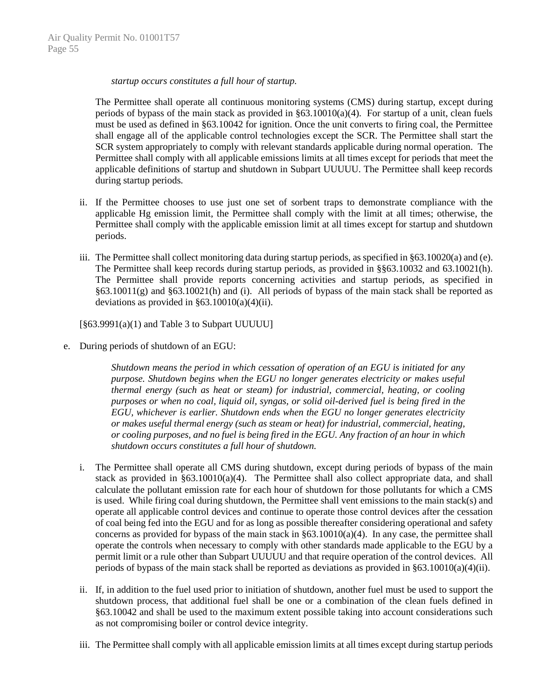#### *startup occurs constitutes a full hour of startup.*

The Permittee shall operate all continuous monitoring systems (CMS) during startup, except during periods of bypass of the main stack as provided in §63.10010(a)(4). For startup of a unit, clean fuels must be used as defined in §63.10042 for ignition. Once the unit converts to firing coal, the Permittee shall engage all of the applicable control technologies except the SCR. The Permittee shall start the SCR system appropriately to comply with relevant standards applicable during normal operation. The Permittee shall comply with all applicable emissions limits at all times except for periods that meet the applicable definitions of startup and shutdown in Subpart UUUUU. The Permittee shall keep records during startup periods.

- ii. If the Permittee chooses to use just one set of sorbent traps to demonstrate compliance with the applicable Hg emission limit, the Permittee shall comply with the limit at all times; otherwise, the Permittee shall comply with the applicable emission limit at all times except for startup and shutdown periods.
- iii. The Permittee shall collect monitoring data during startup periods, as specified in §63.10020(a) and (e). The Permittee shall keep records during startup periods, as provided in §§63.10032 and 63.10021(h). The Permittee shall provide reports concerning activities and startup periods, as specified in §63.10011(g) and §63.10021(h) and (i). All periods of bypass of the main stack shall be reported as deviations as provided in  $\S 63.10010(a)(4)(ii)$ .

[§63.9991(a)(1) and Table 3 to Subpart UUUUU]

e. During periods of shutdown of an EGU:

*Shutdown means the period in which cessation of operation of an EGU is initiated for any purpose. Shutdown begins when the EGU no longer generates electricity or makes useful thermal energy (such as heat or steam) for industrial, commercial, heating, or cooling purposes or when no coal, liquid oil, syngas, or solid oil-derived fuel is being fired in the EGU, whichever is earlier. Shutdown ends when the EGU no longer generates electricity or makes useful thermal energy (such as steam or heat) for industrial, commercial, heating, or cooling purposes, and no fuel is being fired in the EGU. Any fraction of an hour in which shutdown occurs constitutes a full hour of shutdown.*

- i. The Permittee shall operate all CMS during shutdown, except during periods of bypass of the main stack as provided in  $\S 63.10010(a)(4)$ . The Permittee shall also collect appropriate data, and shall calculate the pollutant emission rate for each hour of shutdown for those pollutants for which a CMS is used. While firing coal during shutdown, the Permittee shall vent emissions to the main stack(s) and operate all applicable control devices and continue to operate those control devices after the cessation of coal being fed into the EGU and for as long as possible thereafter considering operational and safety concerns as provided for bypass of the main stack in §63.10010(a)(4). In any case, the permittee shall operate the controls when necessary to comply with other standards made applicable to the EGU by a permit limit or a rule other than Subpart UUUUU and that require operation of the control devices. All periods of bypass of the main stack shall be reported as deviations as provided in §63.10010(a)(4)(ii).
- ii. If, in addition to the fuel used prior to initiation of shutdown, another fuel must be used to support the shutdown process, that additional fuel shall be one or a combination of the clean fuels defined in §63.10042 and shall be used to the maximum extent possible taking into account considerations such as not compromising boiler or control device integrity.
- iii. The Permittee shall comply with all applicable emission limits at all times except during startup periods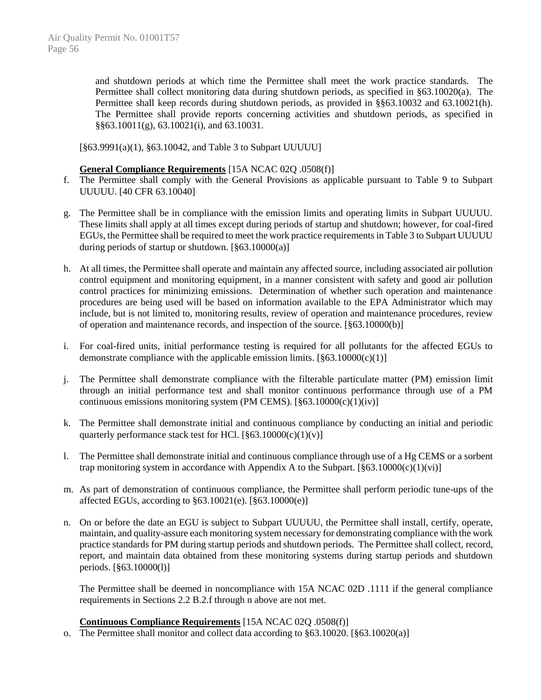and shutdown periods at which time the Permittee shall meet the work practice standards. The Permittee shall collect monitoring data during shutdown periods, as specified in §63.10020(a). The Permittee shall keep records during shutdown periods, as provided in §§63.10032 and 63.10021(h). The Permittee shall provide reports concerning activities and shutdown periods, as specified in §§63.10011(g), 63.10021(i), and 63.10031.

[§63.9991(a)(1), §63.10042, and Table 3 to Subpart UUUUU]

#### **General Compliance Requirements** [15A NCAC 02Q .0508(f)]

- f. The Permittee shall comply with the General Provisions as applicable pursuant to Table 9 to Subpart UUUUU. [40 CFR 63.10040]
- g. The Permittee shall be in compliance with the emission limits and operating limits in Subpart UUUUU. These limits shall apply at all times except during periods of startup and shutdown; however, for coal-fired EGUs, the Permittee shall be required to meet the work practice requirements in Table 3 to Subpart UUUUU during periods of startup or shutdown.  $[§63.10000(a)]$
- h. At all times, the Permittee shall operate and maintain any affected source, including associated air pollution control equipment and monitoring equipment, in a manner consistent with safety and good air pollution control practices for minimizing emissions. Determination of whether such operation and maintenance procedures are being used will be based on information available to the EPA Administrator which may include, but is not limited to, monitoring results, review of operation and maintenance procedures, review of operation and maintenance records, and inspection of the source. [§63.10000(b)]
- i. For coal-fired units, initial performance testing is required for all pollutants for the affected EGUs to demonstrate compliance with the applicable emission limits.  $[\S 63.10000(c)(1)]$
- j. The Permittee shall demonstrate compliance with the filterable particulate matter (PM) emission limit through an initial performance test and shall monitor continuous performance through use of a PM continuous emissions monitoring system (PM CEMS).  $[\$63.10000(c)(1)(iv)]$
- k. The Permittee shall demonstrate initial and continuous compliance by conducting an initial and periodic quarterly performance stack test for HCl.  $[\$63.10000(c)(1)(v)]$
- l. The Permittee shall demonstrate initial and continuous compliance through use of a Hg CEMS or a sorbent trap monitoring system in accordance with Appendix A to the Subpart.  $[\frac{663.10000(c)(1)(vi)}{663.10000(c)(1)(v)}]$
- m. As part of demonstration of continuous compliance, the Permittee shall perform periodic tune-ups of the affected EGUs, according to §63.10021(e). [§63.10000(e)]
- n. On or before the date an EGU is subject to Subpart UUUUU, the Permittee shall install, certify, operate, maintain, and quality-assure each monitoring system necessary for demonstrating compliance with the work practice standards for PM during startup periods and shutdown periods. The Permittee shall collect, record, report, and maintain data obtained from these monitoring systems during startup periods and shutdown periods. [§63.10000(l)]

The Permittee shall be deemed in noncompliance with 15A NCAC 02D .1111 if the general compliance requirements in Sections 2.2 B.2.f through n above are not met.

#### **Continuous Compliance Requirements** [15A NCAC 02Q .0508(f)]

o. The Permittee shall monitor and collect data according to §63.10020. [§63.10020(a)]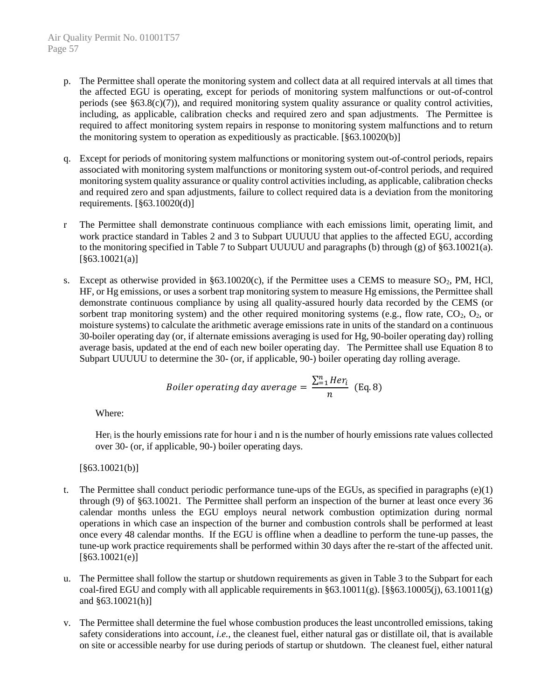- p. The Permittee shall operate the monitoring system and collect data at all required intervals at all times that the affected EGU is operating, except for periods of monitoring system malfunctions or out-of-control periods (see  $\S 63.8(c)(7)$ ), and required monitoring system quality assurance or quality control activities, including, as applicable, calibration checks and required zero and span adjustments. The Permittee is required to affect monitoring system repairs in response to monitoring system malfunctions and to return the monitoring system to operation as expeditiously as practicable. [§63.10020(b)]
- q. Except for periods of monitoring system malfunctions or monitoring system out-of-control periods, repairs associated with monitoring system malfunctions or monitoring system out-of-control periods, and required monitoring system quality assurance or quality control activities including, as applicable, calibration checks and required zero and span adjustments, failure to collect required data is a deviation from the monitoring requirements. [§63.10020(d)]
- r The Permittee shall demonstrate continuous compliance with each emissions limit, operating limit, and work practice standard in Tables 2 and 3 to Subpart UUUUU that applies to the affected EGU, according to the monitoring specified in Table 7 to Subpart UUUUU and paragraphs (b) through (g) of §63.10021(a). [§63.10021(a)]
- s. Except as otherwise provided in  $\S 63.10020(c)$ , if the Permittee uses a CEMS to measure SO<sub>2</sub>, PM, HCl, HF, or Hg emissions, or uses a sorbent trap monitoring system to measure Hg emissions, the Permittee shall demonstrate continuous compliance by using all quality-assured hourly data recorded by the CEMS (or sorbent trap monitoring system) and the other required monitoring systems (e.g., flow rate,  $CO<sub>2</sub>$ ,  $O<sub>2</sub>$ , or moisture systems) to calculate the arithmetic average emissions rate in units of the standard on a continuous 30-boiler operating day (or, if alternate emissions averaging is used for Hg, 90-boiler operating day) rolling average basis, updated at the end of each new boiler operating day. The Permittee shall use Equation 8 to Subpart UUUUU to determine the 30- (or, if applicable, 90-) boiler operating day rolling average.

$$
Boiler\ operating\ day\ average = \frac{\sum_{i=1}^{n} Her_i}{n} \text{ (Eq. 8)}
$$

Where:

Her<sub>i</sub> is the hourly emissions rate for hour i and n is the number of hourly emissions rate values collected over 30- (or, if applicable, 90-) boiler operating days.

 $[§63.10021(b)]$ 

- t. The Permittee shall conduct periodic performance tune-ups of the EGUs, as specified in paragraphs  $(e)(1)$ through (9) of §63.10021. The Permittee shall perform an inspection of the burner at least once every 36 calendar months unless the EGU employs neural network combustion optimization during normal operations in which case an inspection of the burner and combustion controls shall be performed at least once every 48 calendar months. If the EGU is offline when a deadline to perform the tune-up passes, the tune-up work practice requirements shall be performed within 30 days after the re-start of the affected unit. [§63.10021(e)]
- u. The Permittee shall follow the startup or shutdown requirements as given in Table 3 to the Subpart for each coal-fired EGU and comply with all applicable requirements in  $\S 63.10011(g)$ . [ $\S 863.10005(j)$ , 63.10011(g) and §63.10021(h)]
- v. The Permittee shall determine the fuel whose combustion produces the least uncontrolled emissions, taking safety considerations into account, *i.e.*, the cleanest fuel, either natural gas or distillate oil, that is available on site or accessible nearby for use during periods of startup or shutdown. The cleanest fuel, either natural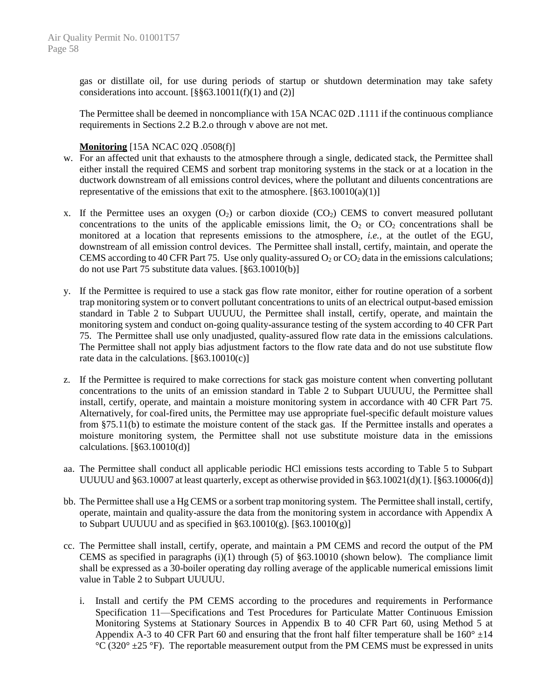gas or distillate oil, for use during periods of startup or shutdown determination may take safety considerations into account.  $[$ §§63.10011(f)(1) and (2)]

The Permittee shall be deemed in noncompliance with 15A NCAC 02D .1111 if the continuous compliance requirements in Sections 2.2 B.2.o through v above are not met.

### **Monitoring** [15A NCAC 02Q .0508(f)]

- w. For an affected unit that exhausts to the atmosphere through a single, dedicated stack, the Permittee shall either install the required CEMS and sorbent trap monitoring systems in the stack or at a location in the ductwork downstream of all emissions control devices, where the pollutant and diluents concentrations are representative of the emissions that exit to the atmosphere.  $[§63,10010(a)(1)]$
- x. If the Permittee uses an oxygen  $(O_2)$  or carbon dioxide  $(CO_2)$  CEMS to convert measured pollutant concentrations to the units of the applicable emissions limit, the  $O_2$  or  $CO_2$  concentrations shall be monitored at a location that represents emissions to the atmosphere, *i.e.,* at the outlet of the EGU, downstream of all emission control devices. The Permittee shall install, certify, maintain, and operate the CEMS according to 40 CFR Part 75. Use only quality-assured  $O_2$  or  $CO_2$  data in the emissions calculations; do not use Part 75 substitute data values. [§63.10010(b)]
- y. If the Permittee is required to use a stack gas flow rate monitor, either for routine operation of a sorbent trap monitoring system or to convert pollutant concentrations to units of an electrical output-based emission standard in Table 2 to Subpart UUUUU, the Permittee shall install, certify, operate, and maintain the monitoring system and conduct on-going quality-assurance testing of the system according to 40 CFR Part 75. The Permittee shall use only unadjusted, quality-assured flow rate data in the emissions calculations. The Permittee shall not apply bias adjustment factors to the flow rate data and do not use substitute flow rate data in the calculations. [§63.10010(c)]
- z. If the Permittee is required to make corrections for stack gas moisture content when converting pollutant concentrations to the units of an emission standard in Table 2 to Subpart UUUUU, the Permittee shall install, certify, operate, and maintain a moisture monitoring system in accordance with 40 CFR Part 75. Alternatively, for coal-fired units, the Permittee may use appropriate fuel-specific default moisture values from §75.11(b) to estimate the moisture content of the stack gas. If the Permittee installs and operates a moisture monitoring system, the Permittee shall not use substitute moisture data in the emissions calculations. [§63.10010(d)]
- aa. The Permittee shall conduct all applicable periodic HCl emissions tests according to Table 5 to Subpart UUUUU and  $\S 63.10007$  at least quarterly, except as otherwise provided in  $\S 63.10021(d)(1)$ . [ $\S 63.10006(d)$ ]
- bb. The Permittee shall use a Hg CEMS or a sorbent trap monitoring system. The Permittee shall install, certify, operate, maintain and quality-assure the data from the monitoring system in accordance with Appendix A to Subpart UUUUU and as specified in  $\S 63.10010(g)$ . [ $\S 63.10010(g)$ ]
- cc. The Permittee shall install, certify, operate, and maintain a PM CEMS and record the output of the PM CEMS as specified in paragraphs  $(i)(1)$  through (5) of §63.10010 (shown below). The compliance limit shall be expressed as a 30-boiler operating day rolling average of the applicable numerical emissions limit value in Table 2 to Subpart UUUUU.
	- i. Install and certify the PM CEMS according to the procedures and requirements in Performance Specification 11—Specifications and Test Procedures for Particulate Matter Continuous Emission Monitoring Systems at Stationary Sources in Appendix B to 40 CFR Part 60, using Method 5 at Appendix A-3 to 40 CFR Part 60 and ensuring that the front half filter temperature shall be  $160^{\circ}$   $\pm 14$ °C (320°  $\pm$ 25 °F). The reportable measurement output from the PM CEMS must be expressed in units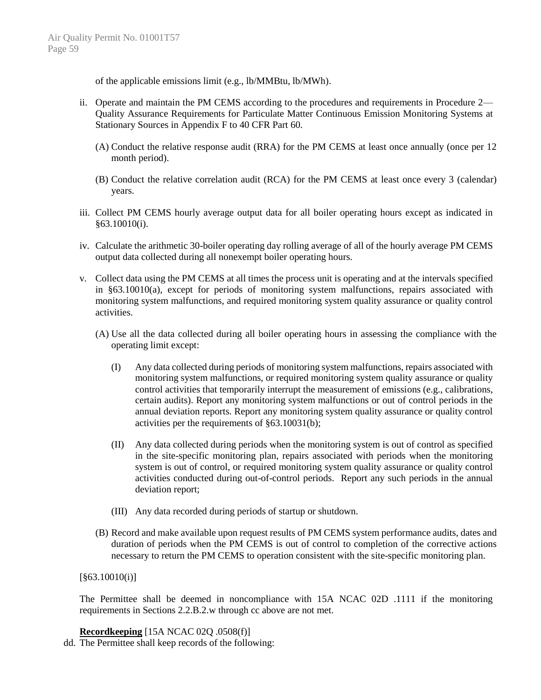of the applicable emissions limit (e.g., lb/MMBtu, lb/MWh).

- ii. Operate and maintain the PM CEMS according to the procedures and requirements in Procedure 2— Quality Assurance Requirements for Particulate Matter Continuous Emission Monitoring Systems at Stationary Sources in Appendix F to 40 CFR Part 60.
	- (A) Conduct the relative response audit (RRA) for the PM CEMS at least once annually (once per 12 month period).
	- (B) Conduct the relative correlation audit (RCA) for the PM CEMS at least once every 3 (calendar) years.
- iii. Collect PM CEMS hourly average output data for all boiler operating hours except as indicated in §63.10010(i).
- iv. Calculate the arithmetic 30-boiler operating day rolling average of all of the hourly average PM CEMS output data collected during all nonexempt boiler operating hours.
- v. Collect data using the PM CEMS at all times the process unit is operating and at the intervals specified in §63.10010(a), except for periods of monitoring system malfunctions, repairs associated with monitoring system malfunctions, and required monitoring system quality assurance or quality control activities.
	- (A) Use all the data collected during all boiler operating hours in assessing the compliance with the operating limit except:
		- (I) Any data collected during periods of monitoring system malfunctions, repairs associated with monitoring system malfunctions, or required monitoring system quality assurance or quality control activities that temporarily interrupt the measurement of emissions (e.g., calibrations, certain audits). Report any monitoring system malfunctions or out of control periods in the annual deviation reports. Report any monitoring system quality assurance or quality control activities per the requirements of §63.10031(b);
		- (II) Any data collected during periods when the monitoring system is out of control as specified in the site-specific monitoring plan, repairs associated with periods when the monitoring system is out of control, or required monitoring system quality assurance or quality control activities conducted during out-of-control periods. Report any such periods in the annual deviation report;
		- (III) Any data recorded during periods of startup or shutdown.
	- (B) Record and make available upon request results of PM CEMS system performance audits, dates and duration of periods when the PM CEMS is out of control to completion of the corrective actions necessary to return the PM CEMS to operation consistent with the site-specific monitoring plan.

#### [§63.10010(i)]

The Permittee shall be deemed in noncompliance with 15A NCAC 02D .1111 if the monitoring requirements in Sections 2.2.B.2.w through cc above are not met.

**Recordkeeping** [15A NCAC 02Q .0508(f)]

dd. The Permittee shall keep records of the following: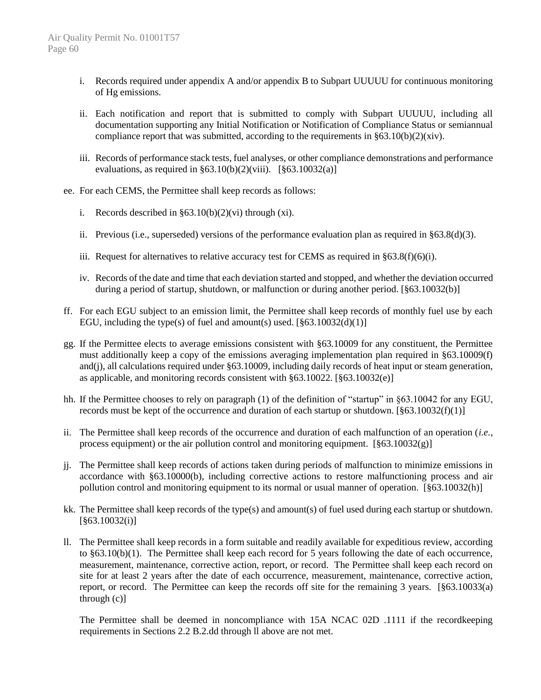- i. Records required under appendix A and/or appendix B to Subpart UUUUU for continuous monitoring of Hg emissions.
- ii. Each notification and report that is submitted to comply with Subpart UUUUU, including all documentation supporting any Initial Notification or Notification of Compliance Status or semiannual compliance report that was submitted, according to the requirements in  $\S 63.10(b)(2)(xiv)$ .
- iii. Records of performance stack tests, fuel analyses, or other compliance demonstrations and performance evaluations, as required in  $\S 63.10(b)(2)(viii)$ .  $[\S 63.10032(a)]$
- ee. For each CEMS, the Permittee shall keep records as follows:
	- i. Records described in  $\S 63.10(b)(2)(vi)$  through (xi).
	- ii. Previous (i.e., superseded) versions of the performance evaluation plan as required in §63.8(d)(3).
	- iii. Request for alternatives to relative accuracy test for CEMS as required in  $\S 63.8(f)(6)(i)$ .
	- iv. Records of the date and time that each deviation started and stopped, and whether the deviation occurred during a period of startup, shutdown, or malfunction or during another period. [§63.10032(b)]
- ff. For each EGU subject to an emission limit, the Permittee shall keep records of monthly fuel use by each EGU, including the type(s) of fuel and amount(s) used.  $[863.10032(d)(1)]$
- gg. If the Permittee elects to average emissions consistent with §63.10009 for any constituent, the Permittee must additionally keep a copy of the emissions averaging implementation plan required in §63.10009(f) and(j), all calculations required under §63.10009, including daily records of heat input or steam generation, as applicable, and monitoring records consistent with §63.10022. [§63.10032(e)]
- hh. If the Permittee chooses to rely on paragraph (1) of the definition of "startup" in §63.10042 for any EGU, records must be kept of the occurrence and duration of each startup or shutdown. [§63.10032(f)(1)]
- ii. The Permittee shall keep records of the occurrence and duration of each malfunction of an operation (*i.e.*, process equipment) or the air pollution control and monitoring equipment.  $\lceil \frac{6}{3}63.10032(g) \rceil$
- jj. The Permittee shall keep records of actions taken during periods of malfunction to minimize emissions in accordance with §63.10000(b), including corrective actions to restore malfunctioning process and air pollution control and monitoring equipment to its normal or usual manner of operation. [§63.10032(h)]
- kk. The Permittee shall keep records of the type(s) and amount(s) of fuel used during each startup or shutdown. [§63.10032(i)]
- ll. The Permittee shall keep records in a form suitable and readily available for expeditious review, according to §63.10(b)(1). The Permittee shall keep each record for 5 years following the date of each occurrence, measurement, maintenance, corrective action, report, or record. The Permittee shall keep each record on site for at least 2 years after the date of each occurrence, measurement, maintenance, corrective action, report, or record. The Permittee can keep the records off site for the remaining 3 years. [§63.10033(a) through (c)]

The Permittee shall be deemed in noncompliance with 15A NCAC 02D .1111 if the recordkeeping requirements in Sections 2.2 B.2.dd through ll above are not met.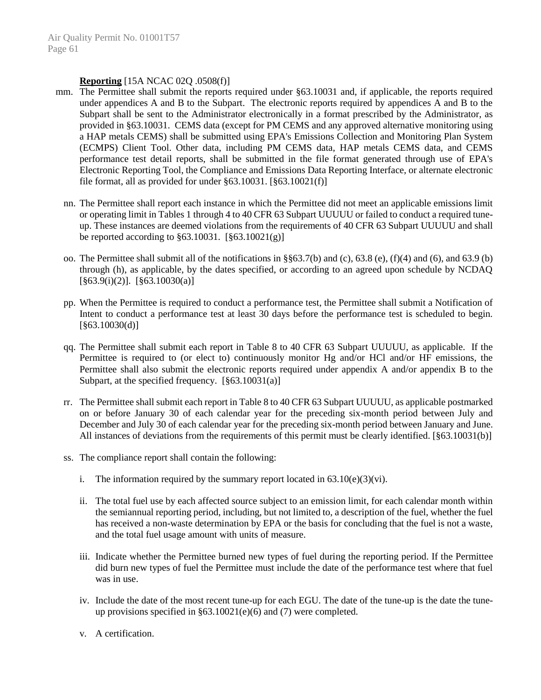#### **Reporting** [15A NCAC 02Q .0508(f)]

- mm. The Permittee shall submit the reports required under §63.10031 and, if applicable, the reports required under appendices A and B to the Subpart. The electronic reports required by appendices A and B to the Subpart shall be sent to the Administrator electronically in a format prescribed by the Administrator, as provided in §63.10031. CEMS data (except for PM CEMS and any approved alternative monitoring using a HAP metals CEMS) shall be submitted using EPA's Emissions Collection and Monitoring Plan System (ECMPS) Client Tool. Other data, including PM CEMS data, HAP metals CEMS data, and CEMS performance test detail reports, shall be submitted in the file format generated through use of EPA's Electronic Reporting Tool, the Compliance and Emissions Data Reporting Interface, or alternate electronic file format, all as provided for under  $\S 63.10031$ .  $[\S 63.10021(f)]$ 
	- nn. The Permittee shall report each instance in which the Permittee did not meet an applicable emissions limit or operating limit in Tables 1 through 4 to 40 CFR 63 Subpart UUUUU or failed to conduct a required tuneup. These instances are deemed violations from the requirements of 40 CFR 63 Subpart UUUUU and shall be reported according to §63.10031. [§63.10021(g)]
	- oo. The Permittee shall submit all of the notifications in  $\S$ §63.7(b) and (c), 63.8 (e), (f)(4) and (6), and 63.9 (b) through (h), as applicable, by the dates specified, or according to an agreed upon schedule by NCDAQ  $\S63.9(i)(2)$ ].  $\S63.10030(a)$ ]
	- pp. When the Permittee is required to conduct a performance test, the Permittee shall submit a Notification of Intent to conduct a performance test at least 30 days before the performance test is scheduled to begin.  $[§63.10030(d)]$
	- qq. The Permittee shall submit each report in Table 8 to 40 CFR 63 Subpart UUUUU, as applicable. If the Permittee is required to (or elect to) continuously monitor Hg and/or HCl and/or HF emissions, the Permittee shall also submit the electronic reports required under appendix A and/or appendix B to the Subpart, at the specified frequency.  $\lceil \frac{6}{3} \cdot 3.10031(a) \rceil$
	- rr. The Permittee shall submit each report in Table 8 to 40 CFR 63 Subpart UUUUU, as applicable postmarked on or before January 30 of each calendar year for the preceding six-month period between July and December and July 30 of each calendar year for the preceding six-month period between January and June. All instances of deviations from the requirements of this permit must be clearly identified. [§63.10031(b)]
	- ss. The compliance report shall contain the following:
		- i. The information required by the summary report located in  $63.10(e)(3)(vi)$ .
		- ii. The total fuel use by each affected source subject to an emission limit, for each calendar month within the semiannual reporting period, including, but not limited to, a description of the fuel, whether the fuel has received a non-waste determination by EPA or the basis for concluding that the fuel is not a waste, and the total fuel usage amount with units of measure.
		- iii. Indicate whether the Permittee burned new types of fuel during the reporting period. If the Permittee did burn new types of fuel the Permittee must include the date of the performance test where that fuel was in use.
		- iv. Include the date of the most recent tune-up for each EGU. The date of the tune-up is the date the tuneup provisions specified in §63.10021(e)(6) and (7) were completed.
		- v. A certification.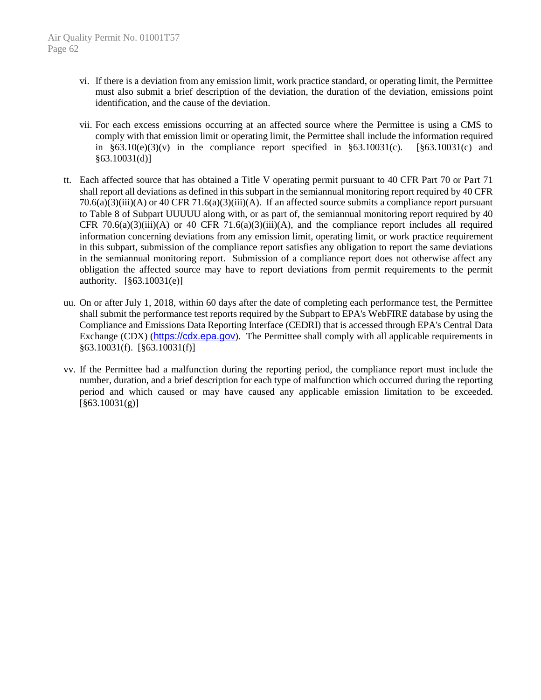- vi. If there is a deviation from any emission limit, work practice standard, or operating limit, the Permittee must also submit a brief description of the deviation, the duration of the deviation, emissions point identification, and the cause of the deviation.
- vii. For each excess emissions occurring at an affected source where the Permittee is using a CMS to comply with that emission limit or operating limit, the Permittee shall include the information required in  $\S 63.10(e)(3)(v)$  in the compliance report specified in  $\S 63.10031(c)$ . [ $\S 63.10031(c)$  and §63.10031(d)]
- tt. Each affected source that has obtained a Title V operating permit pursuant to 40 CFR Part 70 or Part 71 shall report all deviations as defined in this subpart in the semiannual monitoring report required by 40 CFR 70.6(a)(3)(iii)(A) or 40 CFR 71.6(a)(3)(iii)(A). If an affected source submits a compliance report pursuant to Table 8 of Subpart UUUUU along with, or as part of, the semiannual monitoring report required by 40 CFR 70.6(a)(3)(iii)(A) or 40 CFR 71.6(a)(3)(iii)(A), and the compliance report includes all required information concerning deviations from any emission limit, operating limit, or work practice requirement in this subpart, submission of the compliance report satisfies any obligation to report the same deviations in the semiannual monitoring report. Submission of a compliance report does not otherwise affect any obligation the affected source may have to report deviations from permit requirements to the permit authority. [§63.10031(e)]
- uu. On or after July 1, 2018, within 60 days after the date of completing each performance test, the Permittee shall submit the performance test reports required by the Subpart to EPA's WebFIRE database by using the Compliance and Emissions Data Reporting Interface (CEDRI) that is accessed through EPA's Central Data Exchange (CDX) ([https://cdx.epa.gov](https://cdx.epa.gov/)). The Permittee shall comply with all applicable requirements in §63.10031(f). [§63.10031(f)]
- vv. If the Permittee had a malfunction during the reporting period, the compliance report must include the number, duration, and a brief description for each type of malfunction which occurred during the reporting period and which caused or may have caused any applicable emission limitation to be exceeded.  $\left[ \frac{863.10031(g)}{g} \right]$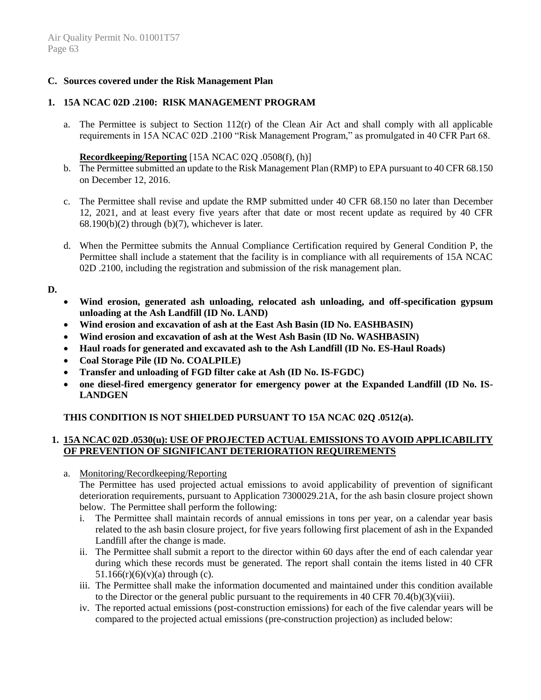### **C. Sources covered under the Risk Management Plan**

### **1. 15A NCAC 02D .2100: RISK MANAGEMENT PROGRAM**

a. The Permittee is subject to Section  $112(r)$  of the Clean Air Act and shall comply with all applicable requirements in 15A NCAC 02D .2100 "Risk Management Program," as promulgated in 40 CFR Part 68.

### **Recordkeeping/Reporting** [15A NCAC 02Q .0508(f), (h)]

- b. The Permittee submitted an update to the Risk Management Plan (RMP) to EPA pursuant to 40 CFR 68.150 on December 12, 2016.
- c. The Permittee shall revise and update the RMP submitted under 40 CFR 68.150 no later than December 12, 2021, and at least every five years after that date or most recent update as required by 40 CFR  $68.190(b)(2)$  through (b)(7), whichever is later.
- d. When the Permittee submits the Annual Compliance Certification required by General Condition P, the Permittee shall include a statement that the facility is in compliance with all requirements of 15A NCAC 02D .2100, including the registration and submission of the risk management plan.

#### **D.**

- **Wind erosion, generated ash unloading, relocated ash unloading, and off-specification gypsum unloading at the Ash Landfill (ID No. LAND)**
- **Wind erosion and excavation of ash at the East Ash Basin (ID No. EASHBASIN)**
- **Wind erosion and excavation of ash at the West Ash Basin (ID No. WASHBASIN)**
- **Haul roads for generated and excavated ash to the Ash Landfill (ID No. ES-Haul Roads)**
- **Coal Storage Pile (ID No. COALPILE)**
- **Transfer and unloading of FGD filter cake at Ash (ID No. IS-FGDC)**
- **one diesel-fired emergency generator for emergency power at the Expanded Landfill (ID No. IS-LANDGEN**

# **THIS CONDITION IS NOT SHIELDED PURSUANT TO 15A NCAC 02Q .0512(a).**

### **1. 15A NCAC 02D .0530(u): USE OF PROJECTED ACTUAL EMISSIONS TO AVOID APPLICABILITY OF PREVENTION OF SIGNIFICANT DETERIORATION REQUIREMENTS**

a. Monitoring/Recordkeeping/Reporting

The Permittee has used projected actual emissions to avoid applicability of prevention of significant deterioration requirements, pursuant to Application 7300029.21A, for the ash basin closure project shown below. The Permittee shall perform the following:

- i. The Permittee shall maintain records of annual emissions in tons per year, on a calendar year basis related to the ash basin closure project, for five years following first placement of ash in the Expanded Landfill after the change is made.
- ii. The Permittee shall submit a report to the director within 60 days after the end of each calendar year during which these records must be generated. The report shall contain the items listed in 40 CFR  $51.166(r)(6)(v)(a)$  through (c).
- iii. The Permittee shall make the information documented and maintained under this condition available to the Director or the general public pursuant to the requirements in 40 CFR 70.4(b)(3)(viii).
- iv. The reported actual emissions (post-construction emissions) for each of the five calendar years will be compared to the projected actual emissions (pre-construction projection) as included below: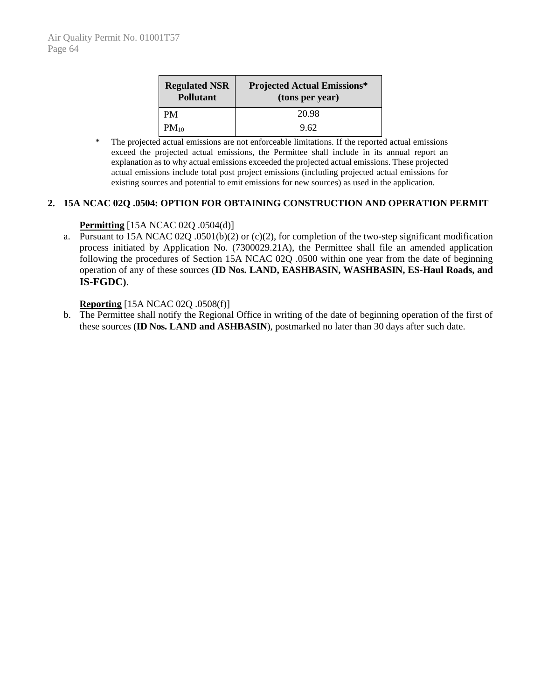| <b>Regulated NSR</b><br><b>Pollutant</b> | <b>Projected Actual Emissions*</b><br>(tons per year) |  |  |  |
|------------------------------------------|-------------------------------------------------------|--|--|--|
| <b>PM</b>                                | 20.98                                                 |  |  |  |
| $PM_{10}$                                | 9.62                                                  |  |  |  |

\* The projected actual emissions are not enforceable limitations. If the reported actual emissions exceed the projected actual emissions, the Permittee shall include in its annual report an explanation as to why actual emissions exceeded the projected actual emissions. These projected actual emissions include total post project emissions (including projected actual emissions for existing sources and potential to emit emissions for new sources) as used in the application.

### **2. 15A NCAC 02Q .0504: OPTION FOR OBTAINING CONSTRUCTION AND OPERATION PERMIT**

# **Permitting** [15A NCAC 02Q .0504(d)]

a. Pursuant to 15A NCAC 02Q .0501(b)(2) or (c)(2), for completion of the two-step significant modification process initiated by Application No. (7300029.21A), the Permittee shall file an amended application following the procedures of Section 15A NCAC 02Q .0500 within one year from the date of beginning operation of any of these sources (**ID Nos. LAND, EASHBASIN, WASHBASIN, ES-Haul Roads, and IS-FGDC)**.

#### **Reporting** [15A NCAC 02Q .0508(f)]

b. The Permittee shall notify the Regional Office in writing of the date of beginning operation of the first of these sources (**ID Nos. LAND and ASHBASIN**), postmarked no later than 30 days after such date.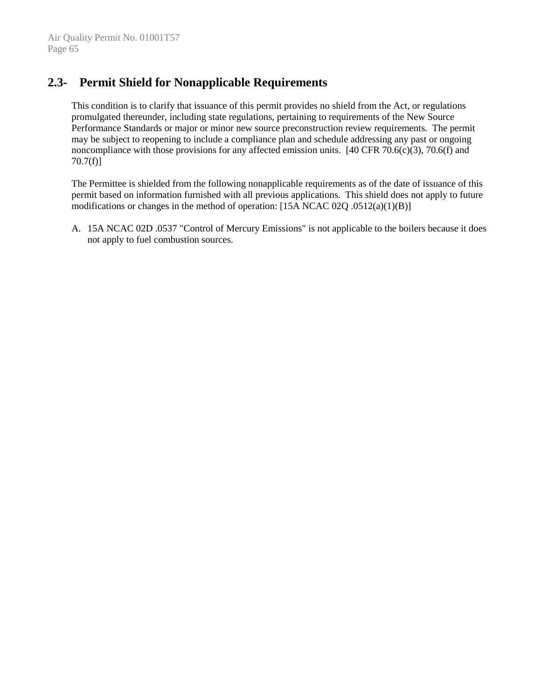# **2.3- Permit Shield for Nonapplicable Requirements**

This condition is to clarify that issuance of this permit provides no shield from the Act, or regulations promulgated thereunder, including state regulations, pertaining to requirements of the New Source Performance Standards or major or minor new source preconstruction review requirements. The permit may be subject to reopening to include a compliance plan and schedule addressing any past or ongoing noncompliance with those provisions for any affected emission units. [40 CFR 70.6(c)(3), 70.6(f) and 70.7(f)]

The Permittee is shielded from the following nonapplicable requirements as of the date of issuance of this permit based on information furnished with all previous applications. This shield does not apply to future modifications or changes in the method of operation: [15A NCAC 02Q .0512(a)(1)(B)]

A. 15A NCAC 02D .0537 "Control of Mercury Emissions" is not applicable to the boilers because it does not apply to fuel combustion sources.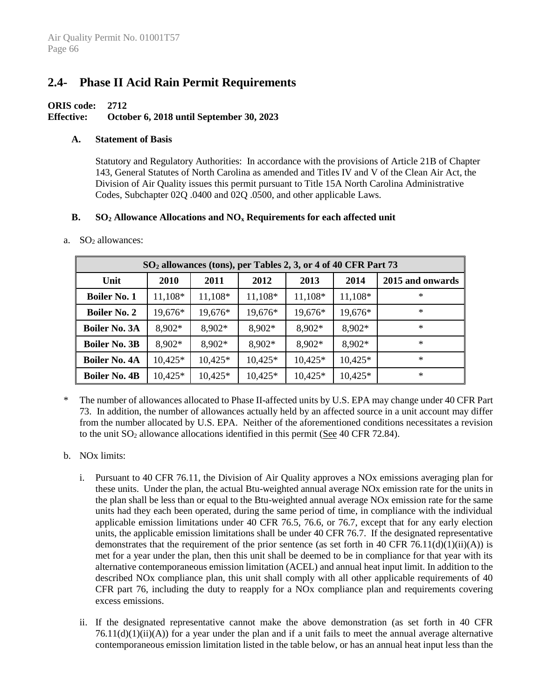# **2.4- Phase II Acid Rain Permit Requirements**

#### **ORIS code: 2712 Effective: October 6, 2018 until September 30, 2023**

#### **A. Statement of Basis**

Statutory and Regulatory Authorities: In accordance with the provisions of Article 21B of Chapter 143, General Statutes of North Carolina as amended and Titles IV and V of the Clean Air Act, the Division of Air Quality issues this permit pursuant to Title 15A North Carolina Administrative Codes, Subchapter 02Q .0400 and 02Q .0500, and other applicable Laws.

#### **B. SO<sup>2</sup> Allowance Allocations and NO<sup>x</sup> Requirements for each affected unit**

#### a.  $SO<sub>2</sub>$  allowances:

| SO <sub>2</sub> allowances (tons), per Tables 2, 3, or 4 of 40 CFR Part 73 |           |           |           |           |           |                  |
|----------------------------------------------------------------------------|-----------|-----------|-----------|-----------|-----------|------------------|
| Unit                                                                       | 2010      | 2011      | 2012      | 2013      | 2014      | 2015 and onwards |
| <b>Boiler No. 1</b>                                                        | 11,108*   | 11,108*   | 11,108*   | 11,108*   | 11,108*   | $\ast$           |
| <b>Boiler No. 2</b>                                                        | 19,676*   | 19,676*   | 19,676*   | 19,676*   | 19,676*   | ∗                |
| <b>Boiler No. 3A</b>                                                       | 8,902*    | 8,902*    | $8,902*$  | 8,902*    | $8,902*$  | $\ast$           |
| <b>Boiler No. 3B</b>                                                       | $8,902*$  | 8,902*    | $8,902*$  | 8,902*    | 8,902*    | $\ast$           |
| <b>Boiler No. 4A</b>                                                       | 10,425*   | $10,425*$ | 10,425*   | $10,425*$ | $10,425*$ | $\ast$           |
| <b>Boiler No. 4B</b>                                                       | $10,425*$ | 10,425*   | $10,425*$ | $10,425*$ | 10,425*   | $\ast$           |

\* The number of allowances allocated to Phase II-affected units by U.S. EPA may change under 40 CFR Part 73. In addition, the number of allowances actually held by an affected source in a unit account may differ from the number allocated by U.S. EPA. Neither of the aforementioned conditions necessitates a revision to the unit  $SO_2$  allowance allocations identified in this permit (See 40 CFR 72.84).

#### b. NOx limits:

- i. Pursuant to 40 CFR 76.11, the Division of Air Quality approves a NOx emissions averaging plan for these units. Under the plan, the actual Btu-weighted annual average NOx emission rate for the units in the plan shall be less than or equal to the Btu-weighted annual average NOx emission rate for the same units had they each been operated, during the same period of time, in compliance with the individual applicable emission limitations under 40 CFR 76.5, 76.6, or 76.7, except that for any early election units, the applicable emission limitations shall be under 40 CFR 76.7. If the designated representative demonstrates that the requirement of the prior sentence (as set forth in 40 CFR 76.11(d)(1)(ii)(A)) is met for a year under the plan, then this unit shall be deemed to be in compliance for that year with its alternative contemporaneous emission limitation (ACEL) and annual heat input limit. In addition to the described NOx compliance plan, this unit shall comply with all other applicable requirements of 40 CFR part 76, including the duty to reapply for a NOx compliance plan and requirements covering excess emissions.
- ii. If the designated representative cannot make the above demonstration (as set forth in 40 CFR  $76.11(d)(1)(ii)(A)$  for a year under the plan and if a unit fails to meet the annual average alternative contemporaneous emission limitation listed in the table below, or has an annual heat input less than the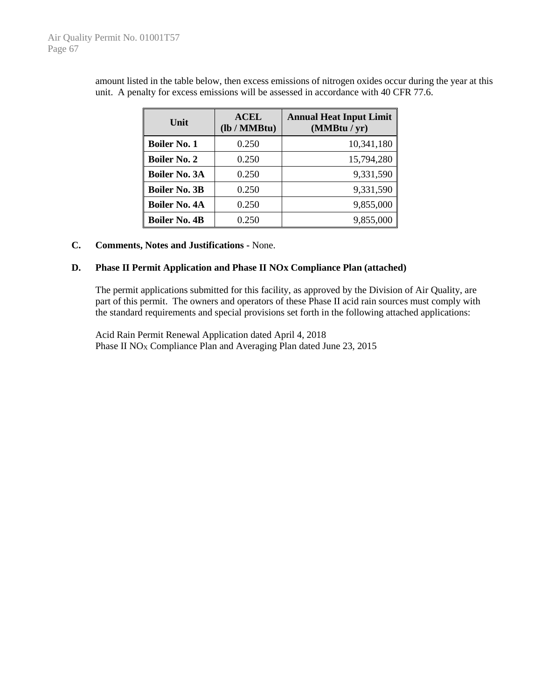| Unit                 | <b>ACEL</b><br>(lb / MMBtu) | <b>Annual Heat Input Limit</b><br>(MMBtu / yr) |
|----------------------|-----------------------------|------------------------------------------------|
| <b>Boiler No. 1</b>  | 0.250                       | 10,341,180                                     |
| <b>Boiler No. 2</b>  | 0.250                       | 15,794,280                                     |
| <b>Boiler No. 3A</b> | 0.250                       | 9,331,590                                      |
| <b>Boiler No. 3B</b> | 0.250                       | 9,331,590                                      |
| <b>Boiler No. 4A</b> | 0.250                       | 9,855,000                                      |
| <b>Boiler No. 4B</b> | 0.250                       | 9,855,000                                      |

amount listed in the table below, then excess emissions of nitrogen oxides occur during the year at this unit. A penalty for excess emissions will be assessed in accordance with 40 CFR 77.6.

#### **C. Comments, Notes and Justifications -** None.

#### **D. Phase II Permit Application and Phase II NOx Compliance Plan (attached)**

The permit applications submitted for this facility, as approved by the Division of Air Quality, are part of this permit. The owners and operators of these Phase II acid rain sources must comply with the standard requirements and special provisions set forth in the following attached applications:

Acid Rain Permit Renewal Application dated April 4, 2018 Phase II  $NO<sub>X</sub>$  Compliance Plan and Averaging Plan dated June 23, 2015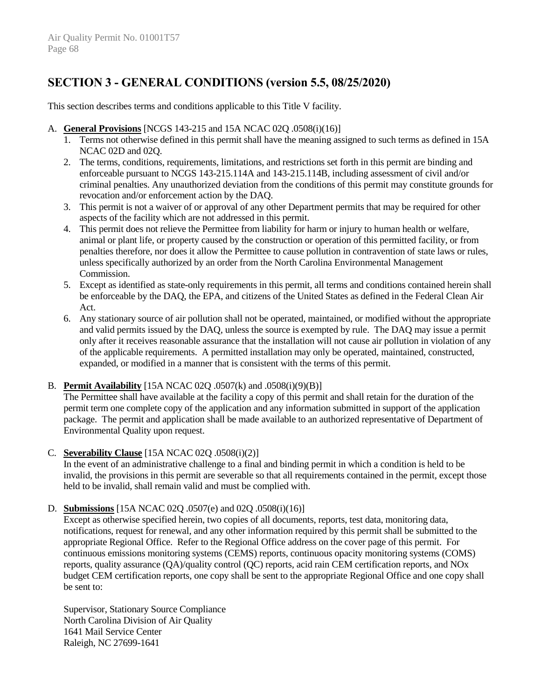## **SECTION 3 - GENERAL CONDITIONS (version 5.5, 08/25/2020)**

This section describes terms and conditions applicable to this Title V facility.

#### A. **General Provisions** [NCGS 143-215 and 15A NCAC 02Q .0508(i)(16)]

- 1. Terms not otherwise defined in this permit shall have the meaning assigned to such terms as defined in 15A NCAC 02D and 02Q.
- 2. The terms, conditions, requirements, limitations, and restrictions set forth in this permit are binding and enforceable pursuant to NCGS 143-215.114A and 143-215.114B, including assessment of civil and/or criminal penalties. Any unauthorized deviation from the conditions of this permit may constitute grounds for revocation and/or enforcement action by the DAQ.
- 3. This permit is not a waiver of or approval of any other Department permits that may be required for other aspects of the facility which are not addressed in this permit.
- 4. This permit does not relieve the Permittee from liability for harm or injury to human health or welfare, animal or plant life, or property caused by the construction or operation of this permitted facility, or from penalties therefore, nor does it allow the Permittee to cause pollution in contravention of state laws or rules, unless specifically authorized by an order from the North Carolina Environmental Management Commission.
- 5. Except as identified as state-only requirements in this permit, all terms and conditions contained herein shall be enforceable by the DAQ, the EPA, and citizens of the United States as defined in the Federal Clean Air Act.
- 6. Any stationary source of air pollution shall not be operated, maintained, or modified without the appropriate and valid permits issued by the DAQ, unless the source is exempted by rule. The DAQ may issue a permit only after it receives reasonable assurance that the installation will not cause air pollution in violation of any of the applicable requirements. A permitted installation may only be operated, maintained, constructed, expanded, or modified in a manner that is consistent with the terms of this permit.

#### B. **Permit Availability** [15A NCAC 02Q .0507(k) and .0508(i)(9)(B)]

The Permittee shall have available at the facility a copy of this permit and shall retain for the duration of the permit term one complete copy of the application and any information submitted in support of the application package. The permit and application shall be made available to an authorized representative of Department of Environmental Quality upon request.

#### C. **Severability Clause** [15A NCAC 02Q .0508(i)(2)]

In the event of an administrative challenge to a final and binding permit in which a condition is held to be invalid, the provisions in this permit are severable so that all requirements contained in the permit, except those held to be invalid, shall remain valid and must be complied with.

## D. **Submissions** [15A NCAC 02Q .0507(e) and 02Q .0508(i)(16)]

Except as otherwise specified herein, two copies of all documents, reports, test data, monitoring data, notifications, request for renewal, and any other information required by this permit shall be submitted to the appropriate Regional Office. Refer to the Regional Office address on the cover page of this permit. For continuous emissions monitoring systems (CEMS) reports, continuous opacity monitoring systems (COMS) reports, quality assurance (QA)/quality control (QC) reports, acid rain CEM certification reports, and NOx budget CEM certification reports, one copy shall be sent to the appropriate Regional Office and one copy shall be sent to:

Supervisor, Stationary Source Compliance North Carolina Division of Air Quality 1641 Mail Service Center Raleigh, NC 27699-1641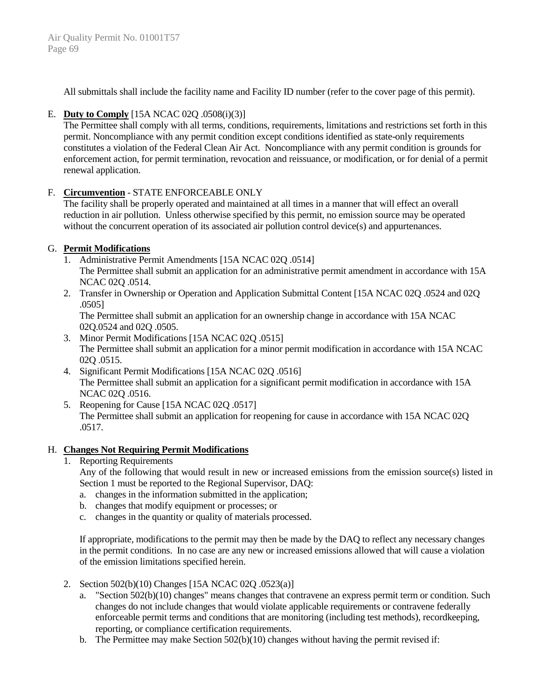All submittals shall include the facility name and Facility ID number (refer to the cover page of this permit).

## E. **Duty to Comply** [15A NCAC 02Q .0508(i)(3)]

The Permittee shall comply with all terms, conditions, requirements, limitations and restrictions set forth in this permit. Noncompliance with any permit condition except conditions identified as state-only requirements constitutes a violation of the Federal Clean Air Act. Noncompliance with any permit condition is grounds for enforcement action, for permit termination, revocation and reissuance, or modification, or for denial of a permit renewal application.

## F. **Circumvention** - STATE ENFORCEABLE ONLY

The facility shall be properly operated and maintained at all times in a manner that will effect an overall reduction in air pollution. Unless otherwise specified by this permit, no emission source may be operated without the concurrent operation of its associated air pollution control device(s) and appurtenances.

## G. **Permit Modifications**

- 1. Administrative Permit Amendments [15A NCAC 02Q .0514] The Permittee shall submit an application for an administrative permit amendment in accordance with 15A NCAC 02Q .0514.
- 2. Transfer in Ownership or Operation and Application Submittal Content [15A NCAC 02Q .0524 and 02Q .0505]

The Permittee shall submit an application for an ownership change in accordance with 15A NCAC 02Q.0524 and 02Q .0505.

- 3. Minor Permit Modifications [15A NCAC 02Q .0515] The Permittee shall submit an application for a minor permit modification in accordance with 15A NCAC 02Q .0515.
- 4. Significant Permit Modifications [15A NCAC 02Q .0516] The Permittee shall submit an application for a significant permit modification in accordance with 15A NCAC 02Q .0516.
- 5. Reopening for Cause [15A NCAC 02Q .0517] The Permittee shall submit an application for reopening for cause in accordance with 15A NCAC 02Q .0517.

## H. **Changes Not Requiring Permit Modifications**

1. Reporting Requirements

Any of the following that would result in new or increased emissions from the emission source(s) listed in Section 1 must be reported to the Regional Supervisor, DAQ:

- a. changes in the information submitted in the application;
- b. changes that modify equipment or processes; or
- c. changes in the quantity or quality of materials processed.

If appropriate, modifications to the permit may then be made by the DAQ to reflect any necessary changes in the permit conditions. In no case are any new or increased emissions allowed that will cause a violation of the emission limitations specified herein.

- 2. Section 502(b)(10) Changes [15A NCAC 02Q .0523(a)]
	- a. "Section 502(b)(10) changes" means changes that contravene an express permit term or condition. Such changes do not include changes that would violate applicable requirements or contravene federally enforceable permit terms and conditions that are monitoring (including test methods), recordkeeping, reporting, or compliance certification requirements.
	- b. The Permittee may make Section  $502(b)(10)$  changes without having the permit revised if: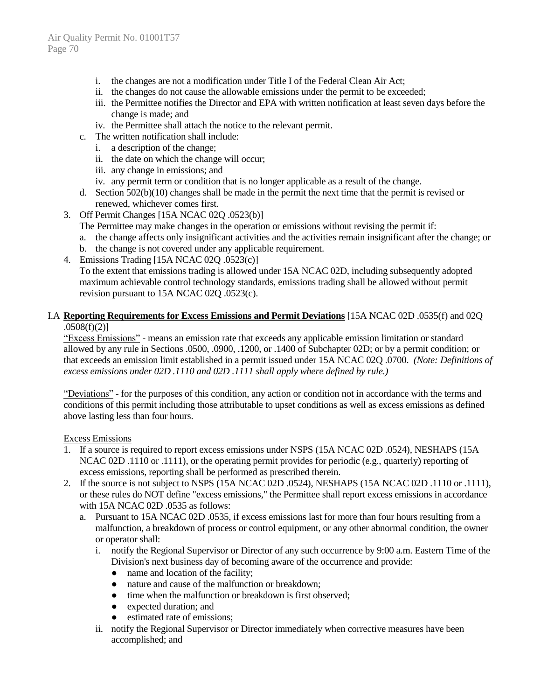- i. the changes are not a modification under Title I of the Federal Clean Air Act;
- ii. the changes do not cause the allowable emissions under the permit to be exceeded;
- iii. the Permittee notifies the Director and EPA with written notification at least seven days before the change is made; and
- iv. the Permittee shall attach the notice to the relevant permit.
- c. The written notification shall include:
	- i. a description of the change;
	- ii. the date on which the change will occur;
	- iii. any change in emissions; and
	- iv. any permit term or condition that is no longer applicable as a result of the change.
- d. Section 502(b)(10) changes shall be made in the permit the next time that the permit is revised or renewed, whichever comes first.
- 3. Off Permit Changes [15A NCAC 02Q .0523(b)]
	- The Permittee may make changes in the operation or emissions without revising the permit if:
	- a. the change affects only insignificant activities and the activities remain insignificant after the change; or
	- b. the change is not covered under any applicable requirement.
- 4. Emissions Trading [15A NCAC 02Q .0523(c)] To the extent that emissions trading is allowed under 15A NCAC 02D, including subsequently adopted maximum achievable control technology standards, emissions trading shall be allowed without permit revision pursuant to 15A NCAC 02Q .0523(c).

#### I.A **Reporting Requirements for Excess Emissions and Permit Deviations** [15A NCAC 02D .0535(f) and 02Q .0508(f)(2)]

"Excess Emissions" - means an emission rate that exceeds any applicable emission limitation or standard allowed by any rule in Sections .0500, .0900, .1200, or .1400 of Subchapter 02D; or by a permit condition; or that exceeds an emission limit established in a permit issued under 15A NCAC 02Q .0700. *(Note: Definitions of excess emissions under 02D .1110 and 02D .1111 shall apply where defined by rule.)*

"Deviations" - for the purposes of this condition, any action or condition not in accordance with the terms and conditions of this permit including those attributable to upset conditions as well as excess emissions as defined above lasting less than four hours.

#### Excess Emissions

- 1. If a source is required to report excess emissions under NSPS (15A NCAC 02D .0524), NESHAPS (15A NCAC 02D .1110 or .1111), or the operating permit provides for periodic (e.g., quarterly) reporting of excess emissions, reporting shall be performed as prescribed therein.
- 2. If the source is not subject to NSPS (15A NCAC 02D .0524), NESHAPS (15A NCAC 02D .1110 or .1111), or these rules do NOT define "excess emissions," the Permittee shall report excess emissions in accordance with 15A NCAC 02D .0535 as follows:
	- a. Pursuant to 15A NCAC 02D .0535, if excess emissions last for more than four hours resulting from a malfunction, a breakdown of process or control equipment, or any other abnormal condition, the owner or operator shall:
		- i. notify the Regional Supervisor or Director of any such occurrence by 9:00 a.m. Eastern Time of the Division's next business day of becoming aware of the occurrence and provide:
			- name and location of the facility;
			- nature and cause of the malfunction or breakdown;
			- time when the malfunction or breakdown is first observed;
			- expected duration; and
			- estimated rate of emissions;
		- ii. notify the Regional Supervisor or Director immediately when corrective measures have been accomplished; and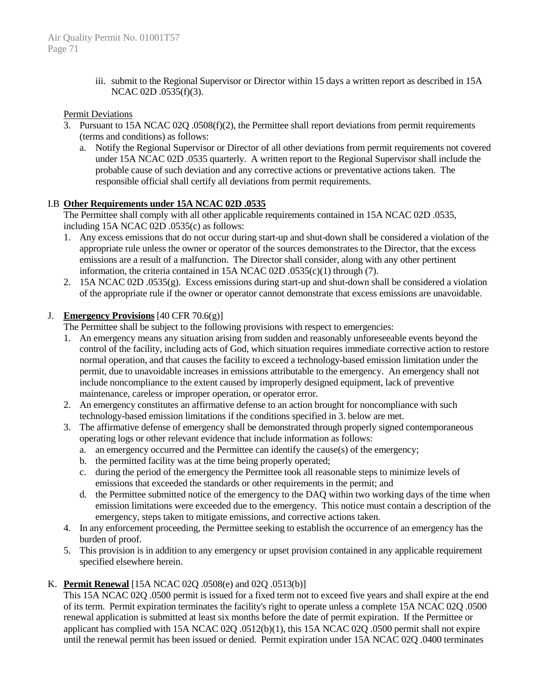iii. submit to the Regional Supervisor or Director within 15 days a written report as described in 15A NCAC 02D .0535(f)(3).

#### Permit Deviations

- 3. Pursuant to 15A NCAC 02Q .0508(f)(2), the Permittee shall report deviations from permit requirements (terms and conditions) as follows:
	- a. Notify the Regional Supervisor or Director of all other deviations from permit requirements not covered under 15A NCAC 02D .0535 quarterly. A written report to the Regional Supervisor shall include the probable cause of such deviation and any corrective actions or preventative actions taken. The responsible official shall certify all deviations from permit requirements.

#### I.B **Other Requirements under 15A NCAC 02D .0535**

The Permittee shall comply with all other applicable requirements contained in 15A NCAC 02D .0535, including 15A NCAC 02D .0535(c) as follows:

- 1. Any excess emissions that do not occur during start-up and shut-down shall be considered a violation of the appropriate rule unless the owner or operator of the sources demonstrates to the Director, that the excess emissions are a result of a malfunction. The Director shall consider, along with any other pertinent information, the criteria contained in 15A NCAC 02D .0535(c)(1) through (7).
- 2. 15A NCAC 02D .0535(g). Excess emissions during start-up and shut-down shall be considered a violation of the appropriate rule if the owner or operator cannot demonstrate that excess emissions are unavoidable.

#### J. **Emergency Provisions** [40 CFR 70.6(g)]

The Permittee shall be subject to the following provisions with respect to emergencies:

- 1. An emergency means any situation arising from sudden and reasonably unforeseeable events beyond the control of the facility, including acts of God, which situation requires immediate corrective action to restore normal operation, and that causes the facility to exceed a technology-based emission limitation under the permit, due to unavoidable increases in emissions attributable to the emergency. An emergency shall not include noncompliance to the extent caused by improperly designed equipment, lack of preventive maintenance, careless or improper operation, or operator error.
- 2. An emergency constitutes an affirmative defense to an action brought for noncompliance with such technology-based emission limitations if the conditions specified in 3. below are met.
- 3. The affirmative defense of emergency shall be demonstrated through properly signed contemporaneous operating logs or other relevant evidence that include information as follows:
	- a. an emergency occurred and the Permittee can identify the cause(s) of the emergency;
	- b. the permitted facility was at the time being properly operated;
	- c. during the period of the emergency the Permittee took all reasonable steps to minimize levels of emissions that exceeded the standards or other requirements in the permit; and
	- d. the Permittee submitted notice of the emergency to the DAQ within two working days of the time when emission limitations were exceeded due to the emergency. This notice must contain a description of the emergency, steps taken to mitigate emissions, and corrective actions taken.
- 4. In any enforcement proceeding, the Permittee seeking to establish the occurrence of an emergency has the burden of proof.
- 5. This provision is in addition to any emergency or upset provision contained in any applicable requirement specified elsewhere herein.

## K. **Permit Renewal** [15A NCAC 02Q .0508(e) and 02Q .0513(b)]

This 15A NCAC 02Q .0500 permit is issued for a fixed term not to exceed five years and shall expire at the end of its term. Permit expiration terminates the facility's right to operate unless a complete 15A NCAC 02Q .0500 renewal application is submitted at least six months before the date of permit expiration. If the Permittee or applicant has complied with 15A NCAC 02Q .0512(b)(1), this 15A NCAC 02Q .0500 permit shall not expire until the renewal permit has been issued or denied. Permit expiration under 15A NCAC 02Q .0400 terminates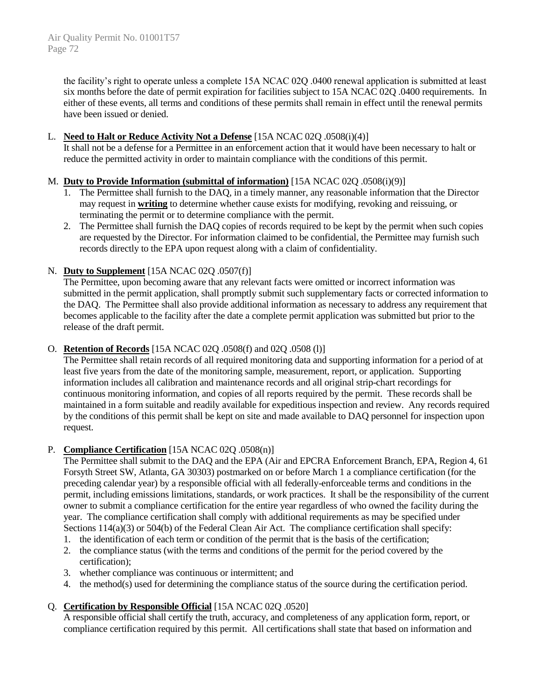the facility's right to operate unless a complete 15A NCAC 02Q .0400 renewal application is submitted at least six months before the date of permit expiration for facilities subject to 15A NCAC 02Q .0400 requirements. In either of these events, all terms and conditions of these permits shall remain in effect until the renewal permits have been issued or denied.

#### L. **Need to Halt or Reduce Activity Not a Defense** [15A NCAC 02Q .0508(i)(4)]

It shall not be a defense for a Permittee in an enforcement action that it would have been necessary to halt or reduce the permitted activity in order to maintain compliance with the conditions of this permit.

#### M. **Duty to Provide Information (submittal of information)** [15A NCAC 02Q .0508(i)(9)]

- 1. The Permittee shall furnish to the DAQ, in a timely manner, any reasonable information that the Director may request in **writing** to determine whether cause exists for modifying, revoking and reissuing, or terminating the permit or to determine compliance with the permit.
- 2. The Permittee shall furnish the DAQ copies of records required to be kept by the permit when such copies are requested by the Director. For information claimed to be confidential, the Permittee may furnish such records directly to the EPA upon request along with a claim of confidentiality.

#### N. **Duty to Supplement** [15A NCAC 02Q .0507(f)]

The Permittee, upon becoming aware that any relevant facts were omitted or incorrect information was submitted in the permit application, shall promptly submit such supplementary facts or corrected information to the DAQ. The Permittee shall also provide additional information as necessary to address any requirement that becomes applicable to the facility after the date a complete permit application was submitted but prior to the release of the draft permit.

#### O. **Retention of Records** [15A NCAC 02Q .0508(f) and 02Q .0508 (l)]

The Permittee shall retain records of all required monitoring data and supporting information for a period of at least five years from the date of the monitoring sample, measurement, report, or application. Supporting information includes all calibration and maintenance records and all original strip-chart recordings for continuous monitoring information, and copies of all reports required by the permit. These records shall be maintained in a form suitable and readily available for expeditious inspection and review. Any records required by the conditions of this permit shall be kept on site and made available to DAQ personnel for inspection upon request.

## P. **Compliance Certification** [15A NCAC 02Q .0508(n)]

The Permittee shall submit to the DAQ and the EPA (Air and EPCRA Enforcement Branch, EPA, Region 4, 61 Forsyth Street SW, Atlanta, GA 30303) postmarked on or before March 1 a compliance certification (for the preceding calendar year) by a responsible official with all federally-enforceable terms and conditions in the permit, including emissions limitations, standards, or work practices. It shall be the responsibility of the current owner to submit a compliance certification for the entire year regardless of who owned the facility during the year. The compliance certification shall comply with additional requirements as may be specified under Sections 114(a)(3) or 504(b) of the Federal Clean Air Act. The compliance certification shall specify:

- 1. the identification of each term or condition of the permit that is the basis of the certification;
- 2. the compliance status (with the terms and conditions of the permit for the period covered by the certification);
- 3. whether compliance was continuous or intermittent; and
- 4. the method(s) used for determining the compliance status of the source during the certification period.

## Q. **Certification by Responsible Official** [15A NCAC 02Q .0520]

A responsible official shall certify the truth, accuracy, and completeness of any application form, report, or compliance certification required by this permit. All certifications shall state that based on information and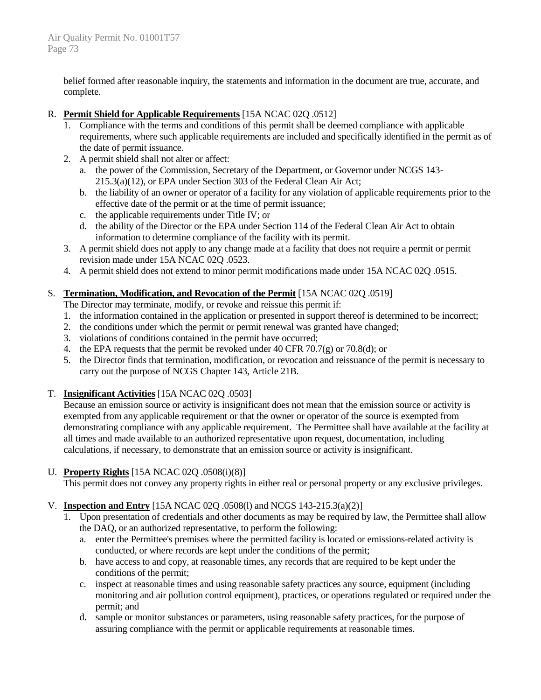belief formed after reasonable inquiry, the statements and information in the document are true, accurate, and complete.

## R. **Permit Shield for Applicable Requirements** [15A NCAC 02Q .0512]

- 1. Compliance with the terms and conditions of this permit shall be deemed compliance with applicable requirements, where such applicable requirements are included and specifically identified in the permit as of the date of permit issuance.
- 2. A permit shield shall not alter or affect:
	- a. the power of the Commission, Secretary of the Department, or Governor under NCGS 143- 215.3(a)(12), or EPA under Section 303 of the Federal Clean Air Act;
	- b. the liability of an owner or operator of a facility for any violation of applicable requirements prior to the effective date of the permit or at the time of permit issuance;
	- c. the applicable requirements under Title IV; or
	- d. the ability of the Director or the EPA under Section 114 of the Federal Clean Air Act to obtain information to determine compliance of the facility with its permit.
- 3. A permit shield does not apply to any change made at a facility that does not require a permit or permit revision made under 15A NCAC 02Q .0523.
- 4. A permit shield does not extend to minor permit modifications made under 15A NCAC 02Q .0515.

## S. **Termination, Modification, and Revocation of the Permit** [15A NCAC 02Q .0519]

The Director may terminate, modify, or revoke and reissue this permit if:

- 1. the information contained in the application or presented in support thereof is determined to be incorrect;
- 2. the conditions under which the permit or permit renewal was granted have changed;
- 3. violations of conditions contained in the permit have occurred;
- 4. the EPA requests that the permit be revoked under 40 CFR 70.7(g) or 70.8(d); or
- 5. the Director finds that termination, modification, or revocation and reissuance of the permit is necessary to carry out the purpose of NCGS Chapter 143, Article 21B.

## T. **Insignificant Activities** [15A NCAC 02Q .0503]

Because an emission source or activity is insignificant does not mean that the emission source or activity is exempted from any applicable requirement or that the owner or operator of the source is exempted from demonstrating compliance with any applicable requirement. The Permittee shall have available at the facility at all times and made available to an authorized representative upon request, documentation, including calculations, if necessary, to demonstrate that an emission source or activity is insignificant.

## U. **Property Rights** [15A NCAC 02Q .0508(i)(8)]

This permit does not convey any property rights in either real or personal property or any exclusive privileges.

## V. **Inspection and Entry** [15A NCAC 02Q .0508(l) and NCGS 143-215.3(a)(2)]

- 1. Upon presentation of credentials and other documents as may be required by law, the Permittee shall allow the DAQ, or an authorized representative, to perform the following:
	- a. enter the Permittee's premises where the permitted facility is located or emissions-related activity is conducted, or where records are kept under the conditions of the permit;
	- b. have access to and copy, at reasonable times, any records that are required to be kept under the conditions of the permit;
	- c. inspect at reasonable times and using reasonable safety practices any source, equipment (including monitoring and air pollution control equipment), practices, or operations regulated or required under the permit; and
	- d. sample or monitor substances or parameters, using reasonable safety practices, for the purpose of assuring compliance with the permit or applicable requirements at reasonable times.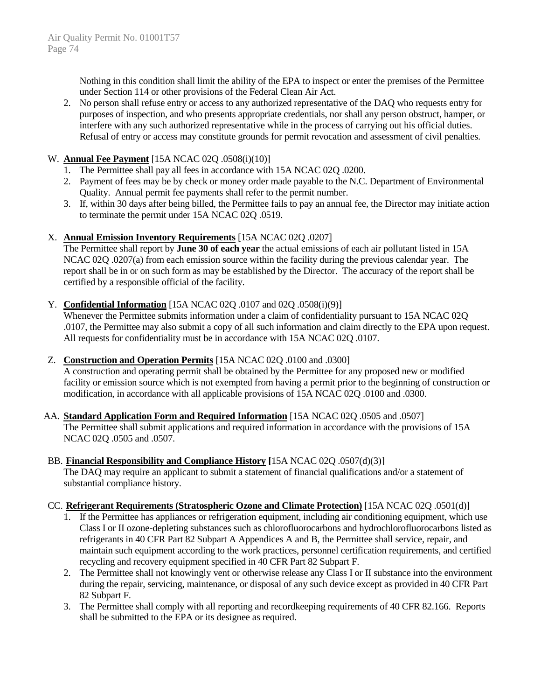Nothing in this condition shall limit the ability of the EPA to inspect or enter the premises of the Permittee under Section 114 or other provisions of the Federal Clean Air Act.

2. No person shall refuse entry or access to any authorized representative of the DAQ who requests entry for purposes of inspection, and who presents appropriate credentials, nor shall any person obstruct, hamper, or interfere with any such authorized representative while in the process of carrying out his official duties. Refusal of entry or access may constitute grounds for permit revocation and assessment of civil penalties.

#### W. **Annual Fee Payment** [15A NCAC 02Q .0508(i)(10)]

- 1. The Permittee shall pay all fees in accordance with 15A NCAC 02Q .0200.
- 2. Payment of fees may be by check or money order made payable to the N.C. Department of Environmental Quality. Annual permit fee payments shall refer to the permit number.
- 3. If, within 30 days after being billed, the Permittee fails to pay an annual fee, the Director may initiate action to terminate the permit under 15A NCAC 02Q .0519.

#### X. **Annual Emission Inventory Requirements** [15A NCAC 02Q .0207]

The Permittee shall report by **June 30 of each year** the actual emissions of each air pollutant listed in 15A NCAC 02Q .0207(a) from each emission source within the facility during the previous calendar year. The report shall be in or on such form as may be established by the Director. The accuracy of the report shall be certified by a responsible official of the facility.

#### Y. **Confidential Information** [15A NCAC 02Q .0107 and 02Q .0508(i)(9)]

Whenever the Permittee submits information under a claim of confidentiality pursuant to 15A NCAC 02Q .0107, the Permittee may also submit a copy of all such information and claim directly to the EPA upon request. All requests for confidentiality must be in accordance with 15A NCAC 02Q .0107.

## Z. **Construction and Operation Permits** [15A NCAC 02Q .0100 and .0300]

A construction and operating permit shall be obtained by the Permittee for any proposed new or modified facility or emission source which is not exempted from having a permit prior to the beginning of construction or modification, in accordance with all applicable provisions of 15A NCAC 02Q .0100 and .0300.

AA. **Standard Application Form and Required Information** [15A NCAC 02Q .0505 and .0507] The Permittee shall submit applications and required information in accordance with the provisions of 15A NCAC 02Q .0505 and .0507.

#### BB. **Financial Responsibility and Compliance History [**15A NCAC 02Q .0507(d)(3)]

The DAQ may require an applicant to submit a statement of financial qualifications and/or a statement of substantial compliance history.

## CC. **Refrigerant Requirements (Stratospheric Ozone and Climate Protection)** [15A NCAC 02Q .0501(d)]

- 1. If the Permittee has appliances or refrigeration equipment, including air conditioning equipment, which use Class I or II ozone-depleting substances such as chlorofluorocarbons and hydrochlorofluorocarbons listed as refrigerants in 40 CFR Part 82 Subpart A Appendices A and B, the Permittee shall service, repair, and maintain such equipment according to the work practices, personnel certification requirements, and certified recycling and recovery equipment specified in 40 CFR Part 82 Subpart F.
- 2. The Permittee shall not knowingly vent or otherwise release any Class I or II substance into the environment during the repair, servicing, maintenance, or disposal of any such device except as provided in 40 CFR Part 82 Subpart F.
- 3. The Permittee shall comply with all reporting and recordkeeping requirements of 40 CFR 82.166. Reports shall be submitted to the EPA or its designee as required.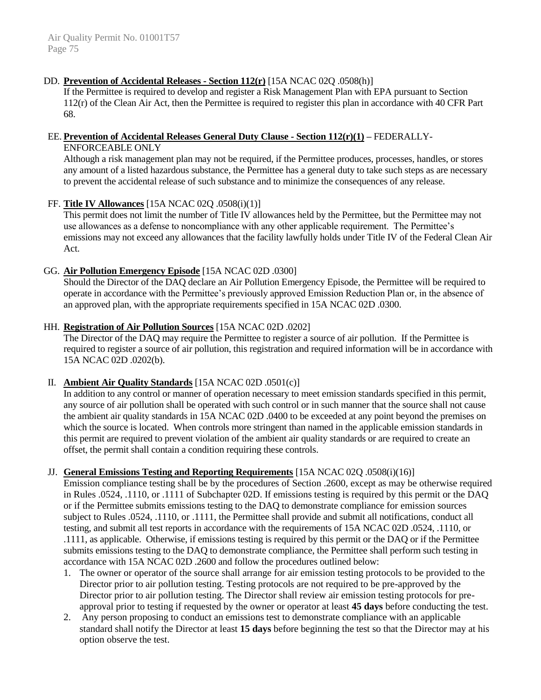#### DD. **Prevention of Accidental Releases - Section 112(r)** [15A NCAC 02Q .0508(h)]

If the Permittee is required to develop and register a Risk Management Plan with EPA pursuant to Section 112(r) of the Clean Air Act, then the Permittee is required to register this plan in accordance with 40 CFR Part 68.

#### EE. **Prevention of Accidental Releases General Duty Clause - Section 112(r)(1) –** FEDERALLY-ENFORCEABLE ONLY

Although a risk management plan may not be required, if the Permittee produces, processes, handles, or stores any amount of a listed hazardous substance, the Permittee has a general duty to take such steps as are necessary to prevent the accidental release of such substance and to minimize the consequences of any release.

#### FF. **Title IV Allowances** [15A NCAC 02Q .0508(i)(1)]

This permit does not limit the number of Title IV allowances held by the Permittee, but the Permittee may not use allowances as a defense to noncompliance with any other applicable requirement. The Permittee's emissions may not exceed any allowances that the facility lawfully holds under Title IV of the Federal Clean Air Act.

#### GG. **Air Pollution Emergency Episode** [15A NCAC 02D .0300]

Should the Director of the DAQ declare an Air Pollution Emergency Episode, the Permittee will be required to operate in accordance with the Permittee's previously approved Emission Reduction Plan or, in the absence of an approved plan, with the appropriate requirements specified in 15A NCAC 02D .0300.

#### HH. **Registration of Air Pollution Sources** [15A NCAC 02D .0202]

The Director of the DAQ may require the Permittee to register a source of air pollution. If the Permittee is required to register a source of air pollution, this registration and required information will be in accordance with 15A NCAC 02D .0202(b).

## II. **Ambient Air Quality Standards** [15A NCAC 02D .0501(c)]

In addition to any control or manner of operation necessary to meet emission standards specified in this permit, any source of air pollution shall be operated with such control or in such manner that the source shall not cause the ambient air quality standards in 15A NCAC 02D .0400 to be exceeded at any point beyond the premises on which the source is located. When controls more stringent than named in the applicable emission standards in this permit are required to prevent violation of the ambient air quality standards or are required to create an offset, the permit shall contain a condition requiring these controls.

#### JJ. **General Emissions Testing and Reporting Requirements** [15A NCAC 02Q .0508(i)(16)]

Emission compliance testing shall be by the procedures of Section .2600, except as may be otherwise required in Rules .0524, .1110, or .1111 of Subchapter 02D. If emissions testing is required by this permit or the DAQ or if the Permittee submits emissions testing to the DAQ to demonstrate compliance for emission sources subject to Rules .0524, .1110, or .1111, the Permittee shall provide and submit all notifications, conduct all testing, and submit all test reports in accordance with the requirements of 15A NCAC 02D .0524, .1110, or .1111, as applicable. Otherwise, if emissions testing is required by this permit or the DAQ or if the Permittee submits emissions testing to the DAQ to demonstrate compliance, the Permittee shall perform such testing in accordance with 15A NCAC 02D .2600 and follow the procedures outlined below:

- 1. The owner or operator of the source shall arrange for air emission testing protocols to be provided to the Director prior to air pollution testing. Testing protocols are not required to be pre-approved by the Director prior to air pollution testing. The Director shall review air emission testing protocols for preapproval prior to testing if requested by the owner or operator at least **45 days** before conducting the test.
- 2. Any person proposing to conduct an emissions test to demonstrate compliance with an applicable standard shall notify the Director at least **15 days** before beginning the test so that the Director may at his option observe the test.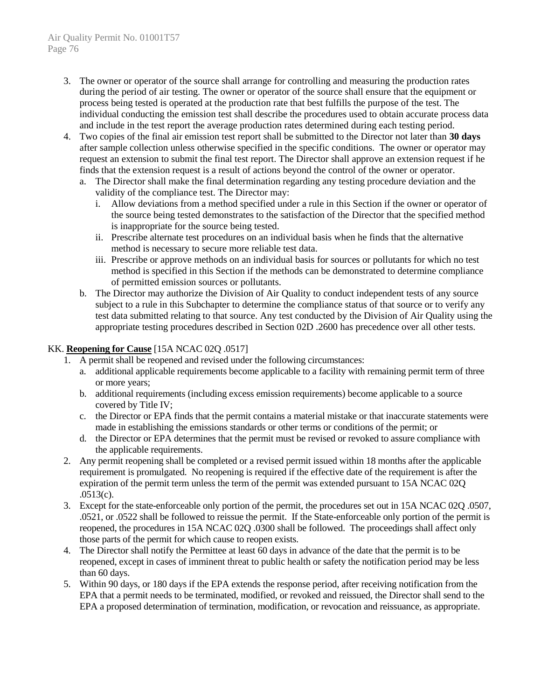- 3. The owner or operator of the source shall arrange for controlling and measuring the production rates during the period of air testing. The owner or operator of the source shall ensure that the equipment or process being tested is operated at the production rate that best fulfills the purpose of the test. The individual conducting the emission test shall describe the procedures used to obtain accurate process data and include in the test report the average production rates determined during each testing period.
- 4. Two copies of the final air emission test report shall be submitted to the Director not later than **30 days** after sample collection unless otherwise specified in the specific conditions. The owner or operator may request an extension to submit the final test report. The Director shall approve an extension request if he finds that the extension request is a result of actions beyond the control of the owner or operator.
	- a. The Director shall make the final determination regarding any testing procedure deviation and the validity of the compliance test. The Director may:
		- i. Allow deviations from a method specified under a rule in this Section if the owner or operator of the source being tested demonstrates to the satisfaction of the Director that the specified method is inappropriate for the source being tested.
		- ii. Prescribe alternate test procedures on an individual basis when he finds that the alternative method is necessary to secure more reliable test data.
		- iii. Prescribe or approve methods on an individual basis for sources or pollutants for which no test method is specified in this Section if the methods can be demonstrated to determine compliance of permitted emission sources or pollutants.
	- b. The Director may authorize the Division of Air Quality to conduct independent tests of any source subject to a rule in this Subchapter to determine the compliance status of that source or to verify any test data submitted relating to that source. Any test conducted by the Division of Air Quality using the appropriate testing procedures described in Section 02D .2600 has precedence over all other tests.

## KK. **Reopening for Cause** [15A NCAC 02Q .0517]

- 1. A permit shall be reopened and revised under the following circumstances:
	- a. additional applicable requirements become applicable to a facility with remaining permit term of three or more years;
	- b. additional requirements (including excess emission requirements) become applicable to a source covered by Title IV;
	- c. the Director or EPA finds that the permit contains a material mistake or that inaccurate statements were made in establishing the emissions standards or other terms or conditions of the permit; or
	- d. the Director or EPA determines that the permit must be revised or revoked to assure compliance with the applicable requirements.
- 2. Any permit reopening shall be completed or a revised permit issued within 18 months after the applicable requirement is promulgated. No reopening is required if the effective date of the requirement is after the expiration of the permit term unless the term of the permit was extended pursuant to 15A NCAC 02Q .0513(c).
- 3. Except for the state-enforceable only portion of the permit, the procedures set out in 15A NCAC 02Q .0507, .0521, or .0522 shall be followed to reissue the permit. If the State-enforceable only portion of the permit is reopened, the procedures in 15A NCAC 02Q .0300 shall be followed. The proceedings shall affect only those parts of the permit for which cause to reopen exists.
- 4. The Director shall notify the Permittee at least 60 days in advance of the date that the permit is to be reopened, except in cases of imminent threat to public health or safety the notification period may be less than 60 days.
- 5. Within 90 days, or 180 days if the EPA extends the response period, after receiving notification from the EPA that a permit needs to be terminated, modified, or revoked and reissued, the Director shall send to the EPA a proposed determination of termination, modification, or revocation and reissuance, as appropriate.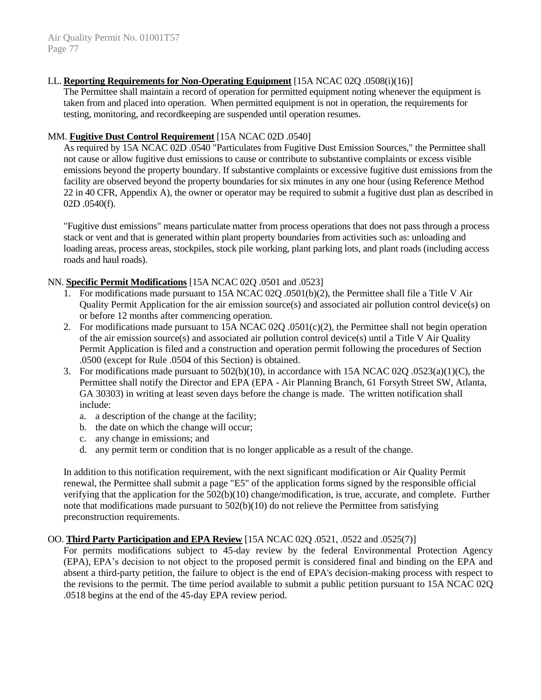#### LL. **Reporting Requirements for Non-Operating Equipment** [15A NCAC 02Q .0508(i)(16)]

The Permittee shall maintain a record of operation for permitted equipment noting whenever the equipment is taken from and placed into operation. When permitted equipment is not in operation, the requirements for testing, monitoring, and recordkeeping are suspended until operation resumes.

#### MM. **Fugitive Dust Control Requirement** [15A NCAC 02D .0540]

As required by 15A NCAC 02D .0540 "Particulates from Fugitive Dust Emission Sources," the Permittee shall not cause or allow fugitive dust emissions to cause or contribute to substantive complaints or excess visible emissions beyond the property boundary. If substantive complaints or excessive fugitive dust emissions from the facility are observed beyond the property boundaries for six minutes in any one hour (using Reference Method 22 in 40 CFR, Appendix A), the owner or operator may be required to submit a fugitive dust plan as described in 02D .0540(f).

"Fugitive dust emissions" means particulate matter from process operations that does not pass through a process stack or vent and that is generated within plant property boundaries from activities such as: unloading and loading areas, process areas, stockpiles, stock pile working, plant parking lots, and plant roads (including access roads and haul roads).

#### NN. **Specific Permit Modifications** [15A NCAC 02Q .0501 and .0523]

- 1. For modifications made pursuant to 15A NCAC 02Q .0501(b)(2), the Permittee shall file a Title V Air Quality Permit Application for the air emission source(s) and associated air pollution control device(s) on or before 12 months after commencing operation.
- 2. For modifications made pursuant to  $15A NCAC 02Q$ .  $0.501(c)(2)$ , the Permittee shall not begin operation of the air emission source(s) and associated air pollution control device(s) until a Title V Air Quality Permit Application is filed and a construction and operation permit following the procedures of Section .0500 (except for Rule .0504 of this Section) is obtained.
- 3. For modifications made pursuant to 502(b)(10), in accordance with 15A NCAC 02Q .0523(a)(1)(C), the Permittee shall notify the Director and EPA (EPA - Air Planning Branch, 61 Forsyth Street SW, Atlanta, GA 30303) in writing at least seven days before the change is made. The written notification shall include:
	- a. a description of the change at the facility;
	- b. the date on which the change will occur;
	- c. any change in emissions; and
	- d. any permit term or condition that is no longer applicable as a result of the change.

In addition to this notification requirement, with the next significant modification or Air Quality Permit renewal, the Permittee shall submit a page "E5" of the application forms signed by the responsible official verifying that the application for the 502(b)(10) change/modification, is true, accurate, and complete. Further note that modifications made pursuant to 502(b)(10) do not relieve the Permittee from satisfying preconstruction requirements.

#### OO. **Third Party Participation and EPA Review** [15A NCAC 02Q .0521, .0522 and .0525(7)]

For permits modifications subject to 45-day review by the federal Environmental Protection Agency (EPA), EPA's decision to not object to the proposed permit is considered final and binding on the EPA and absent a third-party petition, the failure to object is the end of EPA's decision-making process with respect to the revisions to the permit. The time period available to submit a public petition pursuant to 15A NCAC 02Q .0518 begins at the end of the 45-day EPA review period.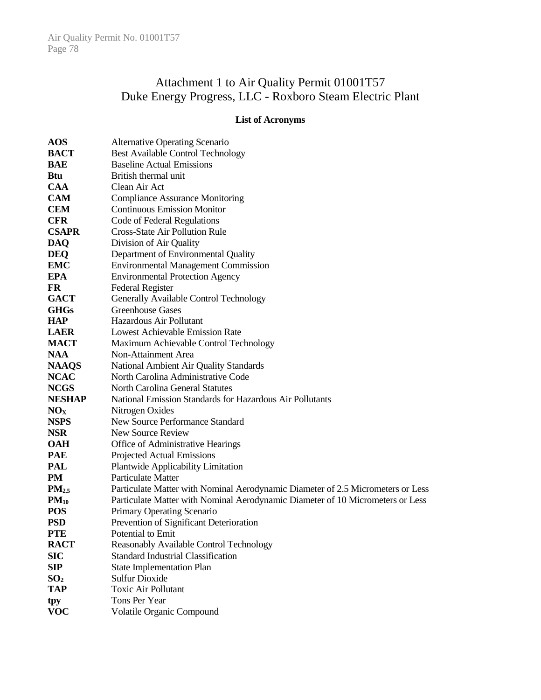## Attachment 1 to Air Quality Permit 01001T57 Duke Energy Progress, LLC - Roxboro Steam Electric Plant

## **List of Acronyms**

| <b>AOS</b>      | <b>Alternative Operating Scenario</b>                                           |
|-----------------|---------------------------------------------------------------------------------|
| <b>BACT</b>     | <b>Best Available Control Technology</b>                                        |
| <b>BAE</b>      | <b>Baseline Actual Emissions</b>                                                |
| <b>Btu</b>      | British thermal unit                                                            |
| <b>CAA</b>      | Clean Air Act                                                                   |
| <b>CAM</b>      | <b>Compliance Assurance Monitoring</b>                                          |
| <b>CEM</b>      | <b>Continuous Emission Monitor</b>                                              |
| <b>CFR</b>      | Code of Federal Regulations                                                     |
| <b>CSAPR</b>    | <b>Cross-State Air Pollution Rule</b>                                           |
| <b>DAQ</b>      | Division of Air Quality                                                         |
| <b>DEQ</b>      | Department of Environmental Quality                                             |
| <b>EMC</b>      | <b>Environmental Management Commission</b>                                      |
| EPA             | <b>Environmental Protection Agency</b>                                          |
| FR              | <b>Federal Register</b>                                                         |
| <b>GACT</b>     | Generally Available Control Technology                                          |
| <b>GHGs</b>     | <b>Greenhouse Gases</b>                                                         |
| <b>HAP</b>      | Hazardous Air Pollutant                                                         |
| <b>LAER</b>     | <b>Lowest Achievable Emission Rate</b>                                          |
| <b>MACT</b>     | Maximum Achievable Control Technology                                           |
| <b>NAA</b>      | Non-Attainment Area                                                             |
| <b>NAAQS</b>    | National Ambient Air Quality Standards                                          |
| <b>NCAC</b>     | North Carolina Administrative Code                                              |
| <b>NCGS</b>     | <b>North Carolina General Statutes</b>                                          |
| <b>NESHAP</b>   | National Emission Standards for Hazardous Air Pollutants                        |
| NO <sub>X</sub> | Nitrogen Oxides                                                                 |
| <b>NSPS</b>     | New Source Performance Standard                                                 |
| <b>NSR</b>      | New Source Review                                                               |
| <b>OAH</b>      | Office of Administrative Hearings                                               |
| <b>PAE</b>      | Projected Actual Emissions                                                      |
| <b>PAL</b>      | <b>Plantwide Applicability Limitation</b>                                       |
| PM              | Particulate Matter                                                              |
| $PM_{2.5}$      | Particulate Matter with Nominal Aerodynamic Diameter of 2.5 Micrometers or Less |
| $PM_{10}$       | Particulate Matter with Nominal Aerodynamic Diameter of 10 Micrometers or Less  |
| <b>POS</b>      | Primary Operating Scenario                                                      |
| <b>PSD</b>      | Prevention of Significant Deterioration                                         |
| <b>PTE</b>      | Potential to Emit                                                               |
| <b>RACT</b>     | Reasonably Available Control Technology                                         |
| <b>SIC</b>      | <b>Standard Industrial Classification</b>                                       |
| SIP             | <b>State Implementation Plan</b>                                                |
| SO <sub>2</sub> | <b>Sulfur Dioxide</b>                                                           |
| <b>TAP</b>      | <b>Toxic Air Pollutant</b>                                                      |
| tpy             | Tons Per Year                                                                   |
| <b>VOC</b>      | Volatile Organic Compound                                                       |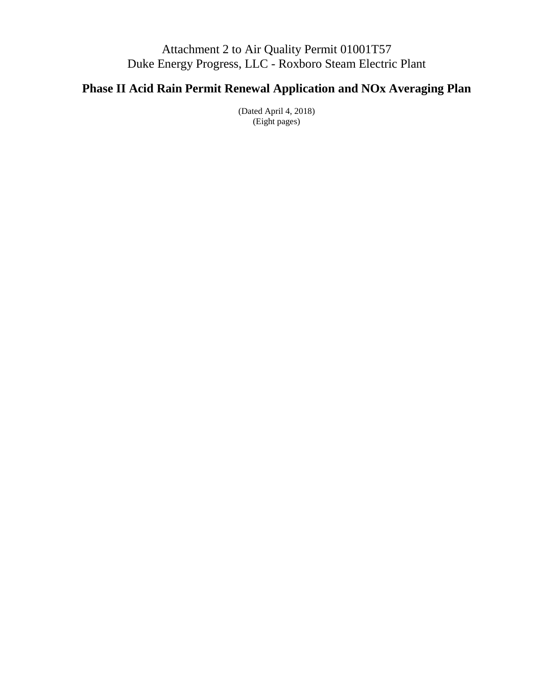## Attachment 2 to Air Quality Permit 01001T57 Duke Energy Progress, LLC - Roxboro Steam Electric Plant

# **Phase II Acid Rain Permit Renewal Application and NOx Averaging Plan**

(Dated April 4, 2018) (Eight pages)